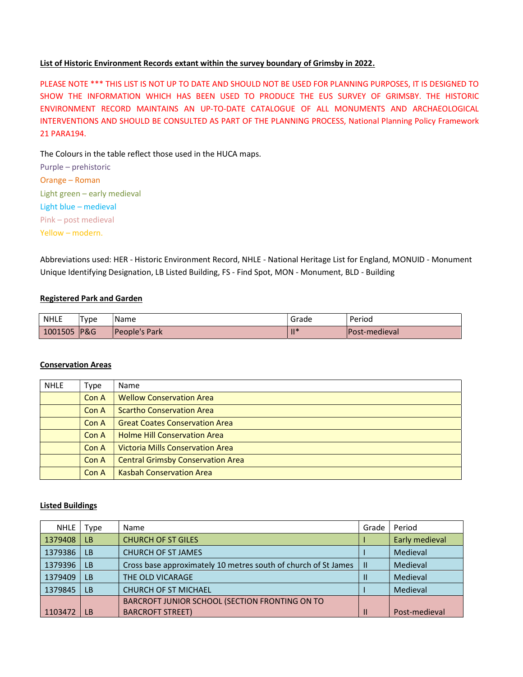## List of Historic Environment Records extant within the survey boundary of Grimsby in 2022.

PLEASE NOTE \*\*\* THIS LIST IS NOT UP TO DATE AND SHOULD NOT BE USED FOR PLANNING PURPOSES, IT IS DESIGNED TO SHOW THE INFORMATION WHICH HAS BEEN USED TO PRODUCE THE EUS SURVEY OF GRIMSBY. THE HISTORIC ENVIRONMENT RECORD MAINTAINS AN UP-TO-DATE CATALOGUE OF ALL MONUMENTS AND ARCHAEOLOGICAL INTERVENTIONS AND SHOULD BE CONSULTED AS PART OF THE PLANNING PROCESS, National Planning Policy Framework 21 PARA194.

The Colours in the table reflect those used in the HUCA maps.

| Purple - prehistoric         |
|------------------------------|
| Orange – Roman               |
| Light green – early medieval |
| Light blue - medieval        |
| Pink - post medieval         |
| Yellow - modern.             |

Abbreviations used: HER - Historic Environment Record, NHLE - National Heritage List for England, MONUID - Monument Unique Identifying Designation, LB Listed Building, FS - Find Spot, MON - Monument, BLD - Building

## Registered Park and Garden

| <b>NHLE</b> | 'Туре | Name                 | Grade | Period                |
|-------------|-------|----------------------|-------|-----------------------|
| 1001505     | P&G   | <b>People's Park</b> | 11 *  | <b>IPost-medieval</b> |

#### Conservation Areas

| <b>NHLE</b> | Type  | Name                                     |
|-------------|-------|------------------------------------------|
|             | Con A | <b>Wellow Conservation Area</b>          |
|             | Con A | <b>Scartho Conservation Area</b>         |
|             | Con A | <b>Great Coates Conservation Area</b>    |
|             | Con A | <b>Holme Hill Conservation Area</b>      |
|             | Con A | <b>Victoria Mills Conservation Area</b>  |
|             | Con A | <b>Central Grimsby Conservation Area</b> |
|             | Con A | <b>Kasbah Conservation Area</b>          |

#### Listed Buildings

| <b>NHLE</b> | Type      | Name                                                           | Grade | Period         |
|-------------|-----------|----------------------------------------------------------------|-------|----------------|
| 1379408     | <b>LB</b> | <b>CHURCH OF ST GILES</b>                                      |       | Early medieval |
| 1379386     | <b>LB</b> | <b>CHURCH OF ST JAMES</b>                                      |       | Medieval       |
| 1379396     | <b>LB</b> | Cross base approximately 10 metres south of church of St James | H     | Medieval       |
| 1379409     | <b>LB</b> | THE OLD VICARAGE                                               |       | Medieval       |
| 1379845     | <b>LB</b> | <b>CHURCH OF ST MICHAEL</b>                                    |       | Medieval       |
|             |           | BARCROFT JUNIOR SCHOOL (SECTION FRONTING ON TO                 |       |                |
| 1103472     | LB        | <b>BARCROFT STREET)</b>                                        |       | Post-medieval  |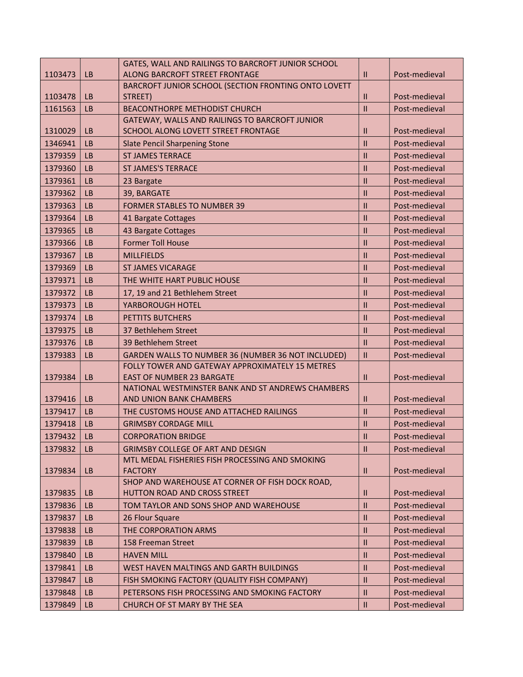|         |           | GATES, WALL AND RAILINGS TO BARCROFT JUNIOR SCHOOL   |               |               |
|---------|-----------|------------------------------------------------------|---------------|---------------|
| 1103473 | <b>LB</b> | ALONG BARCROFT STREET FRONTAGE                       | $\mathbf{II}$ | Post-medieval |
|         |           | BARCROFT JUNIOR SCHOOL (SECTION FRONTING ONTO LOVETT |               |               |
| 1103478 | <b>LB</b> | STREET)                                              | $\mathbf{I}$  | Post-medieval |
| 1161563 | <b>LB</b> | <b>BEACONTHORPE METHODIST CHURCH</b>                 | $\mathbf{II}$ | Post-medieval |
|         |           | GATEWAY, WALLS AND RAILINGS TO BARCROFT JUNIOR       |               |               |
| 1310029 | <b>LB</b> | SCHOOL ALONG LOVETT STREET FRONTAGE                  | $\mathbf{I}$  | Post-medieval |
| 1346941 | <b>LB</b> | <b>Slate Pencil Sharpening Stone</b>                 | $\mathbf{II}$ | Post-medieval |
| 1379359 | <b>LB</b> | <b>ST JAMES TERRACE</b>                              | $\mathbf{I}$  | Post-medieval |
| 1379360 | <b>LB</b> | <b>ST JAMES'S TERRACE</b>                            | $\mathsf{I}$  | Post-medieval |
| 1379361 | LB        | 23 Bargate                                           | $\mathbf{II}$ | Post-medieval |
| 1379362 | <b>LB</b> | 39, BARGATE                                          | $\mathbf{II}$ | Post-medieval |
| 1379363 | <b>LB</b> | <b>FORMER STABLES TO NUMBER 39</b>                   | $\mathbf{II}$ | Post-medieval |
| 1379364 | <b>LB</b> | 41 Bargate Cottages                                  | $\mathbf{II}$ | Post-medieval |
| 1379365 | <b>LB</b> | 43 Bargate Cottages                                  | $\mathbf{II}$ | Post-medieval |
| 1379366 | <b>LB</b> | <b>Former Toll House</b>                             | $\mathbf{I}$  | Post-medieval |
| 1379367 | <b>LB</b> | <b>MILLFIELDS</b>                                    | $\mathbf{II}$ | Post-medieval |
| 1379369 | <b>LB</b> | <b>ST JAMES VICARAGE</b>                             | $\mathbf{II}$ | Post-medieval |
| 1379371 | LB        | THE WHITE HART PUBLIC HOUSE                          | $\mathbf{II}$ | Post-medieval |
| 1379372 | <b>LB</b> | 17, 19 and 21 Bethlehem Street                       | $\mathbf{II}$ | Post-medieval |
| 1379373 | <b>LB</b> | YARBOROUGH HOTEL                                     | $\mathbf{II}$ | Post-medieval |
| 1379374 | <b>LB</b> | <b>PETTITS BUTCHERS</b>                              | $\mathbf{II}$ | Post-medieval |
| 1379375 | <b>LB</b> | 37 Bethlehem Street                                  | $\mathbf{I}$  | Post-medieval |
| 1379376 | <b>LB</b> | 39 Bethlehem Street                                  | $\mathbf{I}$  | Post-medieval |
| 1379383 | <b>LB</b> | GARDEN WALLS TO NUMBER 36 (NUMBER 36 NOT INCLUDED)   | $\mathbf{II}$ | Post-medieval |
|         |           | FOLLY TOWER AND GATEWAY APPROXIMATELY 15 METRES      |               |               |
| 1379384 | <b>LB</b> | <b>EAST OF NUMBER 23 BARGATE</b>                     | $\mathbf{II}$ | Post-medieval |
|         |           | NATIONAL WESTMINSTER BANK AND ST ANDREWS CHAMBERS    |               |               |
| 1379416 | <b>LB</b> | AND UNION BANK CHAMBERS                              | $\mathbf{I}$  | Post-medieval |
| 1379417 | <b>LB</b> | THE CUSTOMS HOUSE AND ATTACHED RAILINGS              | $\mathbf{II}$ | Post-medieval |
| 1379418 | <b>LB</b> | <b>GRIMSBY CORDAGE MILL</b>                          | $\mathbf{II}$ | Post-medieval |
| 1379432 | <b>LB</b> | <b>CORPORATION BRIDGE</b>                            | $\mathbf{H}$  | Post-medieval |
| 1379832 | <b>LB</b> | <b>GRIMSBY COLLEGE OF ART AND DESIGN</b>             | $\mathbf{H}$  | Post-medieval |
|         |           | MTL MEDAL FISHERIES FISH PROCESSING AND SMOKING      |               |               |
| 1379834 | <b>LB</b> | <b>FACTORY</b>                                       | $\mathbf{I}$  | Post-medieval |
|         |           | SHOP AND WAREHOUSE AT CORNER OF FISH DOCK ROAD,      |               |               |
| 1379835 | <b>LB</b> | HUTTON ROAD AND CROSS STREET                         | $\mathbf{H}$  | Post-medieval |
| 1379836 | <b>LB</b> | TOM TAYLOR AND SONS SHOP AND WAREHOUSE               | $\mathbf{II}$ | Post-medieval |
| 1379837 | <b>LB</b> | 26 Flour Square                                      | $\mathbf{II}$ | Post-medieval |
| 1379838 | <b>LB</b> | THE CORPORATION ARMS                                 | $\mathbf{I}$  | Post-medieval |
| 1379839 | LB        | 158 Freeman Street                                   | $\mathbf{II}$ | Post-medieval |
| 1379840 | <b>LB</b> | <b>HAVEN MILL</b>                                    | $\mathbf{II}$ | Post-medieval |
| 1379841 | <b>LB</b> | WEST HAVEN MALTINGS AND GARTH BUILDINGS              | $\mathbf{II}$ | Post-medieval |
| 1379847 | <b>LB</b> | FISH SMOKING FACTORY (QUALITY FISH COMPANY)          | $\mathbf{I}$  | Post-medieval |
| 1379848 | <b>LB</b> | PETERSONS FISH PROCESSING AND SMOKING FACTORY        | $\mathbf{II}$ | Post-medieval |
| 1379849 | <b>LB</b> | CHURCH OF ST MARY BY THE SEA                         | $\mathbf{II}$ | Post-medieval |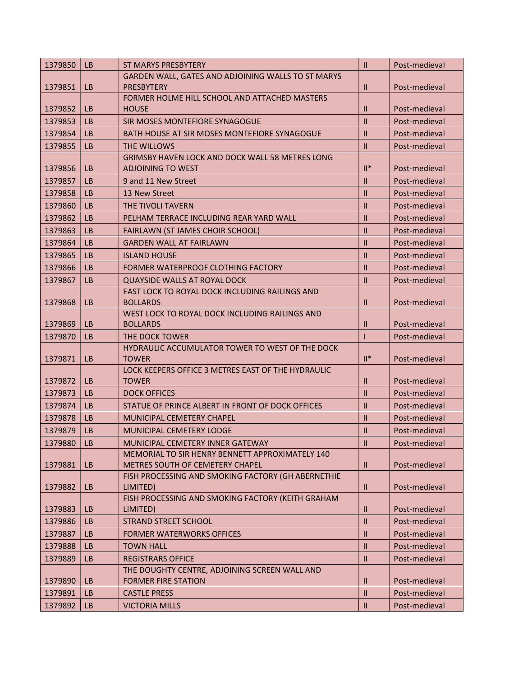| 1379850 | <b>LB</b> | <b>ST MARYS PRESBYTERY</b>                                     | $\mathbf{II}$  | Post-medieval |
|---------|-----------|----------------------------------------------------------------|----------------|---------------|
|         |           | GARDEN WALL, GATES AND ADJOINING WALLS TO ST MARYS             |                |               |
| 1379851 | <b>LB</b> | <b>PRESBYTERY</b>                                              | $\mathbf{I}$   | Post-medieval |
|         |           | FORMER HOLME HILL SCHOOL AND ATTACHED MASTERS                  |                |               |
| 1379852 | <b>LB</b> | <b>HOUSE</b>                                                   | $\mathbf{I}$   | Post-medieval |
| 1379853 | <b>LB</b> | SIR MOSES MONTEFIORE SYNAGOGUE                                 | $\mathbf{I}$   | Post-medieval |
| 1379854 | <b>LB</b> | BATH HOUSE AT SIR MOSES MONTEFIORE SYNAGOGUE                   | $\mathbf{H}$   | Post-medieval |
| 1379855 | LB        | THE WILLOWS                                                    | $\mathbf{II}$  | Post-medieval |
|         |           | <b>GRIMSBY HAVEN LOCK AND DOCK WALL 58 METRES LONG</b>         |                |               |
| 1379856 | <b>LB</b> | <b>ADJOINING TO WEST</b>                                       | $\mathbb{H}^*$ | Post-medieval |
| 1379857 | <b>LB</b> | 9 and 11 New Street                                            | $\mathbf{II}$  | Post-medieval |
| 1379858 | <b>LB</b> | 13 New Street                                                  | $\mathbf{II}$  | Post-medieval |
| 1379860 | <b>LB</b> | THE TIVOLI TAVERN                                              | $\mathbf{H}$   | Post-medieval |
| 1379862 | <b>LB</b> | PELHAM TERRACE INCLUDING REAR YARD WALL                        | $\mathbf{I}$   | Post-medieval |
| 1379863 | <b>LB</b> | <b>FAIRLAWN (ST JAMES CHOIR SCHOOL)</b>                        | $\mathbf{H}$   | Post-medieval |
| 1379864 | <b>LB</b> | <b>GARDEN WALL AT FAIRLAWN</b>                                 | $\mathbf{II}$  | Post-medieval |
| 1379865 | <b>LB</b> | <b>ISLAND HOUSE</b>                                            | $\mathbf{H}$   | Post-medieval |
| 1379866 | <b>LB</b> | FORMER WATERPROOF CLOTHING FACTORY                             | $\mathbf{II}$  | Post-medieval |
| 1379867 | <b>LB</b> | <b>QUAYSIDE WALLS AT ROYAL DOCK</b>                            | $\mathbf{I}$   | Post-medieval |
|         |           | EAST LOCK TO ROYAL DOCK INCLUDING RAILINGS AND                 |                |               |
| 1379868 | <b>LB</b> | <b>BOLLARDS</b>                                                | $\mathbf{I}$   | Post-medieval |
|         |           | WEST LOCK TO ROYAL DOCK INCLUDING RAILINGS AND                 |                |               |
| 1379869 | <b>LB</b> | <b>BOLLARDS</b>                                                | $\mathbf{II}$  | Post-medieval |
| 1379870 | <b>LB</b> | THE DOCK TOWER                                                 |                | Post-medieval |
|         |           | HYDRAULIC ACCUMULATOR TOWER TO WEST OF THE DOCK                |                |               |
| 1379871 | <b>LB</b> | <b>TOWER</b>                                                   | $\mathbb{H}^*$ | Post-medieval |
|         |           | LOCK KEEPERS OFFICE 3 METRES EAST OF THE HYDRAULIC             |                |               |
| 1379872 | <b>LB</b> | <b>TOWER</b>                                                   | $\mathbf{II}$  | Post-medieval |
| 1379873 | <b>LB</b> | <b>DOCK OFFICES</b>                                            | $\mathbf{II}$  | Post-medieval |
| 1379874 | <b>LB</b> | STATUE OF PRINCE ALBERT IN FRONT OF DOCK OFFICES               | $\mathbf{H}$   | Post-medieval |
| 1379878 | LB        | MUNICIPAL CEMETERY CHAPEL                                      | $\mathbf{I}$   | Post-medieval |
| 1379879 | <b>LB</b> | MUNICIPAL CEMETERY LODGE                                       | $\mathbf{II}$  | Post-medieval |
| 1379880 | $ $ LB    | MUNICIPAL CEMETERY INNER GATEWAY                               | $\mathbf{II}$  | Post-medieval |
|         |           | MEMORIAL TO SIR HENRY BENNETT APPROXIMATELY 140                |                |               |
| 1379881 | <b>LB</b> | METRES SOUTH OF CEMETERY CHAPEL                                | $\mathbf{H}$   | Post-medieval |
| 1379882 | <b>LB</b> | FISH PROCESSING AND SMOKING FACTORY (GH ABERNETHIE<br>LIMITED) | $\mathbf{H}$   | Post-medieval |
|         |           | FISH PROCESSING AND SMOKING FACTORY (KEITH GRAHAM              |                |               |
| 1379883 | <b>LB</b> | LIMITED)                                                       | $\mathbf{I}$   | Post-medieval |
| 1379886 | <b>LB</b> | <b>STRAND STREET SCHOOL</b>                                    | $\mathbf{II}$  | Post-medieval |
| 1379887 | <b>LB</b> | <b>FORMER WATERWORKS OFFICES</b>                               | $\mathbf{II}$  | Post-medieval |
| 1379888 | <b>LB</b> | <b>TOWN HALL</b>                                               | $\mathbf{II}$  | Post-medieval |
| 1379889 | <b>LB</b> | <b>REGISTRARS OFFICE</b>                                       | $\mathbf{II}$  | Post-medieval |
|         |           | THE DOUGHTY CENTRE, ADJOINING SCREEN WALL AND                  |                |               |
| 1379890 | <b>LB</b> | <b>FORMER FIRE STATION</b>                                     | $\mathbf{II}$  | Post-medieval |
| 1379891 | <b>LB</b> | <b>CASTLE PRESS</b>                                            | $\mathbf{II}$  | Post-medieval |
| 1379892 | <b>LB</b> | <b>VICTORIA MILLS</b>                                          | $\mathbf{H}$   | Post-medieval |
|         |           |                                                                |                |               |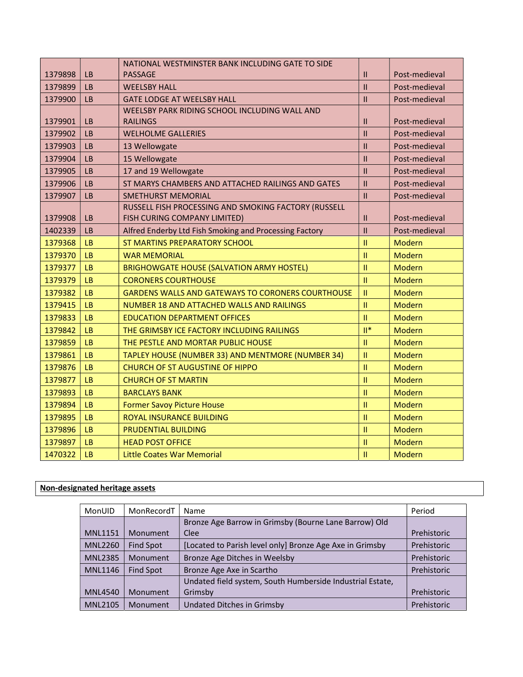|         |           | NATIONAL WESTMINSTER BANK INCLUDING GATE TO SIDE         |                |               |
|---------|-----------|----------------------------------------------------------|----------------|---------------|
| 1379898 | <b>LB</b> | <b>PASSAGE</b>                                           | $\mathbf{II}$  | Post-medieval |
| 1379899 | LB        | <b>WEELSBY HALL</b>                                      | $\mathbf{I}$   | Post-medieval |
| 1379900 | <b>LB</b> | <b>GATE LODGE AT WEELSBY HALL</b>                        | $\mathbf{II}$  | Post-medieval |
|         |           | WEELSBY PARK RIDING SCHOOL INCLUDING WALL AND            |                |               |
| 1379901 | LB        | <b>RAILINGS</b>                                          | $\mathbf{H}$   | Post-medieval |
| 1379902 | LB        | <b>WELHOLME GALLERIES</b>                                | $\mathbf{II}$  | Post-medieval |
| 1379903 | <b>LB</b> | 13 Wellowgate                                            | $\mathbf{II}$  | Post-medieval |
| 1379904 | <b>LB</b> | 15 Wellowgate                                            | $\mathbf{II}$  | Post-medieval |
| 1379905 | <b>LB</b> | 17 and 19 Wellowgate                                     | $\mathbf{I}$   | Post-medieval |
| 1379906 | <b>LB</b> | ST MARYS CHAMBERS AND ATTACHED RAILINGS AND GATES        | $\mathbf{H}$   | Post-medieval |
| 1379907 | <b>LB</b> | <b>SMETHURST MEMORIAL</b>                                | $\mathbf{II}$  | Post-medieval |
|         |           | RUSSELL FISH PROCESSING AND SMOKING FACTORY (RUSSELL     |                |               |
| 1379908 | LB        | FISH CURING COMPANY LIMITED)                             | $\mathbf{H}$   | Post-medieval |
| 1402339 | <b>LB</b> | Alfred Enderby Ltd Fish Smoking and Processing Factory   | $\mathbf{II}$  | Post-medieval |
| 1379368 | <b>LB</b> | ST MARTINS PREPARATORY SCHOOL                            | $\mathbf{II}$  | Modern        |
| 1379370 | <b>LB</b> | <b>WAR MEMORIAL</b>                                      | $\mathbf{II}$  | Modern        |
| 1379377 | <b>LB</b> | <b>BRIGHOWGATE HOUSE (SALVATION ARMY HOSTEL)</b>         | $\mathbf{II}$  | Modern        |
| 1379379 | LB        | <b>CORONERS COURTHOUSE</b>                               | $\mathbf{H}$   | <b>Modern</b> |
| 1379382 | LB        | <b>GARDENS WALLS AND GATEWAYS TO CORONERS COURTHOUSE</b> | $\mathbf{II}$  | <b>Modern</b> |
| 1379415 | LB        | NUMBER 18 AND ATTACHED WALLS AND RAILINGS                | $\mathbf{II}$  | Modern        |
| 1379833 | <b>LB</b> | <b>EDUCATION DEPARTMENT OFFICES</b>                      | $\mathbf{II}$  | Modern        |
| 1379842 | LB        | THE GRIMSBY ICE FACTORY INCLUDING RAILINGS               | $\mathbb{H}^*$ | Modern        |
| 1379859 | LB        | THE PESTLE AND MORTAR PUBLIC HOUSE                       | $\mathbf{II}$  | Modern        |
| 1379861 | <b>LB</b> | TAPLEY HOUSE (NUMBER 33) AND MENTMORE (NUMBER 34)        | $\mathbf{II}$  | Modern        |
| 1379876 | LB        | <b>CHURCH OF ST AUGUSTINE OF HIPPO</b>                   | $\mathbf{II}$  | <b>Modern</b> |
| 1379877 | LB        | <b>CHURCH OF ST MARTIN</b>                               | $\mathbf{II}$  | Modern        |
| 1379893 | <b>LB</b> | <b>BARCLAYS BANK</b>                                     | $\mathbf{H}$   | Modern        |
| 1379894 | LB        | <b>Former Savoy Picture House</b>                        | $\mathbf{II}$  | Modern        |
| 1379895 | LB        | ROYAL INSURANCE BUILDING                                 | $\mathbf{II}$  | <b>Modern</b> |
| 1379896 | <b>LB</b> | PRUDENTIAL BUILDING                                      | $\mathbf{H}$   | <b>Modern</b> |
| 1379897 | <b>LB</b> | <b>HEAD POST OFFICE</b>                                  | $\mathbf{II}$  | <b>Modern</b> |
| 1470322 | LB        | <b>Little Coates War Memorial</b>                        | $\mathbf{II}$  | Modern        |

# Non-designated heritage assets

| MonUID         | MonRecordT | Name                                                      | Period             |
|----------------|------------|-----------------------------------------------------------|--------------------|
|                |            | Bronze Age Barrow in Grimsby (Bourne Lane Barrow) Old     |                    |
| <b>MNL1151</b> | Monument   | <b>Clee</b>                                               | <b>Prehistoric</b> |
| <b>MNL2260</b> | Find Spot  | [Located to Parish level only] Bronze Age Axe in Grimsby  | Prehistoric        |
| <b>MNL2385</b> | Monument   | Bronze Age Ditches in Weelsby                             | Prehistoric        |
| <b>MNL1146</b> | Find Spot  | Bronze Age Axe in Scartho                                 | Prehistoric        |
|                |            | Undated field system, South Humberside Industrial Estate, |                    |
| <b>MNL4540</b> | Monument   | Grimsby                                                   | Prehistoric        |
| <b>MNL2105</b> | Monument   | Undated Ditches in Grimsby                                | Prehistoric        |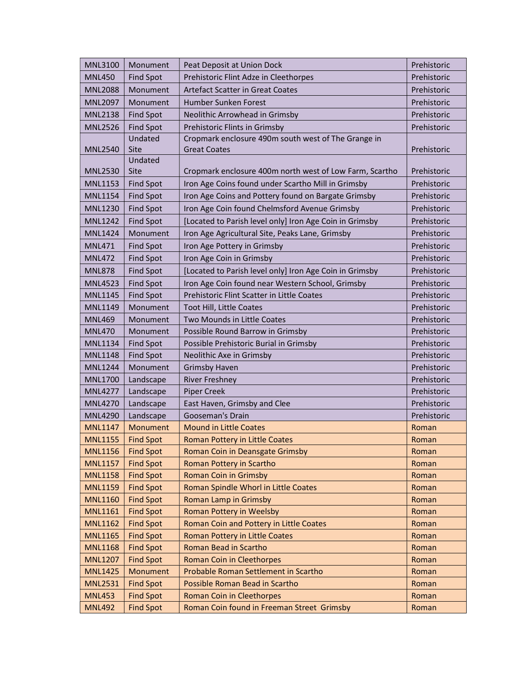| <b>MNL3100</b> | Monument         | Peat Deposit at Union Dock                              | Prehistoric |
|----------------|------------------|---------------------------------------------------------|-------------|
| <b>MNL450</b>  | <b>Find Spot</b> | Prehistoric Flint Adze in Cleethorpes                   | Prehistoric |
| <b>MNL2088</b> | Monument         | <b>Artefact Scatter in Great Coates</b>                 | Prehistoric |
| <b>MNL2097</b> | Monument         | Humber Sunken Forest                                    | Prehistoric |
| <b>MNL2138</b> | <b>Find Spot</b> | Neolithic Arrowhead in Grimsby                          | Prehistoric |
| <b>MNL2526</b> | <b>Find Spot</b> | Prehistoric Flints in Grimsby                           | Prehistoric |
|                | Undated          | Cropmark enclosure 490m south west of The Grange in     |             |
| <b>MNL2540</b> | Site             | <b>Great Coates</b>                                     | Prehistoric |
|                | Undated          |                                                         |             |
| <b>MNL2530</b> | Site             | Cropmark enclosure 400m north west of Low Farm, Scartho | Prehistoric |
| <b>MNL1153</b> | <b>Find Spot</b> | Iron Age Coins found under Scartho Mill in Grimsby      | Prehistoric |
| <b>MNL1154</b> | <b>Find Spot</b> | Iron Age Coins and Pottery found on Bargate Grimsby     | Prehistoric |
| <b>MNL1230</b> | <b>Find Spot</b> | Iron Age Coin found Chelmsford Avenue Grimsby           | Prehistoric |
| <b>MNL1242</b> | <b>Find Spot</b> | [Located to Parish level only] Iron Age Coin in Grimsby | Prehistoric |
| <b>MNL1424</b> | Monument         | Iron Age Agricultural Site, Peaks Lane, Grimsby         | Prehistoric |
| <b>MNL471</b>  | <b>Find Spot</b> | Iron Age Pottery in Grimsby                             | Prehistoric |
| <b>MNL472</b>  | <b>Find Spot</b> | Iron Age Coin in Grimsby                                | Prehistoric |
| <b>MNL878</b>  | <b>Find Spot</b> | [Located to Parish level only] Iron Age Coin in Grimsby | Prehistoric |
| <b>MNL4523</b> | <b>Find Spot</b> | Iron Age Coin found near Western School, Grimsby        | Prehistoric |
| <b>MNL1145</b> | <b>Find Spot</b> | Prehistoric Flint Scatter in Little Coates              | Prehistoric |
| MNL1149        | Monument         | Toot Hill, Little Coates                                | Prehistoric |
| <b>MNL469</b>  | Monument         | Two Mounds in Little Coates                             | Prehistoric |
| <b>MNL470</b>  | Monument         | Possible Round Barrow in Grimsby                        | Prehistoric |
| <b>MNL1134</b> | <b>Find Spot</b> | Possible Prehistoric Burial in Grimsby                  | Prehistoric |
| <b>MNL1148</b> | <b>Find Spot</b> | Neolithic Axe in Grimsby                                | Prehistoric |
| <b>MNL1244</b> | Monument         | <b>Grimsby Haven</b>                                    | Prehistoric |
| <b>MNL1700</b> | Landscape        | <b>River Freshney</b>                                   | Prehistoric |
| <b>MNL4277</b> | Landscape        | <b>Piper Creek</b>                                      | Prehistoric |
| <b>MNL4270</b> | Landscape        | East Haven, Grimsby and Clee                            | Prehistoric |
| <b>MNL4290</b> | Landscape        | Gooseman's Drain                                        | Prehistoric |
| <b>MNL1147</b> | Monument         | <b>Mound in Little Coates</b>                           | Roman       |
| <b>MNL1155</b> | <b>Find Spot</b> | <b>Roman Pottery in Little Coates</b>                   | Roman       |
| <b>MNL1156</b> | <b>Find Spot</b> | Roman Coin in Deansgate Grimsby                         | Roman       |
| <b>MNL1157</b> | <b>Find Spot</b> | Roman Pottery in Scartho                                | Roman       |
| <b>MNL1158</b> | <b>Find Spot</b> | Roman Coin in Grimsby                                   | Roman       |
| <b>MNL1159</b> | <b>Find Spot</b> | Roman Spindle Whorl in Little Coates                    | Roman       |
| <b>MNL1160</b> | <b>Find Spot</b> | Roman Lamp in Grimsby                                   | Roman       |
| <b>MNL1161</b> | <b>Find Spot</b> | Roman Pottery in Weelsby                                | Roman       |
| <b>MNL1162</b> | <b>Find Spot</b> | Roman Coin and Pottery in Little Coates                 | Roman       |
| <b>MNL1165</b> | <b>Find Spot</b> | Roman Pottery in Little Coates                          | Roman       |
| <b>MNL1168</b> | <b>Find Spot</b> | Roman Bead in Scartho                                   | Roman       |
| <b>MNL1207</b> | <b>Find Spot</b> | <b>Roman Coin in Cleethorpes</b>                        | Roman       |
| <b>MNL1425</b> | Monument         | Probable Roman Settlement in Scartho                    | Roman       |
| <b>MNL2531</b> | <b>Find Spot</b> | Possible Roman Bead in Scartho                          | Roman       |
| <b>MNL453</b>  | <b>Find Spot</b> | Roman Coin in Cleethorpes                               | Roman       |
| <b>MNL492</b>  | <b>Find Spot</b> | Roman Coin found in Freeman Street Grimsby              | Roman       |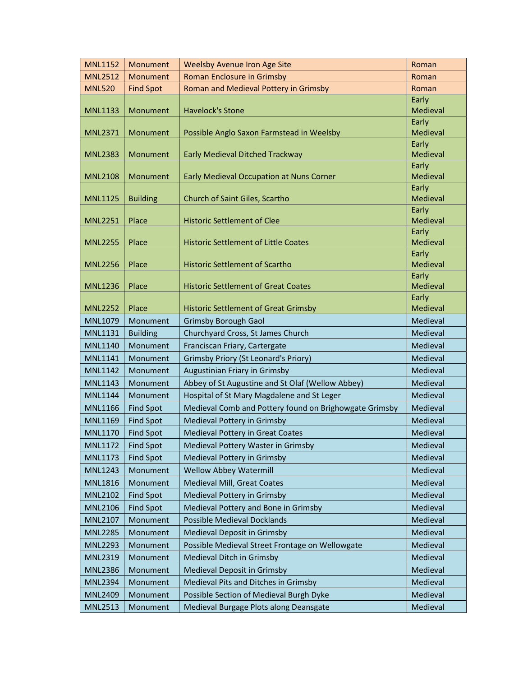| <b>MNL1152</b> | Monument         | <b>Weelsby Avenue Iron Age Site</b>                    | Roman             |
|----------------|------------------|--------------------------------------------------------|-------------------|
| <b>MNL2512</b> | Monument         | <b>Roman Enclosure in Grimsby</b>                      | Roman             |
| <b>MNL520</b>  | <b>Find Spot</b> | Roman and Medieval Pottery in Grimsby                  | Roman             |
|                |                  |                                                        | Early             |
| <b>MNL1133</b> | Monument         | <b>Havelock's Stone</b>                                | Medieval          |
|                |                  |                                                        | Early             |
| <b>MNL2371</b> | Monument         | Possible Anglo Saxon Farmstead in Weelsby              | Medieval          |
| <b>MNL2383</b> | Monument         | Early Medieval Ditched Trackway                        | Early<br>Medieval |
|                |                  |                                                        | Early             |
| <b>MNL2108</b> | Monument         | <b>Early Medieval Occupation at Nuns Corner</b>        | Medieval          |
|                |                  |                                                        | Early             |
| <b>MNL1125</b> | <b>Building</b>  | Church of Saint Giles, Scartho                         | Medieval          |
|                |                  |                                                        | Early             |
| <b>MNL2251</b> | Place            | <b>Historic Settlement of Clee</b>                     | Medieval          |
|                |                  |                                                        | Early             |
| <b>MNL2255</b> | Place            | <b>Historic Settlement of Little Coates</b>            | Medieval          |
|                |                  |                                                        | Early<br>Medieval |
| <b>MNL2256</b> | Place            | <b>Historic Settlement of Scartho</b>                  | Early             |
| <b>MNL1236</b> | Place            | <b>Historic Settlement of Great Coates</b>             | Medieval          |
|                |                  |                                                        | Early             |
| <b>MNL2252</b> | Place            | <b>Historic Settlement of Great Grimsby</b>            | Medieval          |
| <b>MNL1079</b> | Monument         | <b>Grimsby Borough Gaol</b>                            | Medieval          |
| MNL1131        | <b>Building</b>  | Churchyard Cross, St James Church                      | Medieval          |
| <b>MNL1140</b> | Monument         | Franciscan Friary, Cartergate                          | Medieval          |
| <b>MNL1141</b> | Monument         | <b>Grimsby Priory (St Leonard's Priory)</b>            | Medieval          |
| <b>MNL1142</b> | Monument         | Augustinian Friary in Grimsby                          | Medieval          |
| <b>MNL1143</b> | Monument         | Abbey of St Augustine and St Olaf (Wellow Abbey)       | Medieval          |
| <b>MNL1144</b> | Monument         | Hospital of St Mary Magdalene and St Leger             | Medieval          |
| <b>MNL1166</b> | <b>Find Spot</b> | Medieval Comb and Pottery found on Brighowgate Grimsby | Medieval          |
| <b>MNL1169</b> | <b>Find Spot</b> | Medieval Pottery in Grimsby                            | Medieval          |
| <b>MNL1170</b> | <b>Find Spot</b> | Medieval Pottery in Great Coates                       | Medieval          |
| <b>MNL1172</b> | <b>Find Spot</b> | Medieval Pottery Waster in Grimsby                     | Medieval          |
| MNL1173        | <b>Find Spot</b> | Medieval Pottery in Grimsby                            | Medieval          |
| <b>MNL1243</b> | Monument         | <b>Wellow Abbey Watermill</b>                          | Medieval          |
| <b>MNL1816</b> | Monument         | Medieval Mill, Great Coates                            | Medieval          |
| <b>MNL2102</b> | <b>Find Spot</b> | Medieval Pottery in Grimsby                            | Medieval          |
| <b>MNL2106</b> | <b>Find Spot</b> | Medieval Pottery and Bone in Grimsby                   | Medieval          |
| <b>MNL2107</b> | Monument         | <b>Possible Medieval Docklands</b>                     | Medieval          |
| <b>MNL2285</b> | Monument         | Medieval Deposit in Grimsby                            | Medieval          |
| <b>MNL2293</b> | Monument         | Possible Medieval Street Frontage on Wellowgate        | Medieval          |
|                |                  |                                                        |                   |
| <b>MNL2319</b> | Monument         | Medieval Ditch in Grimsby                              | Medieval          |
| <b>MNL2386</b> | Monument         | Medieval Deposit in Grimsby                            | Medieval          |
| <b>MNL2394</b> | Monument         | Medieval Pits and Ditches in Grimsby                   | Medieval          |
| <b>MNL2409</b> | Monument         | Possible Section of Medieval Burgh Dyke                | Medieval          |
| <b>MNL2513</b> | Monument         | Medieval Burgage Plots along Deansgate                 | Medieval          |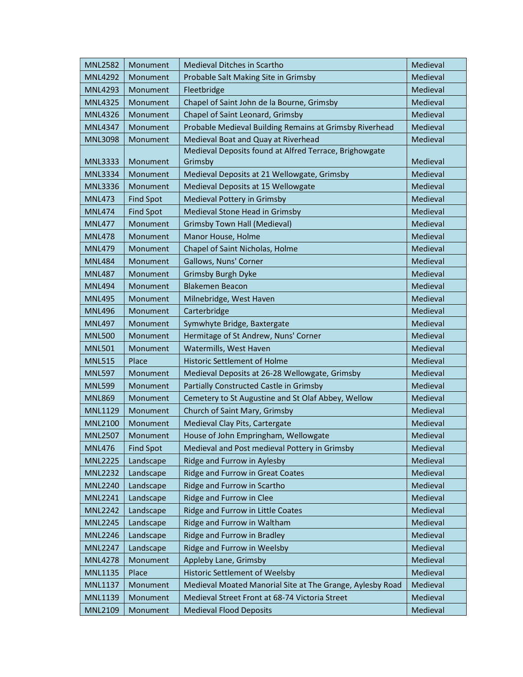| <b>MNL2582</b> | Monument         | Medieval Ditches in Scartho                               | Medieval |
|----------------|------------------|-----------------------------------------------------------|----------|
| <b>MNL4292</b> | Monument         | Probable Salt Making Site in Grimsby                      | Medieval |
| <b>MNL4293</b> | Monument         | Fleetbridge                                               | Medieval |
| <b>MNL4325</b> | Monument         | Chapel of Saint John de la Bourne, Grimsby                | Medieval |
| <b>MNL4326</b> | Monument         | Chapel of Saint Leonard, Grimsby                          | Medieval |
| <b>MNL4347</b> | Monument         | Probable Medieval Building Remains at Grimsby Riverhead   | Medieval |
| <b>MNL3098</b> | Monument         | Medieval Boat and Quay at Riverhead                       | Medieval |
|                |                  | Medieval Deposits found at Alfred Terrace, Brighowgate    |          |
| <b>MNL3333</b> | Monument         | Grimsby                                                   | Medieval |
| <b>MNL3334</b> | Monument         | Medieval Deposits at 21 Wellowgate, Grimsby               | Medieval |
| <b>MNL3336</b> | Monument         | Medieval Deposits at 15 Wellowgate                        | Medieval |
| <b>MNL473</b>  | <b>Find Spot</b> | Medieval Pottery in Grimsby                               | Medieval |
| <b>MNL474</b>  | <b>Find Spot</b> | Medieval Stone Head in Grimsby                            | Medieval |
| <b>MNL477</b>  | Monument         | <b>Grimsby Town Hall (Medieval)</b>                       | Medieval |
| <b>MNL478</b>  | Monument         | Manor House, Holme                                        | Medieval |
| <b>MNL479</b>  | Monument         | Chapel of Saint Nicholas, Holme                           | Medieval |
| <b>MNL484</b>  | Monument         | Gallows, Nuns' Corner                                     | Medieval |
| <b>MNL487</b>  | Monument         | <b>Grimsby Burgh Dyke</b>                                 | Medieval |
| <b>MNL494</b>  | Monument         | <b>Blakemen Beacon</b>                                    | Medieval |
| <b>MNL495</b>  | Monument         | Milnebridge, West Haven                                   | Medieval |
| <b>MNL496</b>  | Monument         | Carterbridge                                              | Medieval |
| <b>MNL497</b>  | Monument         | Symwhyte Bridge, Baxtergate                               | Medieval |
| <b>MNL500</b>  | Monument         | Hermitage of St Andrew, Nuns' Corner                      | Medieval |
| <b>MNL501</b>  | Monument         | Watermills, West Haven                                    | Medieval |
| <b>MNL515</b>  | Place            | Historic Settlement of Holme                              | Medieval |
| <b>MNL597</b>  | Monument         | Medieval Deposits at 26-28 Wellowgate, Grimsby            | Medieval |
| <b>MNL599</b>  | Monument         | Partially Constructed Castle in Grimsby                   | Medieval |
| <b>MNL869</b>  | Monument         | Cemetery to St Augustine and St Olaf Abbey, Wellow        | Medieval |
| <b>MNL1129</b> | Monument         | Church of Saint Mary, Grimsby                             | Medieval |
| <b>MNL2100</b> | Monument         | Medieval Clay Pits, Cartergate                            | Medieval |
| <b>MNL2507</b> | Monument         | House of John Empringham, Wellowgate                      | Medieval |
| <b>MNL476</b>  | <b>Find Spot</b> | Medieval and Post medieval Pottery in Grimsby             | Medieval |
| <b>MNL2225</b> | Landscape        | Ridge and Furrow in Aylesby                               | Medieval |
| <b>MNL2232</b> | Landscape        | Ridge and Furrow in Great Coates                          | Medieval |
| <b>MNL2240</b> | Landscape        | Ridge and Furrow in Scartho                               | Medieval |
| <b>MNL2241</b> | Landscape        | Ridge and Furrow in Clee                                  | Medieval |
| <b>MNL2242</b> | Landscape        | Ridge and Furrow in Little Coates                         | Medieval |
| <b>MNL2245</b> | Landscape        | Ridge and Furrow in Waltham                               | Medieval |
| <b>MNL2246</b> | Landscape        | Ridge and Furrow in Bradley                               | Medieval |
| <b>MNL2247</b> | Landscape        | Ridge and Furrow in Weelsby                               | Medieval |
| <b>MNL4278</b> | Monument         | Appleby Lane, Grimsby                                     | Medieval |
| <b>MNL1135</b> | Place            | Historic Settlement of Weelsby                            | Medieval |
| <b>MNL1137</b> | Monument         | Medieval Moated Manorial Site at The Grange, Aylesby Road | Medieval |
| MNL1139        | Monument         | Medieval Street Front at 68-74 Victoria Street            | Medieval |
| <b>MNL2109</b> | Monument         | <b>Medieval Flood Deposits</b>                            | Medieval |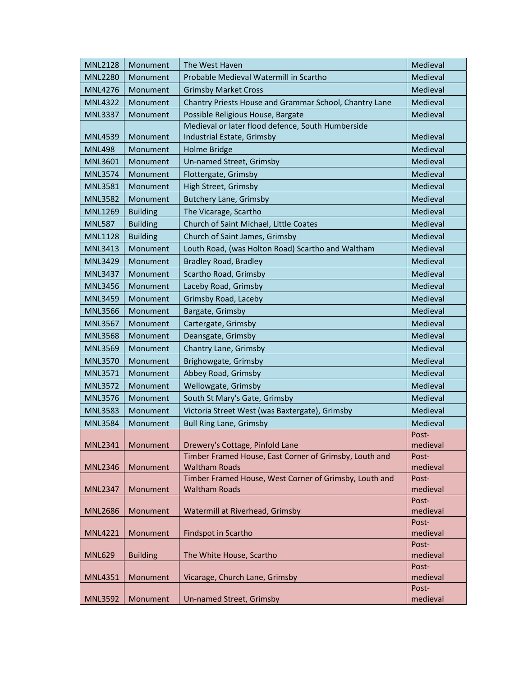| <b>MNL2128</b> | Monument        | The West Haven                                                                 | Medieval          |
|----------------|-----------------|--------------------------------------------------------------------------------|-------------------|
| <b>MNL2280</b> | Monument        | Probable Medieval Watermill in Scartho                                         | Medieval          |
| <b>MNL4276</b> | Monument        | <b>Grimsby Market Cross</b>                                                    | Medieval          |
| <b>MNL4322</b> | Monument        | Chantry Priests House and Grammar School, Chantry Lane                         | Medieval          |
| <b>MNL3337</b> | Monument        | Possible Religious House, Bargate                                              | Medieval          |
|                |                 | Medieval or later flood defence, South Humberside                              |                   |
| <b>MNL4539</b> | Monument        | Industrial Estate, Grimsby                                                     | Medieval          |
| <b>MNL498</b>  | Monument        | Holme Bridge                                                                   | Medieval          |
| <b>MNL3601</b> | Monument        | Un-named Street, Grimsby                                                       | Medieval          |
| <b>MNL3574</b> | Monument        | Flottergate, Grimsby                                                           | Medieval          |
| <b>MNL3581</b> | Monument        | High Street, Grimsby                                                           | Medieval          |
| <b>MNL3582</b> | Monument        | <b>Butchery Lane, Grimsby</b>                                                  | Medieval          |
| <b>MNL1269</b> | <b>Building</b> | The Vicarage, Scartho                                                          | Medieval          |
| <b>MNL587</b>  | <b>Building</b> | Church of Saint Michael, Little Coates                                         | Medieval          |
| <b>MNL1128</b> | <b>Building</b> | Church of Saint James, Grimsby                                                 | Medieval          |
| <b>MNL3413</b> | Monument        | Louth Road, (was Holton Road) Scartho and Waltham                              | Medieval          |
| <b>MNL3429</b> | Monument        | <b>Bradley Road, Bradley</b>                                                   | Medieval          |
| <b>MNL3437</b> | Monument        | Scartho Road, Grimsby                                                          | Medieval          |
| <b>MNL3456</b> | Monument        | Laceby Road, Grimsby                                                           | Medieval          |
| <b>MNL3459</b> | Monument        | Grimsby Road, Laceby                                                           | Medieval          |
| <b>MNL3566</b> | Monument        | Bargate, Grimsby                                                               | Medieval          |
| <b>MNL3567</b> | Monument        | Cartergate, Grimsby                                                            | Medieval          |
| <b>MNL3568</b> | Monument        | Deansgate, Grimsby                                                             | Medieval          |
| <b>MNL3569</b> | Monument        | Chantry Lane, Grimsby                                                          | Medieval          |
| <b>MNL3570</b> | Monument        | Brighowgate, Grimsby                                                           | Medieval          |
| <b>MNL3571</b> | Monument        | Abbey Road, Grimsby                                                            | Medieval          |
| <b>MNL3572</b> | Monument        | Wellowgate, Grimsby                                                            | Medieval          |
| <b>MNL3576</b> | Monument        | South St Mary's Gate, Grimsby                                                  | Medieval          |
| <b>MNL3583</b> | Monument        | Victoria Street West (was Baxtergate), Grimsby                                 | Medieval          |
| <b>MNL3584</b> | Monument        | <b>Bull Ring Lane, Grimsby</b>                                                 | Medieval          |
|                |                 |                                                                                | Post-             |
| <b>MNL2341</b> | Monument        | Drewery's Cottage, Pinfold Lane                                                | medieval          |
|                |                 | Timber Framed House, East Corner of Grimsby, Louth and                         | Post-             |
| <b>MNL2346</b> | Monument        | <b>Waltham Roads</b>                                                           | medieval          |
| <b>MNL2347</b> | Monument        | Timber Framed House, West Corner of Grimsby, Louth and<br><b>Waltham Roads</b> | Post-<br>medieval |
|                |                 |                                                                                | Post-             |
| <b>MNL2686</b> | Monument        | Watermill at Riverhead, Grimsby                                                | medieval          |
|                |                 |                                                                                | Post-             |
| <b>MNL4221</b> | Monument        | Findspot in Scartho                                                            | medieval          |
|                |                 |                                                                                | Post-             |
| <b>MNL629</b>  | <b>Building</b> | The White House, Scartho                                                       | medieval          |
|                |                 |                                                                                | Post-             |
| <b>MNL4351</b> | Monument        | Vicarage, Church Lane, Grimsby                                                 | medieval          |
|                |                 |                                                                                | Post-             |
| <b>MNL3592</b> | Monument        | Un-named Street, Grimsby                                                       | medieval          |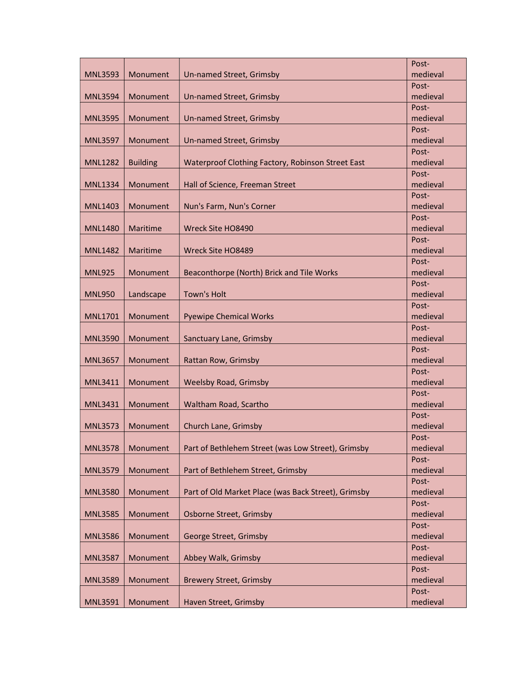|                |                 |                                                     | Post-             |
|----------------|-----------------|-----------------------------------------------------|-------------------|
| <b>MNL3593</b> | Monument        | Un-named Street, Grimsby                            | medieval          |
|                |                 |                                                     | Post-             |
| <b>MNL3594</b> | Monument        | Un-named Street, Grimsby                            | medieval          |
|                |                 |                                                     | Post-             |
| <b>MNL3595</b> | Monument        | Un-named Street, Grimsby                            | medieval          |
|                |                 |                                                     | Post-             |
| <b>MNL3597</b> | Monument        | Un-named Street, Grimsby                            | medieval          |
|                |                 |                                                     | Post-             |
| <b>MNL1282</b> | <b>Building</b> | Waterproof Clothing Factory, Robinson Street East   | medieval          |
|                |                 |                                                     | Post-             |
| <b>MNL1334</b> | Monument        | Hall of Science, Freeman Street                     | medieval          |
|                |                 |                                                     | Post-             |
| <b>MNL1403</b> | Monument        | Nun's Farm, Nun's Corner                            | medieval          |
|                |                 |                                                     | Post-             |
| <b>MNL1480</b> | Maritime        | Wreck Site HO8490                                   | medieval          |
|                |                 |                                                     | Post-             |
| <b>MNL1482</b> | Maritime        | Wreck Site HO8489                                   | medieval          |
|                |                 |                                                     | Post-             |
| <b>MNL925</b>  | Monument        | Beaconthorpe (North) Brick and Tile Works           | medieval          |
|                |                 |                                                     | Post-             |
| <b>MNL950</b>  | Landscape       | <b>Town's Holt</b>                                  | medieval          |
|                |                 |                                                     | Post-             |
| MNL1701        | Monument        | <b>Pyewipe Chemical Works</b>                       | medieval          |
|                |                 |                                                     | Post-             |
| <b>MNL3590</b> | Monument        | Sanctuary Lane, Grimsby                             | medieval          |
| <b>MNL3657</b> | Monument        | Rattan Row, Grimsby                                 | Post-<br>medieval |
|                |                 |                                                     | Post-             |
| <b>MNL3411</b> | Monument        | <b>Weelsby Road, Grimsby</b>                        | medieval          |
|                |                 |                                                     | Post-             |
| <b>MNL3431</b> | Monument        | Waltham Road, Scartho                               | medieval          |
|                |                 |                                                     | Post-             |
| <b>MNL3573</b> | Monument        | Church Lane, Grimsby                                | medieval          |
|                |                 |                                                     | Post-             |
| <b>MNL3578</b> | Monument        | Part of Bethlehem Street (was Low Street), Grimsby  | medieval          |
|                |                 |                                                     | Post-             |
| <b>MNL3579</b> | Monument        | Part of Bethlehem Street, Grimsby                   | medieval          |
|                |                 |                                                     | Post-             |
| <b>MNL3580</b> | Monument        | Part of Old Market Place (was Back Street), Grimsby | medieval          |
|                |                 |                                                     | Post-             |
| <b>MNL3585</b> | Monument        | Osborne Street, Grimsby                             | medieval          |
|                |                 |                                                     | Post-             |
| <b>MNL3586</b> | Monument        | George Street, Grimsby                              | medieval          |
|                |                 |                                                     | Post-             |
| <b>MNL3587</b> | Monument        | Abbey Walk, Grimsby                                 | medieval          |
|                |                 |                                                     | Post-             |
| <b>MNL3589</b> | Monument        | <b>Brewery Street, Grimsby</b>                      | medieval          |
|                |                 |                                                     | Post-             |
| <b>MNL3591</b> | Monument        | Haven Street, Grimsby                               | medieval          |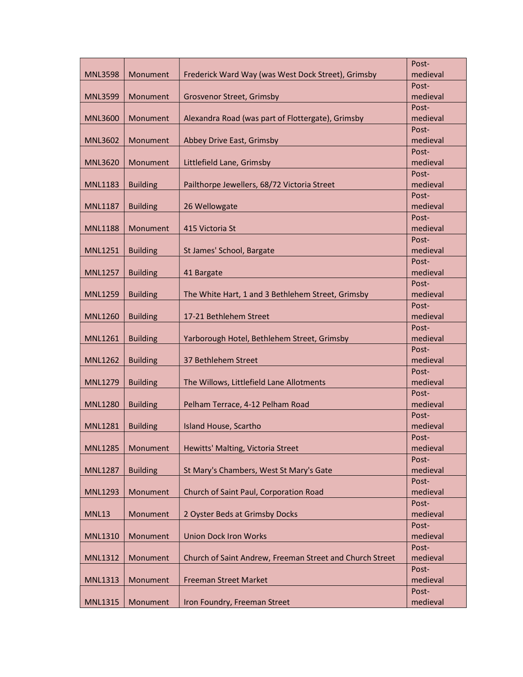|                |                 |                                                          | Post-             |
|----------------|-----------------|----------------------------------------------------------|-------------------|
| <b>MNL3598</b> | Monument        | Frederick Ward Way (was West Dock Street), Grimsby       | medieval          |
|                |                 |                                                          | Post-             |
| <b>MNL3599</b> | Monument        | Grosvenor Street, Grimsby                                | medieval          |
|                |                 |                                                          | Post-             |
| <b>MNL3600</b> | Monument        | Alexandra Road (was part of Flottergate), Grimsby        | medieval          |
|                |                 |                                                          | Post-             |
| <b>MNL3602</b> | Monument        | Abbey Drive East, Grimsby                                | medieval          |
|                |                 |                                                          | Post-             |
| <b>MNL3620</b> | Monument        | Littlefield Lane, Grimsby                                | medieval          |
|                |                 |                                                          | Post-             |
| <b>MNL1183</b> | <b>Building</b> | Pailthorpe Jewellers, 68/72 Victoria Street              | medieval          |
|                |                 |                                                          | Post-             |
| <b>MNL1187</b> | <b>Building</b> | 26 Wellowgate                                            | medieval          |
|                |                 |                                                          | Post-             |
| <b>MNL1188</b> | Monument        | 415 Victoria St                                          | medieval          |
|                |                 |                                                          | Post-             |
| <b>MNL1251</b> | <b>Building</b> | St James' School, Bargate                                | medieval          |
|                |                 |                                                          | Post-             |
| <b>MNL1257</b> | <b>Building</b> | 41 Bargate                                               | medieval          |
|                |                 |                                                          | Post-             |
| <b>MNL1259</b> | <b>Building</b> | The White Hart, 1 and 3 Bethlehem Street, Grimsby        | medieval          |
|                |                 |                                                          | Post-             |
| <b>MNL1260</b> | <b>Building</b> | 17-21 Bethlehem Street                                   | medieval          |
|                |                 |                                                          | Post-             |
| <b>MNL1261</b> | <b>Building</b> | Yarborough Hotel, Bethlehem Street, Grimsby              | medieval          |
| <b>MNL1262</b> | <b>Building</b> | 37 Bethlehem Street                                      | Post-<br>medieval |
|                |                 |                                                          | Post-             |
| <b>MNL1279</b> | <b>Building</b> | The Willows, Littlefield Lane Allotments                 | medieval          |
|                |                 |                                                          | Post-             |
| <b>MNL1280</b> | <b>Building</b> | Pelham Terrace, 4-12 Pelham Road                         | medieval          |
|                |                 |                                                          | Post-             |
| <b>MNL1281</b> | <b>Building</b> | Island House, Scartho                                    | medieval          |
|                |                 |                                                          | Post-             |
| <b>MNL1285</b> | Monument        | Hewitts' Malting, Victoria Street                        | medieval          |
|                |                 |                                                          | Post-             |
| <b>MNL1287</b> | <b>Building</b> | St Mary's Chambers, West St Mary's Gate                  | medieval          |
|                |                 |                                                          | Post-             |
| <b>MNL1293</b> | Monument        | Church of Saint Paul, Corporation Road                   | medieval          |
|                |                 |                                                          | Post-             |
| <b>MNL13</b>   | Monument        | 2 Oyster Beds at Grimsby Docks                           | medieval          |
|                |                 |                                                          | Post-             |
| <b>MNL1310</b> | Monument        | <b>Union Dock Iron Works</b>                             | medieval          |
|                |                 |                                                          | Post-             |
| <b>MNL1312</b> | Monument        | Church of Saint Andrew, Freeman Street and Church Street | medieval          |
|                |                 |                                                          | Post-             |
| <b>MNL1313</b> | Monument        | <b>Freeman Street Market</b>                             | medieval          |
|                |                 |                                                          | Post-             |
| <b>MNL1315</b> | Monument        | Iron Foundry, Freeman Street                             | medieval          |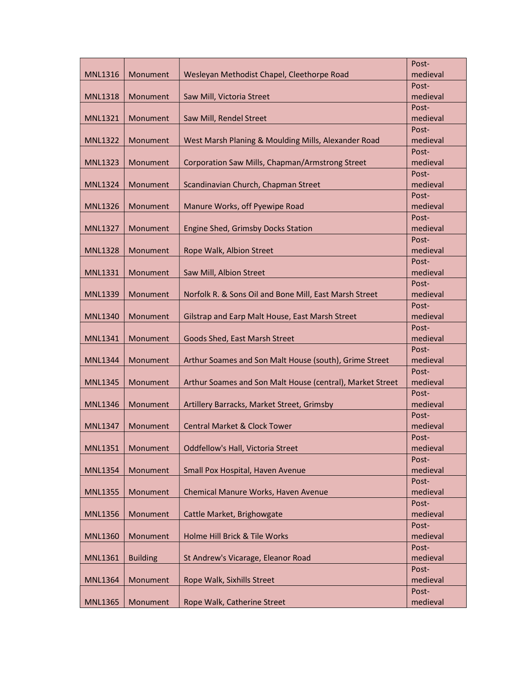|                |                 |                                                           | Post-             |
|----------------|-----------------|-----------------------------------------------------------|-------------------|
| <b>MNL1316</b> | Monument        | Wesleyan Methodist Chapel, Cleethorpe Road                | medieval          |
|                |                 |                                                           | Post-             |
| <b>MNL1318</b> | Monument        | Saw Mill, Victoria Street                                 | medieval          |
|                |                 |                                                           | Post-             |
| <b>MNL1321</b> | Monument        | Saw Mill, Rendel Street                                   | medieval          |
|                |                 |                                                           | Post-             |
| <b>MNL1322</b> | Monument        | West Marsh Planing & Moulding Mills, Alexander Road       | medieval          |
|                |                 |                                                           | Post-             |
| <b>MNL1323</b> | Monument        | Corporation Saw Mills, Chapman/Armstrong Street           | medieval          |
|                |                 |                                                           | Post-             |
| <b>MNL1324</b> | Monument        | Scandinavian Church, Chapman Street                       | medieval          |
|                |                 |                                                           | Post-             |
| <b>MNL1326</b> | Monument        | Manure Works, off Pyewipe Road                            | medieval          |
|                |                 |                                                           | Post-             |
| <b>MNL1327</b> | Monument        | Engine Shed, Grimsby Docks Station                        | medieval          |
|                |                 |                                                           | Post-             |
| <b>MNL1328</b> | Monument        | Rope Walk, Albion Street                                  | medieval          |
|                |                 |                                                           | Post-             |
| <b>MNL1331</b> | Monument        | Saw Mill, Albion Street                                   | medieval          |
|                |                 |                                                           | Post-             |
| <b>MNL1339</b> | Monument        | Norfolk R. & Sons Oil and Bone Mill, East Marsh Street    | medieval<br>Post- |
| <b>MNL1340</b> | Monument        | Gilstrap and Earp Malt House, East Marsh Street           | medieval          |
|                |                 |                                                           | Post-             |
| <b>MNL1341</b> | Monument        | Goods Shed, East Marsh Street                             | medieval          |
|                |                 |                                                           | Post-             |
| <b>MNL1344</b> | Monument        | Arthur Soames and Son Malt House (south), Grime Street    | medieval          |
|                |                 |                                                           | Post-             |
| <b>MNL1345</b> | Monument        | Arthur Soames and Son Malt House (central), Market Street | medieval          |
|                |                 |                                                           | Post-             |
| <b>MNL1346</b> | Monument        | Artillery Barracks, Market Street, Grimsby                | medieval          |
|                |                 |                                                           | Post-             |
| <b>MNL1347</b> | Monument        | <b>Central Market &amp; Clock Tower</b>                   | medieval          |
|                |                 |                                                           | Post-             |
| <b>MNL1351</b> | Monument        | Oddfellow's Hall, Victoria Street                         | medieval          |
|                |                 |                                                           | Post-             |
| <b>MNL1354</b> | Monument        | Small Pox Hospital, Haven Avenue                          | medieval          |
|                |                 |                                                           | Post-             |
| <b>MNL1355</b> | Monument        | Chemical Manure Works, Haven Avenue                       | medieval          |
|                |                 |                                                           | Post-             |
| <b>MNL1356</b> | Monument        | Cattle Market, Brighowgate                                | medieval          |
|                |                 |                                                           | Post-             |
| <b>MNL1360</b> | Monument        | Holme Hill Brick & Tile Works                             | medieval          |
|                |                 |                                                           | Post-             |
| <b>MNL1361</b> | <b>Building</b> | St Andrew's Vicarage, Eleanor Road                        | medieval          |
|                |                 |                                                           | Post-             |
| <b>MNL1364</b> | Monument        | Rope Walk, Sixhills Street                                | medieval          |
|                |                 |                                                           | Post-             |
| <b>MNL1365</b> | Monument        | Rope Walk, Catherine Street                               | medieval          |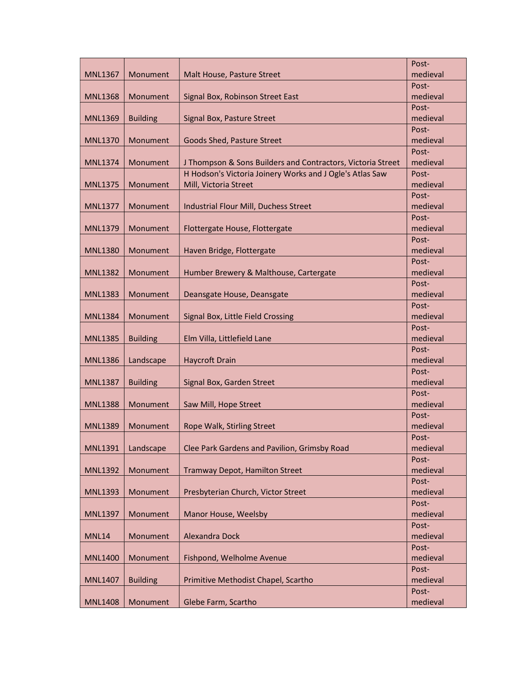|                |                 |                                                             | Post-             |
|----------------|-----------------|-------------------------------------------------------------|-------------------|
| <b>MNL1367</b> | Monument        | Malt House, Pasture Street                                  | medieval          |
|                |                 |                                                             | Post-             |
| <b>MNL1368</b> | Monument        | Signal Box, Robinson Street East                            | medieval          |
|                |                 |                                                             | Post-             |
| <b>MNL1369</b> | <b>Building</b> | Signal Box, Pasture Street                                  | medieval          |
|                |                 |                                                             | Post-             |
| <b>MNL1370</b> | Monument        | Goods Shed, Pasture Street                                  | medieval          |
|                |                 |                                                             | Post-             |
| <b>MNL1374</b> | Monument        | J Thompson & Sons Builders and Contractors, Victoria Street | medieval          |
|                |                 | H Hodson's Victoria Joinery Works and J Ogle's Atlas Saw    | Post-             |
| <b>MNL1375</b> | Monument        | Mill, Victoria Street                                       | medieval          |
|                |                 |                                                             | Post-             |
| <b>MNL1377</b> | Monument        | Industrial Flour Mill, Duchess Street                       | medieval          |
|                |                 |                                                             | Post-             |
| <b>MNL1379</b> | Monument        | Flottergate House, Flottergate                              | medieval          |
|                |                 |                                                             | Post-             |
| <b>MNL1380</b> | Monument        | Haven Bridge, Flottergate                                   | medieval          |
|                |                 |                                                             | Post-             |
| <b>MNL1382</b> | Monument        | Humber Brewery & Malthouse, Cartergate                      | medieval          |
|                |                 |                                                             | Post-             |
| <b>MNL1383</b> | Monument        | Deansgate House, Deansgate                                  | medieval          |
|                |                 |                                                             | Post-             |
| <b>MNL1384</b> | Monument        | Signal Box, Little Field Crossing                           | medieval          |
|                |                 |                                                             | Post-             |
| <b>MNL1385</b> | <b>Building</b> | Elm Villa, Littlefield Lane                                 | medieval          |
|                |                 |                                                             | Post-             |
| <b>MNL1386</b> | Landscape       | <b>Haycroft Drain</b>                                       | medieval          |
|                |                 |                                                             | Post-             |
| <b>MNL1387</b> | <b>Building</b> | Signal Box, Garden Street                                   | medieval<br>Post- |
| <b>MNL1388</b> | Monument        | Saw Mill, Hope Street                                       | medieval          |
|                |                 |                                                             | Post-             |
| <b>MNL1389</b> | Monument        | Rope Walk, Stirling Street                                  | medieval          |
|                |                 |                                                             | Post-             |
| <b>MNL1391</b> | Landscape       | Clee Park Gardens and Pavilion, Grimsby Road                | medieval          |
|                |                 |                                                             | Post-             |
| <b>MNL1392</b> | Monument        | Tramway Depot, Hamilton Street                              | medieval          |
|                |                 |                                                             | Post-             |
| <b>MNL1393</b> | Monument        | Presbyterian Church, Victor Street                          | medieval          |
|                |                 |                                                             | Post-             |
| <b>MNL1397</b> | Monument        | Manor House, Weelsby                                        | medieval          |
|                |                 |                                                             | Post-             |
| <b>MNL14</b>   | Monument        | Alexandra Dock                                              | medieval          |
|                |                 |                                                             | Post-             |
| <b>MNL1400</b> | Monument        | Fishpond, Welholme Avenue                                   | medieval          |
|                |                 |                                                             | Post-             |
| <b>MNL1407</b> | <b>Building</b> | Primitive Methodist Chapel, Scartho                         | medieval          |
|                |                 |                                                             | Post-             |
| <b>MNL1408</b> | Monument        | Glebe Farm, Scartho                                         | medieval          |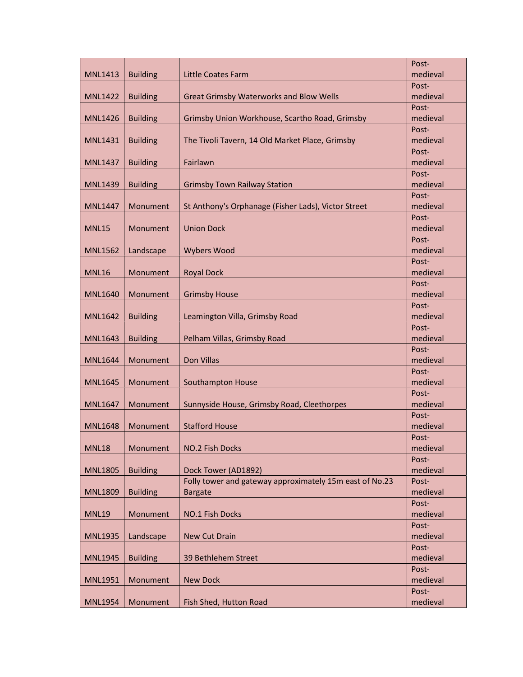| <b>Building</b><br><b>Little Coates Farm</b><br><b>MNL1413</b><br>Post-<br>medieval<br><b>MNL1422</b><br><b>Building</b><br><b>Great Grimsby Waterworks and Blow Wells</b><br>Post-<br>Grimsby Union Workhouse, Scartho Road, Grimsby<br>medieval<br><b>MNL1426</b><br><b>Building</b><br>Post-<br>The Tivoli Tavern, 14 Old Market Place, Grimsby<br>medieval<br><b>MNL1431</b><br><b>Building</b><br>Post-<br>Fairlawn<br>medieval<br><b>MNL1437</b><br><b>Building</b><br>Post-<br>medieval<br><b>MNL1439</b><br><b>Building</b><br><b>Grimsby Town Railway Station</b><br>Post-<br>St Anthony's Orphanage (Fisher Lads), Victor Street<br>medieval<br>Monument<br><b>MNL1447</b><br>Post-<br>medieval<br>Monument<br><b>Union Dock</b><br><b>MNL15</b><br>Post-<br>medieval<br><b>MNL1562</b><br>Landscape<br><b>Wybers Wood</b><br>Post-<br><b>MNL16</b><br>Monument<br><b>Royal Dock</b><br>medieval<br>Post-<br>Monument<br><b>Grimsby House</b><br>medieval<br><b>MNL1640</b><br>Post-<br>medieval<br><b>MNL1642</b><br><b>Building</b><br>Leamington Villa, Grimsby Road<br>Post-<br>medieval<br><b>MNL1643</b><br><b>Building</b><br>Pelham Villas, Grimsby Road<br>Post-<br>Don Villas<br>medieval<br><b>MNL1644</b><br>Monument<br>Post-<br>medieval<br>Monument<br>Southampton House<br><b>MNL1645</b><br>Post-<br>medieval<br><b>MNL1647</b><br>Monument<br>Sunnyside House, Grimsby Road, Cleethorpes<br>Post-<br><b>Stafford House</b><br>medieval<br><b>MNL1648</b><br>Monument<br>Post-<br><b>MNL18</b><br>Monument<br>NO.2 Fish Docks<br>medieval<br>Post-<br>Dock Tower (AD1892)<br>medieval<br><b>MNL1805</b><br><b>Building</b><br>Folly tower and gateway approximately 15m east of No.23<br>Post-<br>medieval<br><b>MNL1809</b><br><b>Building</b><br><b>Bargate</b><br>Post-<br><b>MNL19</b><br>Monument<br>medieval<br>NO.1 Fish Docks<br>Post-<br>medieval<br><b>MNL1935</b><br>Landscape<br><b>New Cut Drain</b><br>Post-<br>39 Bethlehem Street<br>medieval<br><b>MNL1945</b><br><b>Building</b><br>Post-<br><b>New Dock</b><br>medieval<br><b>MNL1951</b><br>Monument<br>Post-<br>medieval<br><b>MNL1954</b><br>Monument<br>Fish Shed, Hutton Road |  | Post-    |
|----------------------------------------------------------------------------------------------------------------------------------------------------------------------------------------------------------------------------------------------------------------------------------------------------------------------------------------------------------------------------------------------------------------------------------------------------------------------------------------------------------------------------------------------------------------------------------------------------------------------------------------------------------------------------------------------------------------------------------------------------------------------------------------------------------------------------------------------------------------------------------------------------------------------------------------------------------------------------------------------------------------------------------------------------------------------------------------------------------------------------------------------------------------------------------------------------------------------------------------------------------------------------------------------------------------------------------------------------------------------------------------------------------------------------------------------------------------------------------------------------------------------------------------------------------------------------------------------------------------------------------------------------------------------------------------------------------------------------------------------------------------------------------------------------------------------------------------------------------------------------------------------------------------------------------------------------------------------------------------------------------------------------------------------------------------------------------------------------------------------------------------------------------------------------------|--|----------|
|                                                                                                                                                                                                                                                                                                                                                                                                                                                                                                                                                                                                                                                                                                                                                                                                                                                                                                                                                                                                                                                                                                                                                                                                                                                                                                                                                                                                                                                                                                                                                                                                                                                                                                                                                                                                                                                                                                                                                                                                                                                                                                                                                                                  |  | medieval |
|                                                                                                                                                                                                                                                                                                                                                                                                                                                                                                                                                                                                                                                                                                                                                                                                                                                                                                                                                                                                                                                                                                                                                                                                                                                                                                                                                                                                                                                                                                                                                                                                                                                                                                                                                                                                                                                                                                                                                                                                                                                                                                                                                                                  |  |          |
|                                                                                                                                                                                                                                                                                                                                                                                                                                                                                                                                                                                                                                                                                                                                                                                                                                                                                                                                                                                                                                                                                                                                                                                                                                                                                                                                                                                                                                                                                                                                                                                                                                                                                                                                                                                                                                                                                                                                                                                                                                                                                                                                                                                  |  |          |
|                                                                                                                                                                                                                                                                                                                                                                                                                                                                                                                                                                                                                                                                                                                                                                                                                                                                                                                                                                                                                                                                                                                                                                                                                                                                                                                                                                                                                                                                                                                                                                                                                                                                                                                                                                                                                                                                                                                                                                                                                                                                                                                                                                                  |  |          |
|                                                                                                                                                                                                                                                                                                                                                                                                                                                                                                                                                                                                                                                                                                                                                                                                                                                                                                                                                                                                                                                                                                                                                                                                                                                                                                                                                                                                                                                                                                                                                                                                                                                                                                                                                                                                                                                                                                                                                                                                                                                                                                                                                                                  |  |          |
|                                                                                                                                                                                                                                                                                                                                                                                                                                                                                                                                                                                                                                                                                                                                                                                                                                                                                                                                                                                                                                                                                                                                                                                                                                                                                                                                                                                                                                                                                                                                                                                                                                                                                                                                                                                                                                                                                                                                                                                                                                                                                                                                                                                  |  |          |
|                                                                                                                                                                                                                                                                                                                                                                                                                                                                                                                                                                                                                                                                                                                                                                                                                                                                                                                                                                                                                                                                                                                                                                                                                                                                                                                                                                                                                                                                                                                                                                                                                                                                                                                                                                                                                                                                                                                                                                                                                                                                                                                                                                                  |  |          |
|                                                                                                                                                                                                                                                                                                                                                                                                                                                                                                                                                                                                                                                                                                                                                                                                                                                                                                                                                                                                                                                                                                                                                                                                                                                                                                                                                                                                                                                                                                                                                                                                                                                                                                                                                                                                                                                                                                                                                                                                                                                                                                                                                                                  |  |          |
|                                                                                                                                                                                                                                                                                                                                                                                                                                                                                                                                                                                                                                                                                                                                                                                                                                                                                                                                                                                                                                                                                                                                                                                                                                                                                                                                                                                                                                                                                                                                                                                                                                                                                                                                                                                                                                                                                                                                                                                                                                                                                                                                                                                  |  |          |
|                                                                                                                                                                                                                                                                                                                                                                                                                                                                                                                                                                                                                                                                                                                                                                                                                                                                                                                                                                                                                                                                                                                                                                                                                                                                                                                                                                                                                                                                                                                                                                                                                                                                                                                                                                                                                                                                                                                                                                                                                                                                                                                                                                                  |  |          |
|                                                                                                                                                                                                                                                                                                                                                                                                                                                                                                                                                                                                                                                                                                                                                                                                                                                                                                                                                                                                                                                                                                                                                                                                                                                                                                                                                                                                                                                                                                                                                                                                                                                                                                                                                                                                                                                                                                                                                                                                                                                                                                                                                                                  |  |          |
|                                                                                                                                                                                                                                                                                                                                                                                                                                                                                                                                                                                                                                                                                                                                                                                                                                                                                                                                                                                                                                                                                                                                                                                                                                                                                                                                                                                                                                                                                                                                                                                                                                                                                                                                                                                                                                                                                                                                                                                                                                                                                                                                                                                  |  |          |
|                                                                                                                                                                                                                                                                                                                                                                                                                                                                                                                                                                                                                                                                                                                                                                                                                                                                                                                                                                                                                                                                                                                                                                                                                                                                                                                                                                                                                                                                                                                                                                                                                                                                                                                                                                                                                                                                                                                                                                                                                                                                                                                                                                                  |  |          |
|                                                                                                                                                                                                                                                                                                                                                                                                                                                                                                                                                                                                                                                                                                                                                                                                                                                                                                                                                                                                                                                                                                                                                                                                                                                                                                                                                                                                                                                                                                                                                                                                                                                                                                                                                                                                                                                                                                                                                                                                                                                                                                                                                                                  |  |          |
|                                                                                                                                                                                                                                                                                                                                                                                                                                                                                                                                                                                                                                                                                                                                                                                                                                                                                                                                                                                                                                                                                                                                                                                                                                                                                                                                                                                                                                                                                                                                                                                                                                                                                                                                                                                                                                                                                                                                                                                                                                                                                                                                                                                  |  |          |
|                                                                                                                                                                                                                                                                                                                                                                                                                                                                                                                                                                                                                                                                                                                                                                                                                                                                                                                                                                                                                                                                                                                                                                                                                                                                                                                                                                                                                                                                                                                                                                                                                                                                                                                                                                                                                                                                                                                                                                                                                                                                                                                                                                                  |  |          |
|                                                                                                                                                                                                                                                                                                                                                                                                                                                                                                                                                                                                                                                                                                                                                                                                                                                                                                                                                                                                                                                                                                                                                                                                                                                                                                                                                                                                                                                                                                                                                                                                                                                                                                                                                                                                                                                                                                                                                                                                                                                                                                                                                                                  |  |          |
|                                                                                                                                                                                                                                                                                                                                                                                                                                                                                                                                                                                                                                                                                                                                                                                                                                                                                                                                                                                                                                                                                                                                                                                                                                                                                                                                                                                                                                                                                                                                                                                                                                                                                                                                                                                                                                                                                                                                                                                                                                                                                                                                                                                  |  |          |
|                                                                                                                                                                                                                                                                                                                                                                                                                                                                                                                                                                                                                                                                                                                                                                                                                                                                                                                                                                                                                                                                                                                                                                                                                                                                                                                                                                                                                                                                                                                                                                                                                                                                                                                                                                                                                                                                                                                                                                                                                                                                                                                                                                                  |  |          |
|                                                                                                                                                                                                                                                                                                                                                                                                                                                                                                                                                                                                                                                                                                                                                                                                                                                                                                                                                                                                                                                                                                                                                                                                                                                                                                                                                                                                                                                                                                                                                                                                                                                                                                                                                                                                                                                                                                                                                                                                                                                                                                                                                                                  |  |          |
|                                                                                                                                                                                                                                                                                                                                                                                                                                                                                                                                                                                                                                                                                                                                                                                                                                                                                                                                                                                                                                                                                                                                                                                                                                                                                                                                                                                                                                                                                                                                                                                                                                                                                                                                                                                                                                                                                                                                                                                                                                                                                                                                                                                  |  |          |
|                                                                                                                                                                                                                                                                                                                                                                                                                                                                                                                                                                                                                                                                                                                                                                                                                                                                                                                                                                                                                                                                                                                                                                                                                                                                                                                                                                                                                                                                                                                                                                                                                                                                                                                                                                                                                                                                                                                                                                                                                                                                                                                                                                                  |  |          |
|                                                                                                                                                                                                                                                                                                                                                                                                                                                                                                                                                                                                                                                                                                                                                                                                                                                                                                                                                                                                                                                                                                                                                                                                                                                                                                                                                                                                                                                                                                                                                                                                                                                                                                                                                                                                                                                                                                                                                                                                                                                                                                                                                                                  |  |          |
|                                                                                                                                                                                                                                                                                                                                                                                                                                                                                                                                                                                                                                                                                                                                                                                                                                                                                                                                                                                                                                                                                                                                                                                                                                                                                                                                                                                                                                                                                                                                                                                                                                                                                                                                                                                                                                                                                                                                                                                                                                                                                                                                                                                  |  |          |
|                                                                                                                                                                                                                                                                                                                                                                                                                                                                                                                                                                                                                                                                                                                                                                                                                                                                                                                                                                                                                                                                                                                                                                                                                                                                                                                                                                                                                                                                                                                                                                                                                                                                                                                                                                                                                                                                                                                                                                                                                                                                                                                                                                                  |  |          |
|                                                                                                                                                                                                                                                                                                                                                                                                                                                                                                                                                                                                                                                                                                                                                                                                                                                                                                                                                                                                                                                                                                                                                                                                                                                                                                                                                                                                                                                                                                                                                                                                                                                                                                                                                                                                                                                                                                                                                                                                                                                                                                                                                                                  |  |          |
|                                                                                                                                                                                                                                                                                                                                                                                                                                                                                                                                                                                                                                                                                                                                                                                                                                                                                                                                                                                                                                                                                                                                                                                                                                                                                                                                                                                                                                                                                                                                                                                                                                                                                                                                                                                                                                                                                                                                                                                                                                                                                                                                                                                  |  |          |
|                                                                                                                                                                                                                                                                                                                                                                                                                                                                                                                                                                                                                                                                                                                                                                                                                                                                                                                                                                                                                                                                                                                                                                                                                                                                                                                                                                                                                                                                                                                                                                                                                                                                                                                                                                                                                                                                                                                                                                                                                                                                                                                                                                                  |  |          |
|                                                                                                                                                                                                                                                                                                                                                                                                                                                                                                                                                                                                                                                                                                                                                                                                                                                                                                                                                                                                                                                                                                                                                                                                                                                                                                                                                                                                                                                                                                                                                                                                                                                                                                                                                                                                                                                                                                                                                                                                                                                                                                                                                                                  |  |          |
|                                                                                                                                                                                                                                                                                                                                                                                                                                                                                                                                                                                                                                                                                                                                                                                                                                                                                                                                                                                                                                                                                                                                                                                                                                                                                                                                                                                                                                                                                                                                                                                                                                                                                                                                                                                                                                                                                                                                                                                                                                                                                                                                                                                  |  |          |
|                                                                                                                                                                                                                                                                                                                                                                                                                                                                                                                                                                                                                                                                                                                                                                                                                                                                                                                                                                                                                                                                                                                                                                                                                                                                                                                                                                                                                                                                                                                                                                                                                                                                                                                                                                                                                                                                                                                                                                                                                                                                                                                                                                                  |  |          |
|                                                                                                                                                                                                                                                                                                                                                                                                                                                                                                                                                                                                                                                                                                                                                                                                                                                                                                                                                                                                                                                                                                                                                                                                                                                                                                                                                                                                                                                                                                                                                                                                                                                                                                                                                                                                                                                                                                                                                                                                                                                                                                                                                                                  |  |          |
|                                                                                                                                                                                                                                                                                                                                                                                                                                                                                                                                                                                                                                                                                                                                                                                                                                                                                                                                                                                                                                                                                                                                                                                                                                                                                                                                                                                                                                                                                                                                                                                                                                                                                                                                                                                                                                                                                                                                                                                                                                                                                                                                                                                  |  |          |
|                                                                                                                                                                                                                                                                                                                                                                                                                                                                                                                                                                                                                                                                                                                                                                                                                                                                                                                                                                                                                                                                                                                                                                                                                                                                                                                                                                                                                                                                                                                                                                                                                                                                                                                                                                                                                                                                                                                                                                                                                                                                                                                                                                                  |  |          |
|                                                                                                                                                                                                                                                                                                                                                                                                                                                                                                                                                                                                                                                                                                                                                                                                                                                                                                                                                                                                                                                                                                                                                                                                                                                                                                                                                                                                                                                                                                                                                                                                                                                                                                                                                                                                                                                                                                                                                                                                                                                                                                                                                                                  |  |          |
|                                                                                                                                                                                                                                                                                                                                                                                                                                                                                                                                                                                                                                                                                                                                                                                                                                                                                                                                                                                                                                                                                                                                                                                                                                                                                                                                                                                                                                                                                                                                                                                                                                                                                                                                                                                                                                                                                                                                                                                                                                                                                                                                                                                  |  |          |
|                                                                                                                                                                                                                                                                                                                                                                                                                                                                                                                                                                                                                                                                                                                                                                                                                                                                                                                                                                                                                                                                                                                                                                                                                                                                                                                                                                                                                                                                                                                                                                                                                                                                                                                                                                                                                                                                                                                                                                                                                                                                                                                                                                                  |  |          |
|                                                                                                                                                                                                                                                                                                                                                                                                                                                                                                                                                                                                                                                                                                                                                                                                                                                                                                                                                                                                                                                                                                                                                                                                                                                                                                                                                                                                                                                                                                                                                                                                                                                                                                                                                                                                                                                                                                                                                                                                                                                                                                                                                                                  |  |          |
|                                                                                                                                                                                                                                                                                                                                                                                                                                                                                                                                                                                                                                                                                                                                                                                                                                                                                                                                                                                                                                                                                                                                                                                                                                                                                                                                                                                                                                                                                                                                                                                                                                                                                                                                                                                                                                                                                                                                                                                                                                                                                                                                                                                  |  |          |
|                                                                                                                                                                                                                                                                                                                                                                                                                                                                                                                                                                                                                                                                                                                                                                                                                                                                                                                                                                                                                                                                                                                                                                                                                                                                                                                                                                                                                                                                                                                                                                                                                                                                                                                                                                                                                                                                                                                                                                                                                                                                                                                                                                                  |  |          |
|                                                                                                                                                                                                                                                                                                                                                                                                                                                                                                                                                                                                                                                                                                                                                                                                                                                                                                                                                                                                                                                                                                                                                                                                                                                                                                                                                                                                                                                                                                                                                                                                                                                                                                                                                                                                                                                                                                                                                                                                                                                                                                                                                                                  |  |          |
|                                                                                                                                                                                                                                                                                                                                                                                                                                                                                                                                                                                                                                                                                                                                                                                                                                                                                                                                                                                                                                                                                                                                                                                                                                                                                                                                                                                                                                                                                                                                                                                                                                                                                                                                                                                                                                                                                                                                                                                                                                                                                                                                                                                  |  |          |
|                                                                                                                                                                                                                                                                                                                                                                                                                                                                                                                                                                                                                                                                                                                                                                                                                                                                                                                                                                                                                                                                                                                                                                                                                                                                                                                                                                                                                                                                                                                                                                                                                                                                                                                                                                                                                                                                                                                                                                                                                                                                                                                                                                                  |  |          |
|                                                                                                                                                                                                                                                                                                                                                                                                                                                                                                                                                                                                                                                                                                                                                                                                                                                                                                                                                                                                                                                                                                                                                                                                                                                                                                                                                                                                                                                                                                                                                                                                                                                                                                                                                                                                                                                                                                                                                                                                                                                                                                                                                                                  |  |          |
|                                                                                                                                                                                                                                                                                                                                                                                                                                                                                                                                                                                                                                                                                                                                                                                                                                                                                                                                                                                                                                                                                                                                                                                                                                                                                                                                                                                                                                                                                                                                                                                                                                                                                                                                                                                                                                                                                                                                                                                                                                                                                                                                                                                  |  |          |
|                                                                                                                                                                                                                                                                                                                                                                                                                                                                                                                                                                                                                                                                                                                                                                                                                                                                                                                                                                                                                                                                                                                                                                                                                                                                                                                                                                                                                                                                                                                                                                                                                                                                                                                                                                                                                                                                                                                                                                                                                                                                                                                                                                                  |  |          |
|                                                                                                                                                                                                                                                                                                                                                                                                                                                                                                                                                                                                                                                                                                                                                                                                                                                                                                                                                                                                                                                                                                                                                                                                                                                                                                                                                                                                                                                                                                                                                                                                                                                                                                                                                                                                                                                                                                                                                                                                                                                                                                                                                                                  |  |          |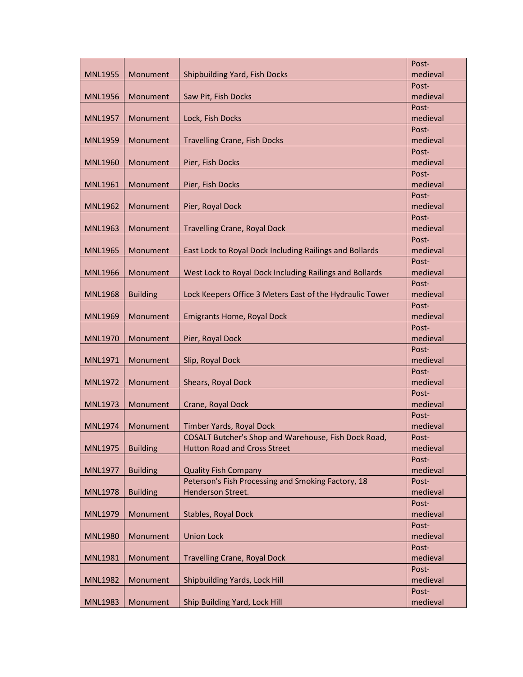|                |                 |                                                          | Post-             |
|----------------|-----------------|----------------------------------------------------------|-------------------|
| <b>MNL1955</b> | Monument        | <b>Shipbuilding Yard, Fish Docks</b>                     | medieval          |
|                |                 |                                                          | Post-             |
| <b>MNL1956</b> | Monument        | Saw Pit, Fish Docks                                      | medieval          |
|                |                 |                                                          | Post-             |
| <b>MNL1957</b> | Monument        | Lock, Fish Docks                                         | medieval          |
|                |                 |                                                          | Post-             |
| <b>MNL1959</b> | Monument        | <b>Travelling Crane, Fish Docks</b>                      | medieval          |
|                |                 |                                                          | Post-             |
| <b>MNL1960</b> | Monument        | Pier, Fish Docks                                         | medieval          |
|                |                 |                                                          | Post-             |
| <b>MNL1961</b> | Monument        | Pier, Fish Docks                                         | medieval          |
|                |                 |                                                          | Post-             |
| <b>MNL1962</b> | Monument        | Pier, Royal Dock                                         | medieval          |
|                |                 |                                                          | Post-             |
| <b>MNL1963</b> | Monument        | <b>Travelling Crane, Royal Dock</b>                      | medieval          |
|                |                 |                                                          | Post-             |
| <b>MNL1965</b> | Monument        | East Lock to Royal Dock Including Railings and Bollards  | medieval          |
|                |                 |                                                          | Post-             |
| <b>MNL1966</b> | Monument        | West Lock to Royal Dock Including Railings and Bollards  | medieval          |
|                |                 |                                                          | Post-             |
| <b>MNL1968</b> | <b>Building</b> | Lock Keepers Office 3 Meters East of the Hydraulic Tower | medieval          |
|                |                 |                                                          | Post-             |
| <b>MNL1969</b> | Monument        | <b>Emigrants Home, Royal Dock</b>                        | medieval          |
|                | Monument        |                                                          | Post-<br>medieval |
| <b>MNL1970</b> |                 | Pier, Royal Dock                                         | Post-             |
| MNL1971        | Monument        | Slip, Royal Dock                                         | medieval          |
|                |                 |                                                          | Post-             |
| <b>MNL1972</b> | Monument        | Shears, Royal Dock                                       | medieval          |
|                |                 |                                                          | Post-             |
| <b>MNL1973</b> | Monument        | Crane, Royal Dock                                        | medieval          |
|                |                 |                                                          | Post-             |
| <b>MNL1974</b> | Monument        | Timber Yards, Royal Dock                                 | medieval          |
|                |                 | COSALT Butcher's Shop and Warehouse, Fish Dock Road,     | Post-             |
| <b>MNL1975</b> | <b>Building</b> | <b>Hutton Road and Cross Street</b>                      | medieval          |
|                |                 |                                                          | Post-             |
| <b>MNL1977</b> | <b>Building</b> | <b>Quality Fish Company</b>                              | medieval          |
|                |                 | Peterson's Fish Processing and Smoking Factory, 18       | Post-             |
| <b>MNL1978</b> | <b>Building</b> | Henderson Street.                                        | medieval          |
|                |                 |                                                          | Post-             |
| <b>MNL1979</b> | Monument        | Stables, Royal Dock                                      | medieval          |
|                |                 |                                                          | Post-             |
| <b>MNL1980</b> | Monument        | <b>Union Lock</b>                                        | medieval          |
|                |                 |                                                          | Post-             |
| <b>MNL1981</b> | Monument        | <b>Travelling Crane, Royal Dock</b>                      | medieval          |
|                |                 |                                                          | Post-             |
| <b>MNL1982</b> | Monument        | Shipbuilding Yards, Lock Hill                            | medieval          |
|                |                 |                                                          | Post-             |
| <b>MNL1983</b> | Monument        | Ship Building Yard, Lock Hill                            | medieval          |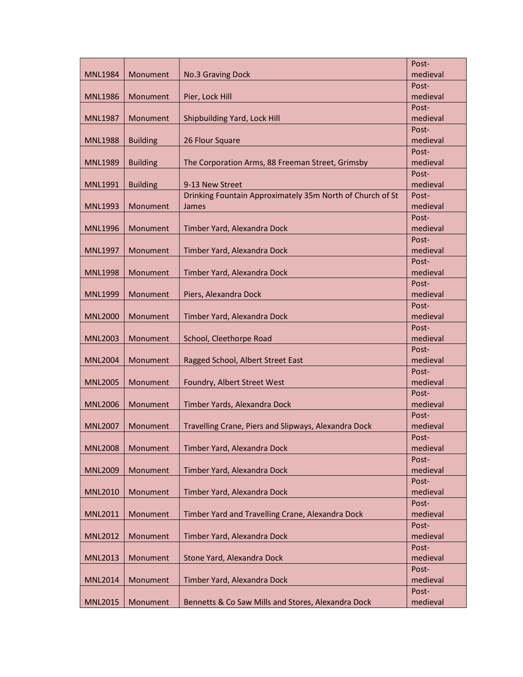|                |                 |                                                           | Post-             |
|----------------|-----------------|-----------------------------------------------------------|-------------------|
| <b>MNL1984</b> | Monument        | No.3 Graving Dock                                         | medieval          |
|                |                 |                                                           | Post-             |
| <b>MNL1986</b> | Monument        | Pier, Lock Hill                                           | medieval          |
|                |                 |                                                           | Post-             |
| <b>MNL1987</b> | Monument        | Shipbuilding Yard, Lock Hill                              | medieval          |
|                |                 |                                                           | Post-             |
| <b>MNL1988</b> | <b>Building</b> | 26 Flour Square                                           | medieval          |
|                |                 |                                                           | Post-             |
| <b>MNL1989</b> | <b>Building</b> | The Corporation Arms, 88 Freeman Street, Grimsby          | medieval          |
|                |                 |                                                           | Post-             |
| <b>MNL1991</b> | <b>Building</b> | 9-13 New Street                                           | medieval          |
|                |                 | Drinking Fountain Approximately 35m North of Church of St | Post-             |
| <b>MNL1993</b> | Monument        | James                                                     | medieval          |
|                |                 |                                                           | Post-             |
| <b>MNL1996</b> | Monument        | Timber Yard, Alexandra Dock                               | medieval<br>Post- |
| <b>MNL1997</b> | Monument        | Timber Yard, Alexandra Dock                               | medieval          |
|                |                 |                                                           | Post-             |
| <b>MNL1998</b> | Monument        | Timber Yard, Alexandra Dock                               | medieval          |
|                |                 |                                                           | Post-             |
| <b>MNL1999</b> | Monument        | Piers, Alexandra Dock                                     | medieval          |
|                |                 |                                                           | Post-             |
| <b>MNL2000</b> | Monument        | Timber Yard, Alexandra Dock                               | medieval          |
|                |                 |                                                           | Post-             |
| <b>MNL2003</b> | Monument        | School, Cleethorpe Road                                   | medieval          |
|                |                 |                                                           | Post-             |
| <b>MNL2004</b> | Monument        | Ragged School, Albert Street East                         | medieval          |
|                |                 |                                                           | Post-             |
| <b>MNL2005</b> | Monument        | Foundry, Albert Street West                               | medieval          |
|                |                 |                                                           | Post-             |
| <b>MNL2006</b> | Monument        | Timber Yards, Alexandra Dock                              | medieval          |
|                |                 |                                                           | Post-             |
| <b>MNL2007</b> | Monument        | Travelling Crane, Piers and Slipways, Alexandra Dock      | medieval          |
|                |                 |                                                           | Post-             |
| <b>MNL2008</b> | Monument        | Timber Yard, Alexandra Dock                               | medieval          |
|                | Monument        |                                                           | Post-             |
| <b>MNL2009</b> |                 | Timber Yard, Alexandra Dock                               | medieval          |
| <b>MNL2010</b> | Monument        | Timber Yard, Alexandra Dock                               | Post-<br>medieval |
|                |                 |                                                           | Post-             |
| <b>MNL2011</b> | Monument        | Timber Yard and Travelling Crane, Alexandra Dock          | medieval          |
|                |                 |                                                           | Post-             |
| <b>MNL2012</b> | Monument        | Timber Yard, Alexandra Dock                               | medieval          |
|                |                 |                                                           | Post-             |
| <b>MNL2013</b> | Monument        | Stone Yard, Alexandra Dock                                | medieval          |
|                |                 |                                                           | Post-             |
| <b>MNL2014</b> | Monument        | Timber Yard, Alexandra Dock                               | medieval          |
|                |                 |                                                           | Post-             |
| <b>MNL2015</b> | Monument        | Bennetts & Co Saw Mills and Stores, Alexandra Dock        | medieval          |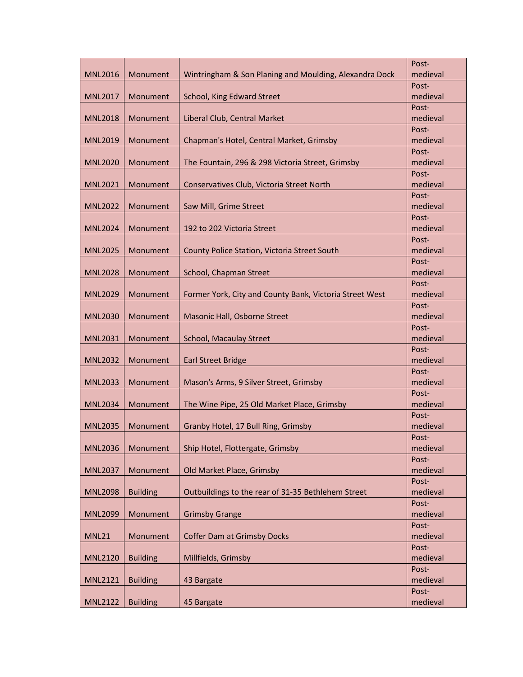|                |                 |                                                         | Post-             |
|----------------|-----------------|---------------------------------------------------------|-------------------|
| <b>MNL2016</b> | Monument        | Wintringham & Son Planing and Moulding, Alexandra Dock  | medieval          |
|                |                 |                                                         | Post-             |
| <b>MNL2017</b> | Monument        | School, King Edward Street                              | medieval          |
|                |                 |                                                         | Post-             |
| <b>MNL2018</b> | Monument        | Liberal Club, Central Market                            | medieval          |
|                |                 |                                                         | Post-             |
| <b>MNL2019</b> | Monument        | Chapman's Hotel, Central Market, Grimsby                | medieval          |
|                |                 |                                                         | Post-             |
| <b>MNL2020</b> | Monument        | The Fountain, 296 & 298 Victoria Street, Grimsby        | medieval          |
|                |                 |                                                         | Post-             |
| <b>MNL2021</b> | Monument        | Conservatives Club, Victoria Street North               | medieval          |
|                |                 |                                                         | Post-             |
| <b>MNL2022</b> | Monument        | Saw Mill, Grime Street                                  | medieval          |
|                |                 |                                                         | Post-             |
| <b>MNL2024</b> | Monument        | 192 to 202 Victoria Street                              | medieval          |
|                |                 |                                                         | Post-             |
| <b>MNL2025</b> | Monument        | County Police Station, Victoria Street South            | medieval          |
|                |                 |                                                         | Post-             |
| <b>MNL2028</b> | Monument        | School, Chapman Street                                  | medieval          |
|                |                 |                                                         | Post-             |
| <b>MNL2029</b> | Monument        | Former York, City and County Bank, Victoria Street West | medieval<br>Post- |
| <b>MNL2030</b> | Monument        | Masonic Hall, Osborne Street                            | medieval          |
|                |                 |                                                         | Post-             |
| <b>MNL2031</b> | Monument        | School, Macaulay Street                                 | medieval          |
|                |                 |                                                         | Post-             |
| <b>MNL2032</b> | Monument        | <b>Earl Street Bridge</b>                               | medieval          |
|                |                 |                                                         | Post-             |
| <b>MNL2033</b> | Monument        | Mason's Arms, 9 Silver Street, Grimsby                  | medieval          |
|                |                 |                                                         | Post-             |
| <b>MNL2034</b> | Monument        | The Wine Pipe, 25 Old Market Place, Grimsby             | medieval          |
|                |                 |                                                         | Post-             |
| <b>MNL2035</b> | Monument        | Granby Hotel, 17 Bull Ring, Grimsby                     | medieval          |
|                |                 |                                                         | Post-             |
| <b>MNL2036</b> | Monument        | Ship Hotel, Flottergate, Grimsby                        | medieval          |
|                |                 |                                                         | Post-             |
| <b>MNL2037</b> | Monument        | Old Market Place, Grimsby                               | medieval          |
|                |                 |                                                         | Post-             |
| <b>MNL2098</b> | <b>Building</b> | Outbuildings to the rear of 31-35 Bethlehem Street      | medieval          |
|                |                 |                                                         | Post-             |
| <b>MNL2099</b> | Monument        | <b>Grimsby Grange</b>                                   | medieval          |
|                |                 |                                                         | Post-             |
| <b>MNL21</b>   | Monument        | <b>Coffer Dam at Grimsby Docks</b>                      | medieval          |
|                |                 |                                                         | Post-             |
| <b>MNL2120</b> | <b>Building</b> | Millfields, Grimsby                                     | medieval          |
|                |                 |                                                         | Post-             |
| <b>MNL2121</b> | <b>Building</b> | 43 Bargate                                              | medieval<br>Post- |
| <b>MNL2122</b> | <b>Building</b> | 45 Bargate                                              | medieval          |
|                |                 |                                                         |                   |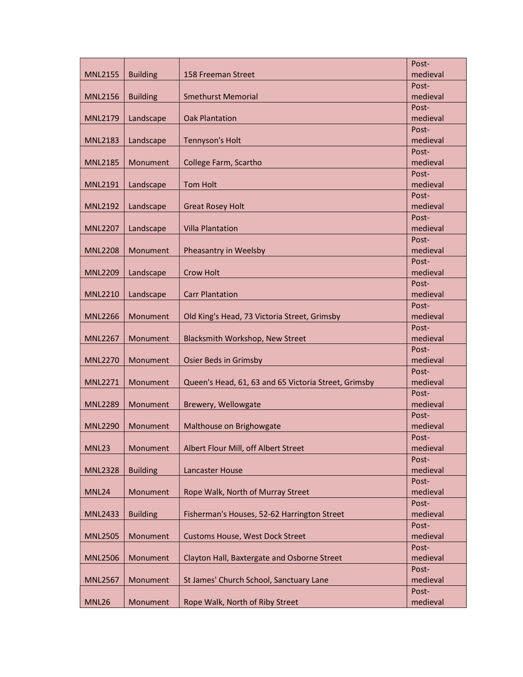|                |                 |                                                      | Post-             |
|----------------|-----------------|------------------------------------------------------|-------------------|
| <b>MNL2155</b> | <b>Building</b> | 158 Freeman Street                                   | medieval          |
|                |                 |                                                      | Post-             |
| <b>MNL2156</b> | <b>Building</b> | <b>Smethurst Memorial</b>                            | medieval          |
|                |                 |                                                      | Post-             |
| <b>MNL2179</b> | Landscape       | <b>Oak Plantation</b>                                | medieval          |
|                |                 |                                                      | Post-             |
| <b>MNL2183</b> | Landscape       | <b>Tennyson's Holt</b>                               | medieval          |
|                |                 |                                                      | Post-             |
| <b>MNL2185</b> | Monument        | College Farm, Scartho                                | medieval          |
|                |                 |                                                      | Post-             |
| <b>MNL2191</b> | Landscape       | <b>Tom Holt</b>                                      | medieval          |
|                |                 |                                                      | Post-             |
| <b>MNL2192</b> | Landscape       | <b>Great Rosey Holt</b>                              | medieval          |
|                |                 |                                                      | Post-             |
| <b>MNL2207</b> | Landscape       | <b>Villa Plantation</b>                              | medieval          |
|                |                 |                                                      | Post-             |
| <b>MNL2208</b> | Monument        | Pheasantry in Weelsby                                | medieval          |
|                |                 |                                                      | Post-             |
| <b>MNL2209</b> | Landscape       | <b>Crow Holt</b>                                     | medieval<br>Post- |
| <b>MNL2210</b> | Landscape       | <b>Carr Plantation</b>                               | medieval          |
|                |                 |                                                      | Post-             |
| <b>MNL2266</b> | Monument        | Old King's Head, 73 Victoria Street, Grimsby         | medieval          |
|                |                 |                                                      | Post-             |
| <b>MNL2267</b> | Monument        | Blacksmith Workshop, New Street                      | medieval          |
|                |                 |                                                      | Post-             |
| <b>MNL2270</b> | Monument        | <b>Osier Beds in Grimsby</b>                         | medieval          |
|                |                 |                                                      | Post-             |
| <b>MNL2271</b> | Monument        | Queen's Head, 61, 63 and 65 Victoria Street, Grimsby | medieval          |
|                |                 |                                                      | Post-             |
| <b>MNL2289</b> | Monument        | Brewery, Wellowgate                                  | medieval          |
|                |                 |                                                      | Post-             |
| <b>MNL2290</b> | Monument        | Malthouse on Brighowgate                             | medieval          |
|                |                 |                                                      | Post-             |
| MNL23          | Monument        | Albert Flour Mill, off Albert Street                 | medieval          |
|                |                 |                                                      | Post-             |
| <b>MNL2328</b> | <b>Building</b> | <b>Lancaster House</b>                               | medieval          |
|                |                 |                                                      | Post-             |
| MNL24          | Monument        | Rope Walk, North of Murray Street                    | medieval          |
|                |                 |                                                      | Post-             |
| <b>MNL2433</b> | <b>Building</b> | Fisherman's Houses, 52-62 Harrington Street          | medieval          |
|                |                 |                                                      | Post-             |
| <b>MNL2505</b> | Monument        | <b>Customs House, West Dock Street</b>               | medieval          |
|                |                 |                                                      | Post-             |
| <b>MNL2506</b> | Monument        | Clayton Hall, Baxtergate and Osborne Street          | medieval          |
|                |                 |                                                      | Post-<br>medieval |
| <b>MNL2567</b> | Monument        | St James' Church School, Sanctuary Lane              | Post-             |
| <b>MNL26</b>   | Monument        | Rope Walk, North of Riby Street                      | medieval          |
|                |                 |                                                      |                   |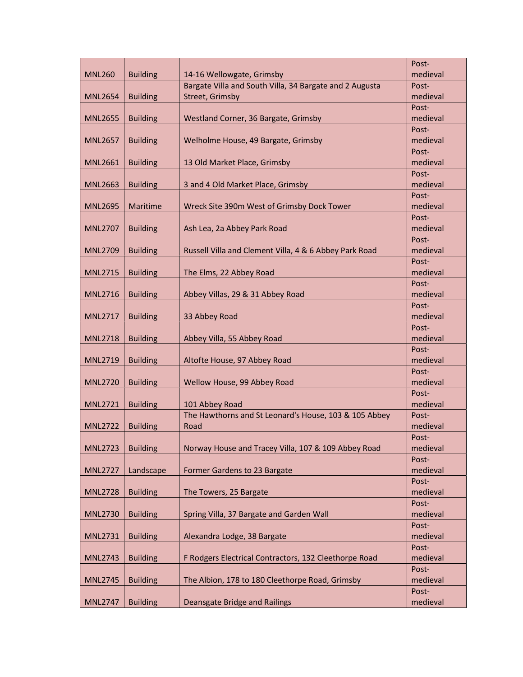|                |                 |                                                         | Post-             |
|----------------|-----------------|---------------------------------------------------------|-------------------|
| <b>MNL260</b>  | <b>Building</b> | 14-16 Wellowgate, Grimsby                               | medieval          |
|                |                 | Bargate Villa and South Villa, 34 Bargate and 2 Augusta | Post-             |
| <b>MNL2654</b> | <b>Building</b> | Street, Grimsby                                         | medieval          |
|                |                 |                                                         | Post-             |
| <b>MNL2655</b> | <b>Building</b> | Westland Corner, 36 Bargate, Grimsby                    | medieval          |
|                |                 |                                                         | Post-             |
| <b>MNL2657</b> | <b>Building</b> | Welholme House, 49 Bargate, Grimsby                     | medieval          |
|                |                 |                                                         | Post-             |
| <b>MNL2661</b> | <b>Building</b> | 13 Old Market Place, Grimsby                            | medieval          |
|                |                 |                                                         | Post-             |
| <b>MNL2663</b> | <b>Building</b> | 3 and 4 Old Market Place, Grimsby                       | medieval          |
|                |                 |                                                         | Post-             |
| <b>MNL2695</b> | Maritime        | Wreck Site 390m West of Grimsby Dock Tower              | medieval          |
|                |                 |                                                         | Post-             |
| <b>MNL2707</b> | <b>Building</b> | Ash Lea, 2a Abbey Park Road                             | medieval          |
|                |                 |                                                         | Post-             |
| <b>MNL2709</b> | <b>Building</b> | Russell Villa and Clement Villa, 4 & 6 Abbey Park Road  | medieval          |
|                |                 |                                                         | Post-             |
| <b>MNL2715</b> | <b>Building</b> | The Elms, 22 Abbey Road                                 | medieval          |
|                |                 |                                                         | Post-             |
| <b>MNL2716</b> | <b>Building</b> | Abbey Villas, 29 & 31 Abbey Road                        | medieval          |
| <b>MNL2717</b> |                 |                                                         | Post-<br>medieval |
|                | <b>Building</b> | 33 Abbey Road                                           | Post-             |
| <b>MNL2718</b> | <b>Building</b> | Abbey Villa, 55 Abbey Road                              | medieval          |
|                |                 |                                                         | Post-             |
| <b>MNL2719</b> | <b>Building</b> | Altofte House, 97 Abbey Road                            | medieval          |
|                |                 |                                                         | Post-             |
| <b>MNL2720</b> | <b>Building</b> | Wellow House, 99 Abbey Road                             | medieval          |
|                |                 |                                                         | Post-             |
| <b>MNL2721</b> | <b>Building</b> | 101 Abbey Road                                          | medieval          |
|                |                 | The Hawthorns and St Leonard's House, 103 & 105 Abbey   | Post-             |
| <b>MNL2722</b> | <b>Building</b> | Road                                                    | medieval          |
|                |                 |                                                         | Post-             |
| <b>MNL2723</b> | <b>Building</b> | Norway House and Tracey Villa, 107 & 109 Abbey Road     | medieval          |
|                |                 |                                                         | Post-             |
| <b>MNL2727</b> | Landscape       | Former Gardens to 23 Bargate                            | medieval          |
|                |                 |                                                         | Post-             |
| <b>MNL2728</b> | <b>Building</b> | The Towers, 25 Bargate                                  | medieval          |
|                |                 |                                                         | Post-             |
| <b>MNL2730</b> | <b>Building</b> | Spring Villa, 37 Bargate and Garden Wall                | medieval          |
|                |                 |                                                         | Post-             |
| <b>MNL2731</b> | <b>Building</b> | Alexandra Lodge, 38 Bargate                             | medieval          |
|                |                 |                                                         | Post-             |
| <b>MNL2743</b> | <b>Building</b> | F Rodgers Electrical Contractors, 132 Cleethorpe Road   | medieval          |
|                |                 |                                                         | Post-             |
| <b>MNL2745</b> | <b>Building</b> | The Albion, 178 to 180 Cleethorpe Road, Grimsby         | medieval          |
|                |                 |                                                         | Post-             |
| <b>MNL2747</b> | <b>Building</b> | <b>Deansgate Bridge and Railings</b>                    | medieval          |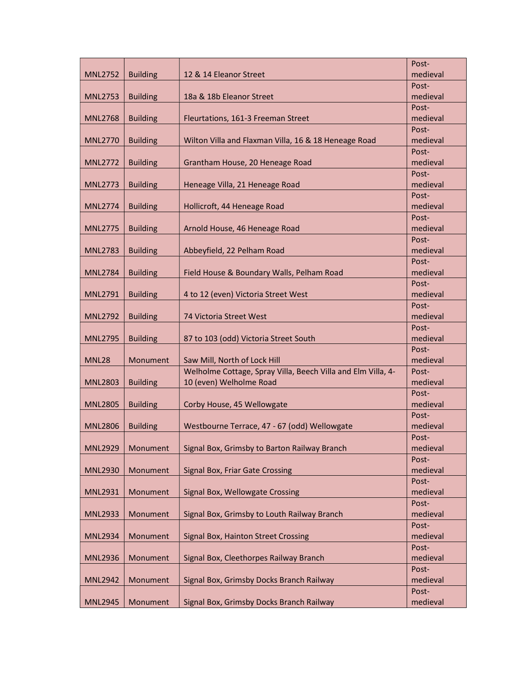|                |                 |                                                              | Post-             |
|----------------|-----------------|--------------------------------------------------------------|-------------------|
| <b>MNL2752</b> | <b>Building</b> | 12 & 14 Eleanor Street                                       | medieval          |
|                |                 |                                                              | Post-             |
| <b>MNL2753</b> | <b>Building</b> | 18a & 18b Eleanor Street                                     | medieval          |
|                |                 |                                                              | Post-             |
| <b>MNL2768</b> | <b>Building</b> | Fleurtations, 161-3 Freeman Street                           | medieval          |
|                |                 |                                                              | Post-             |
| <b>MNL2770</b> | <b>Building</b> | Wilton Villa and Flaxman Villa, 16 & 18 Heneage Road         | medieval          |
|                |                 |                                                              | Post-             |
| <b>MNL2772</b> | <b>Building</b> | Grantham House, 20 Heneage Road                              | medieval          |
|                |                 |                                                              | Post-             |
| <b>MNL2773</b> | <b>Building</b> | Heneage Villa, 21 Heneage Road                               | medieval          |
|                |                 |                                                              | Post-             |
| <b>MNL2774</b> | <b>Building</b> | Hollicroft, 44 Heneage Road                                  | medieval          |
|                |                 |                                                              | Post-             |
| <b>MNL2775</b> | <b>Building</b> | Arnold House, 46 Heneage Road                                | medieval          |
|                |                 |                                                              | Post-             |
| <b>MNL2783</b> | <b>Building</b> | Abbeyfield, 22 Pelham Road                                   | medieval          |
|                |                 |                                                              | Post-             |
| <b>MNL2784</b> | <b>Building</b> | Field House & Boundary Walls, Pelham Road                    | medieval          |
|                |                 |                                                              | Post-             |
| <b>MNL2791</b> | <b>Building</b> | 4 to 12 (even) Victoria Street West                          | medieval          |
|                |                 |                                                              | Post-             |
| <b>MNL2792</b> | <b>Building</b> | 74 Victoria Street West                                      | medieval          |
|                |                 |                                                              | Post-<br>medieval |
| <b>MNL2795</b> | <b>Building</b> | 87 to 103 (odd) Victoria Street South                        | Post-             |
| <b>MNL28</b>   | Monument        | Saw Mill, North of Lock Hill                                 | medieval          |
|                |                 | Welholme Cottage, Spray Villa, Beech Villa and Elm Villa, 4- | Post-             |
| <b>MNL2803</b> | <b>Building</b> | 10 (even) Welholme Road                                      | medieval          |
|                |                 |                                                              | Post-             |
| <b>MNL2805</b> | <b>Building</b> | Corby House, 45 Wellowgate                                   | medieval          |
|                |                 |                                                              | Post-             |
| <b>MNL2806</b> | <b>Building</b> | Westbourne Terrace, 47 - 67 (odd) Wellowgate                 | medieval          |
|                |                 |                                                              | Post-             |
| <b>MNL2929</b> | Monument        | Signal Box, Grimsby to Barton Railway Branch                 | medieval          |
|                |                 |                                                              | Post-             |
| <b>MNL2930</b> | Monument        | Signal Box, Friar Gate Crossing                              | medieval          |
|                |                 |                                                              | Post-             |
| <b>MNL2931</b> | Monument        | Signal Box, Wellowgate Crossing                              | medieval          |
|                |                 |                                                              | Post-             |
| <b>MNL2933</b> | Monument        | Signal Box, Grimsby to Louth Railway Branch                  | medieval          |
|                |                 |                                                              | Post-             |
| <b>MNL2934</b> | Monument        | Signal Box, Hainton Street Crossing                          | medieval          |
|                |                 |                                                              | Post-             |
| <b>MNL2936</b> | Monument        | Signal Box, Cleethorpes Railway Branch                       | medieval          |
|                |                 |                                                              | Post-             |
| <b>MNL2942</b> | Monument        | Signal Box, Grimsby Docks Branch Railway                     | medieval          |
|                |                 |                                                              | Post-             |
| <b>MNL2945</b> | Monument        | Signal Box, Grimsby Docks Branch Railway                     | medieval          |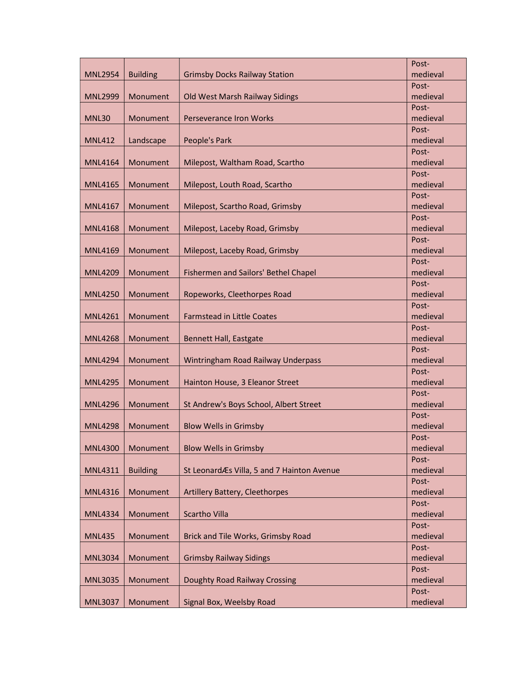|                |                 |                                            | Post-             |
|----------------|-----------------|--------------------------------------------|-------------------|
| <b>MNL2954</b> | <b>Building</b> | <b>Grimsby Docks Railway Station</b>       | medieval          |
|                |                 |                                            | Post-             |
| <b>MNL2999</b> | Monument        | Old West Marsh Railway Sidings             | medieval          |
|                |                 |                                            | Post-             |
| MNL30          | Monument        | <b>Perseverance Iron Works</b>             | medieval          |
|                |                 |                                            | Post-             |
| <b>MNL412</b>  | Landscape       | People's Park                              | medieval          |
|                |                 |                                            | Post-             |
| <b>MNL4164</b> | Monument        | Milepost, Waltham Road, Scartho            | medieval          |
|                |                 |                                            | Post-             |
| <b>MNL4165</b> | Monument        | Milepost, Louth Road, Scartho              | medieval          |
|                |                 |                                            | Post-             |
| <b>MNL4167</b> | Monument        | Milepost, Scartho Road, Grimsby            | medieval          |
|                |                 |                                            | Post-             |
| MNL4168        | Monument        | Milepost, Laceby Road, Grimsby             | medieval          |
|                |                 |                                            | Post-             |
| <b>MNL4169</b> | Monument        | Milepost, Laceby Road, Grimsby             | medieval          |
|                |                 |                                            | Post-             |
| <b>MNL4209</b> | Monument        | Fishermen and Sailors' Bethel Chapel       | medieval          |
|                |                 |                                            | Post-             |
| <b>MNL4250</b> | Monument        | Ropeworks, Cleethorpes Road                | medieval          |
|                |                 |                                            | Post-             |
| <b>MNL4261</b> | Monument        | <b>Farmstead in Little Coates</b>          | medieval          |
| <b>MNL4268</b> | Monument        | <b>Bennett Hall, Eastgate</b>              | Post-<br>medieval |
|                |                 |                                            | Post-             |
| <b>MNL4294</b> | Monument        | Wintringham Road Railway Underpass         | medieval          |
|                |                 |                                            | Post-             |
| <b>MNL4295</b> | Monument        | Hainton House, 3 Eleanor Street            | medieval          |
|                |                 |                                            | Post-             |
| <b>MNL4296</b> | Monument        | St Andrew's Boys School, Albert Street     | medieval          |
|                |                 |                                            | Post-             |
| <b>MNL4298</b> | Monument        | <b>Blow Wells in Grimsby</b>               | medieval          |
|                |                 |                                            | Post-             |
| <b>MNL4300</b> | Monument        | <b>Blow Wells in Grimsby</b>               | medieval          |
|                |                 |                                            | Post-             |
| <b>MNL4311</b> | <b>Building</b> | St LeonardÆs Villa, 5 and 7 Hainton Avenue | medieval          |
|                |                 |                                            | Post-             |
| <b>MNL4316</b> | Monument        | Artillery Battery, Cleethorpes             | medieval          |
|                |                 |                                            | Post-             |
| <b>MNL4334</b> | Monument        | Scartho Villa                              | medieval          |
|                |                 |                                            | Post-             |
| <b>MNL435</b>  | Monument        | Brick and Tile Works, Grimsby Road         | medieval          |
|                |                 |                                            | Post-             |
| <b>MNL3034</b> | Monument        | <b>Grimsby Railway Sidings</b>             | medieval          |
|                |                 |                                            | Post-             |
| <b>MNL3035</b> | Monument        | Doughty Road Railway Crossing              | medieval          |
|                |                 |                                            | Post-             |
| <b>MNL3037</b> | Monument        | Signal Box, Weelsby Road                   | medieval          |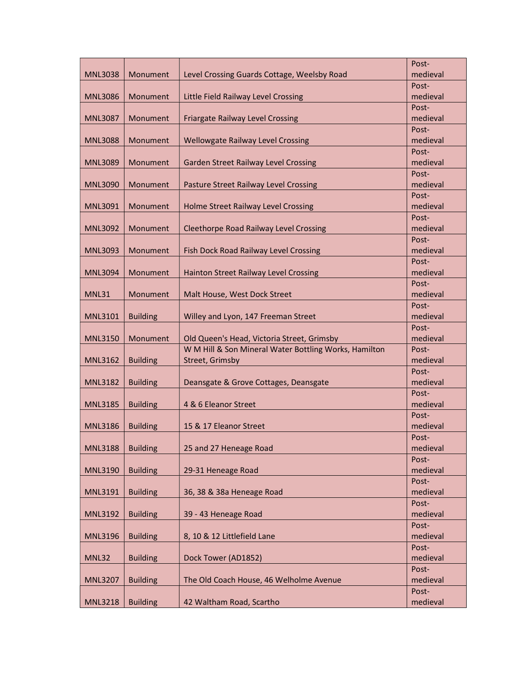|                |                 |                                                                          | Post-             |
|----------------|-----------------|--------------------------------------------------------------------------|-------------------|
| <b>MNL3038</b> | Monument        | Level Crossing Guards Cottage, Weelsby Road                              | medieval          |
|                |                 |                                                                          | Post-             |
| <b>MNL3086</b> | Monument        | Little Field Railway Level Crossing                                      | medieval          |
|                |                 |                                                                          | Post-             |
| <b>MNL3087</b> | Monument        | <b>Friargate Railway Level Crossing</b>                                  | medieval          |
|                |                 |                                                                          | Post-             |
| <b>MNL3088</b> | Monument        | <b>Wellowgate Railway Level Crossing</b>                                 | medieval          |
|                |                 |                                                                          | Post-             |
| <b>MNL3089</b> | Monument        | <b>Garden Street Railway Level Crossing</b>                              | medieval          |
|                |                 |                                                                          | Post-             |
| <b>MNL3090</b> | Monument        | Pasture Street Railway Level Crossing                                    | medieval          |
|                |                 |                                                                          | Post-             |
| <b>MNL3091</b> | Monument        | Holme Street Railway Level Crossing                                      | medieval          |
|                |                 |                                                                          | Post-             |
| <b>MNL3092</b> | Monument        | <b>Cleethorpe Road Railway Level Crossing</b>                            | medieval          |
|                |                 |                                                                          | Post-             |
| <b>MNL3093</b> | Monument        | Fish Dock Road Railway Level Crossing                                    | medieval          |
|                |                 |                                                                          | Post-             |
| <b>MNL3094</b> | Monument        | <b>Hainton Street Railway Level Crossing</b>                             | medieval          |
|                |                 |                                                                          | Post-             |
| <b>MNL31</b>   | Monument        | Malt House, West Dock Street                                             | medieval          |
|                |                 |                                                                          | Post-             |
| <b>MNL3101</b> | <b>Building</b> | Willey and Lyon, 147 Freeman Street                                      | medieval          |
|                |                 |                                                                          | Post-<br>medieval |
| <b>MNL3150</b> | Monument        | Old Queen's Head, Victoria Street, Grimsby                               | Post-             |
| <b>MNL3162</b> | <b>Building</b> | W M Hill & Son Mineral Water Bottling Works, Hamilton<br>Street, Grimsby | medieval          |
|                |                 |                                                                          | Post-             |
| <b>MNL3182</b> | <b>Building</b> | Deansgate & Grove Cottages, Deansgate                                    | medieval          |
|                |                 |                                                                          | Post-             |
| <b>MNL3185</b> | <b>Building</b> | 4 & 6 Eleanor Street                                                     | medieval          |
|                |                 |                                                                          | Post-             |
| <b>MNL3186</b> | <b>Building</b> | 15 & 17 Eleanor Street                                                   | medieval          |
|                |                 |                                                                          | Post-             |
| <b>MNL3188</b> | <b>Building</b> | 25 and 27 Heneage Road                                                   | medieval          |
|                |                 |                                                                          | Post-             |
| <b>MNL3190</b> | <b>Building</b> | 29-31 Heneage Road                                                       | medieval          |
|                |                 |                                                                          | Post-             |
| <b>MNL3191</b> | <b>Building</b> | 36, 38 & 38a Heneage Road                                                | medieval          |
|                |                 |                                                                          | Post-             |
| <b>MNL3192</b> | <b>Building</b> | 39 - 43 Heneage Road                                                     | medieval          |
|                |                 |                                                                          | Post-             |
| <b>MNL3196</b> | <b>Building</b> | 8, 10 & 12 Littlefield Lane                                              | medieval          |
|                |                 |                                                                          | Post-             |
| <b>MNL32</b>   | <b>Building</b> | Dock Tower (AD1852)                                                      | medieval          |
|                |                 |                                                                          | Post-             |
| <b>MNL3207</b> | <b>Building</b> | The Old Coach House, 46 Welholme Avenue                                  | medieval          |
|                | <b>Building</b> |                                                                          | Post-             |
| <b>MNL3218</b> |                 | 42 Waltham Road, Scartho                                                 | medieval          |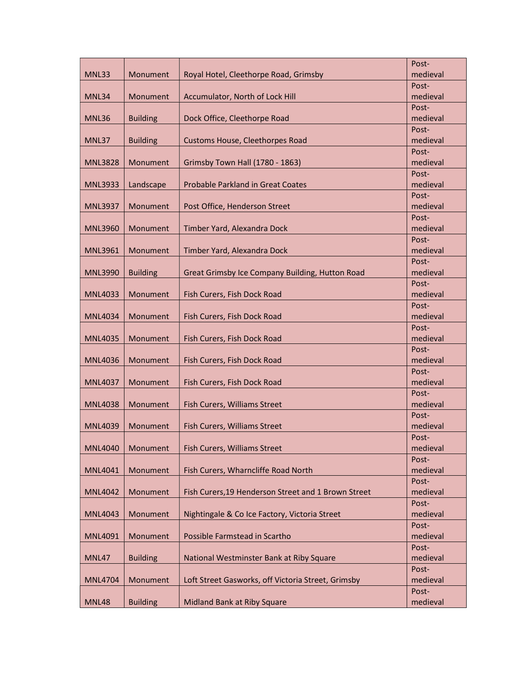|                |                 |                                                     | Post-             |
|----------------|-----------------|-----------------------------------------------------|-------------------|
| MNL33          | Monument        | Royal Hotel, Cleethorpe Road, Grimsby               | medieval          |
|                |                 |                                                     | Post-             |
| MNL34          | Monument        | Accumulator, North of Lock Hill                     | medieval          |
|                |                 |                                                     | Post-             |
| <b>MNL36</b>   | <b>Building</b> | Dock Office, Cleethorpe Road                        | medieval          |
|                |                 |                                                     | Post-             |
| MNL37          | <b>Building</b> | Customs House, Cleethorpes Road                     | medieval          |
|                |                 |                                                     | Post-             |
| <b>MNL3828</b> | Monument        | Grimsby Town Hall (1780 - 1863)                     | medieval          |
|                |                 |                                                     | Post-             |
| <b>MNL3933</b> | Landscape       | <b>Probable Parkland in Great Coates</b>            | medieval          |
|                |                 |                                                     | Post-             |
| <b>MNL3937</b> | Monument        | Post Office, Henderson Street                       | medieval          |
|                |                 |                                                     | Post-             |
| <b>MNL3960</b> | Monument        | Timber Yard, Alexandra Dock                         | medieval          |
|                |                 |                                                     | Post-             |
| <b>MNL3961</b> | Monument        | Timber Yard, Alexandra Dock                         | medieval          |
|                |                 |                                                     | Post-             |
| <b>MNL3990</b> | <b>Building</b> | Great Grimsby Ice Company Building, Hutton Road     | medieval          |
|                |                 |                                                     | Post-             |
| <b>MNL4033</b> | Monument        | Fish Curers, Fish Dock Road                         | medieval          |
|                |                 | Fish Curers, Fish Dock Road                         | Post-<br>medieval |
| <b>MNL4034</b> | Monument        |                                                     | Post-             |
| <b>MNL4035</b> | Monument        | Fish Curers, Fish Dock Road                         | medieval          |
|                |                 |                                                     | Post-             |
| <b>MNL4036</b> | Monument        | Fish Curers, Fish Dock Road                         | medieval          |
|                |                 |                                                     | Post-             |
| <b>MNL4037</b> | Monument        | Fish Curers, Fish Dock Road                         | medieval          |
|                |                 |                                                     | Post-             |
| <b>MNL4038</b> | Monument        | Fish Curers, Williams Street                        | medieval          |
|                |                 |                                                     | Post-             |
| <b>MNL4039</b> | Monument        | Fish Curers, Williams Street                        | medieval          |
|                |                 |                                                     | Post-             |
| <b>MNL4040</b> | Monument        | Fish Curers, Williams Street                        | medieval          |
|                |                 |                                                     | Post-             |
| MNL4041        | Monument        | Fish Curers, Wharncliffe Road North                 | medieval          |
|                |                 |                                                     | Post-             |
| <b>MNL4042</b> | Monument        | Fish Curers, 19 Henderson Street and 1 Brown Street | medieval          |
|                |                 |                                                     | Post-             |
| <b>MNL4043</b> | Monument        | Nightingale & Co Ice Factory, Victoria Street       | medieval          |
|                |                 |                                                     | Post-             |
| <b>MNL4091</b> | Monument        | Possible Farmstead in Scartho                       | medieval          |
|                |                 |                                                     | Post-             |
| MNL47          | <b>Building</b> | National Westminster Bank at Riby Square            | medieval          |
|                |                 |                                                     | Post-             |
| <b>MNL4704</b> | Monument        | Loft Street Gasworks, off Victoria Street, Grimsby  | medieval          |
|                |                 |                                                     | Post-             |
| <b>MNL48</b>   | <b>Building</b> | Midland Bank at Riby Square                         | medieval          |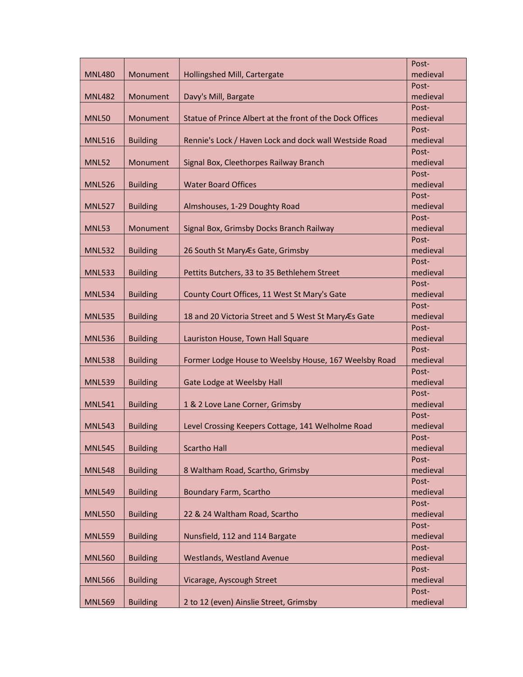|               |                 |                                                          | Post-             |
|---------------|-----------------|----------------------------------------------------------|-------------------|
| <b>MNL480</b> | Monument        | Hollingshed Mill, Cartergate                             | medieval          |
|               |                 |                                                          | Post-             |
| <b>MNL482</b> | Monument        | Davy's Mill, Bargate                                     | medieval          |
|               |                 |                                                          | Post-             |
| <b>MNL50</b>  | Monument        | Statue of Prince Albert at the front of the Dock Offices | medieval          |
|               |                 |                                                          | Post-             |
| <b>MNL516</b> | <b>Building</b> | Rennie's Lock / Haven Lock and dock wall Westside Road   | medieval          |
|               |                 |                                                          | Post-             |
| <b>MNL52</b>  | Monument        | Signal Box, Cleethorpes Railway Branch                   | medieval          |
|               |                 |                                                          | Post-             |
| <b>MNL526</b> | <b>Building</b> | <b>Water Board Offices</b>                               | medieval          |
|               |                 |                                                          | Post-             |
| <b>MNL527</b> | <b>Building</b> | Almshouses, 1-29 Doughty Road                            | medieval          |
|               |                 |                                                          | Post-             |
| <b>MNL53</b>  | Monument        | Signal Box, Grimsby Docks Branch Railway                 | medieval          |
|               |                 |                                                          | Post-             |
| <b>MNL532</b> | <b>Building</b> | 26 South St Mary Es Gate, Grimsby                        | medieval          |
|               |                 |                                                          | Post-             |
| <b>MNL533</b> | <b>Building</b> | Pettits Butchers, 33 to 35 Bethlehem Street              | medieval          |
|               |                 |                                                          | Post-             |
| <b>MNL534</b> | <b>Building</b> | County Court Offices, 11 West St Mary's Gate             | medieval          |
| <b>MNL535</b> | <b>Building</b> | 18 and 20 Victoria Street and 5 West St MaryÆs Gate      | Post-<br>medieval |
|               |                 |                                                          | Post-             |
| <b>MNL536</b> | <b>Building</b> | Lauriston House, Town Hall Square                        | medieval          |
|               |                 |                                                          | Post-             |
| <b>MNL538</b> | <b>Building</b> | Former Lodge House to Weelsby House, 167 Weelsby Road    | medieval          |
|               |                 |                                                          | Post-             |
| <b>MNL539</b> | <b>Building</b> | Gate Lodge at Weelsby Hall                               | medieval          |
|               |                 |                                                          | Post-             |
| <b>MNL541</b> | <b>Building</b> | 1 & 2 Love Lane Corner, Grimsby                          | medieval          |
|               |                 |                                                          | Post-             |
| <b>MNL543</b> | <b>Building</b> | Level Crossing Keepers Cottage, 141 Welholme Road        | medieval          |
|               |                 |                                                          | Post-             |
| <b>MNL545</b> | <b>Building</b> | <b>Scartho Hall</b>                                      | medieval          |
|               |                 |                                                          | Post-             |
| <b>MNL548</b> | <b>Building</b> | 8 Waltham Road, Scartho, Grimsby                         | medieval          |
|               |                 |                                                          | Post-             |
| <b>MNL549</b> | <b>Building</b> | <b>Boundary Farm, Scartho</b>                            | medieval          |
|               |                 |                                                          | Post-             |
| <b>MNL550</b> | <b>Building</b> | 22 & 24 Waltham Road, Scartho                            | medieval          |
|               |                 |                                                          | Post-             |
| <b>MNL559</b> | <b>Building</b> | Nunsfield, 112 and 114 Bargate                           | medieval          |
|               |                 |                                                          | Post-             |
| <b>MNL560</b> | <b>Building</b> | Westlands, Westland Avenue                               | medieval          |
|               |                 |                                                          | Post-             |
| <b>MNL566</b> | <b>Building</b> | Vicarage, Ayscough Street                                | medieval          |
|               |                 |                                                          | Post-             |
| <b>MNL569</b> | <b>Building</b> | 2 to 12 (even) Ainslie Street, Grimsby                   | medieval          |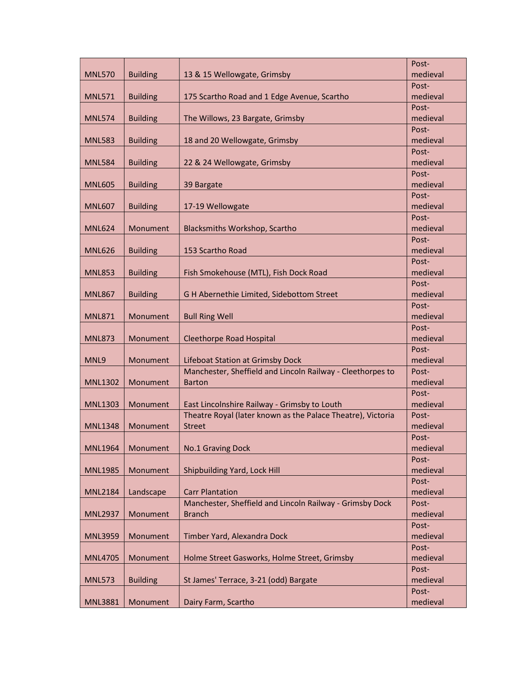|                |                 |                                                                                                             | Post-             |
|----------------|-----------------|-------------------------------------------------------------------------------------------------------------|-------------------|
| <b>MNL570</b>  | <b>Building</b> | 13 & 15 Wellowgate, Grimsby                                                                                 | medieval          |
|                |                 |                                                                                                             | Post-             |
| <b>MNL571</b>  | <b>Building</b> | 175 Scartho Road and 1 Edge Avenue, Scartho                                                                 | medieval          |
|                |                 |                                                                                                             | Post-             |
| <b>MNL574</b>  | <b>Building</b> | The Willows, 23 Bargate, Grimsby                                                                            | medieval          |
|                |                 |                                                                                                             | Post-             |
| <b>MNL583</b>  | <b>Building</b> | 18 and 20 Wellowgate, Grimsby                                                                               | medieval          |
|                |                 |                                                                                                             | Post-             |
| <b>MNL584</b>  | <b>Building</b> | 22 & 24 Wellowgate, Grimsby                                                                                 | medieval          |
|                |                 |                                                                                                             | Post-             |
| <b>MNL605</b>  | <b>Building</b> | 39 Bargate                                                                                                  | medieval          |
|                |                 |                                                                                                             | Post-             |
| <b>MNL607</b>  | <b>Building</b> | 17-19 Wellowgate                                                                                            | medieval          |
|                |                 |                                                                                                             | Post-             |
| <b>MNL624</b>  | Monument        | <b>Blacksmiths Workshop, Scartho</b>                                                                        | medieval          |
|                |                 |                                                                                                             | Post-             |
| <b>MNL626</b>  | <b>Building</b> | 153 Scartho Road                                                                                            | medieval          |
|                |                 |                                                                                                             | Post-             |
| <b>MNL853</b>  | <b>Building</b> | Fish Smokehouse (MTL), Fish Dock Road                                                                       | medieval          |
|                |                 |                                                                                                             | Post-             |
| <b>MNL867</b>  | <b>Building</b> | G H Abernethie Limited, Sidebottom Street                                                                   | medieval          |
|                |                 |                                                                                                             | Post-             |
| <b>MNL871</b>  | Monument        | <b>Bull Ring Well</b>                                                                                       | medieval          |
|                |                 |                                                                                                             | Post-             |
| <b>MNL873</b>  | Monument        | Cleethorpe Road Hospital                                                                                    | medieval          |
|                |                 |                                                                                                             | Post-             |
| MNL9           | Monument        | Lifeboat Station at Grimsby Dock                                                                            | medieval          |
|                |                 | Manchester, Sheffield and Lincoln Railway - Cleethorpes to                                                  | Post-             |
| <b>MNL1302</b> | Monument        | <b>Barton</b>                                                                                               | medieval          |
|                |                 |                                                                                                             | Post-             |
| <b>MNL1303</b> | Monument        | East Lincolnshire Railway - Grimsby to Louth<br>Theatre Royal (later known as the Palace Theatre), Victoria | medieval          |
| <b>MNL1348</b> | Monument        | <b>Street</b>                                                                                               | Post-<br>medieval |
|                |                 |                                                                                                             | Post-             |
| <b>MNL1964</b> | Monument        | No.1 Graving Dock                                                                                           | medieval          |
|                |                 |                                                                                                             | Post-             |
| <b>MNL1985</b> | Monument        | Shipbuilding Yard, Lock Hill                                                                                | medieval          |
|                |                 |                                                                                                             | Post-             |
| <b>MNL2184</b> | Landscape       | <b>Carr Plantation</b>                                                                                      | medieval          |
|                |                 | Manchester, Sheffield and Lincoln Railway - Grimsby Dock                                                    | Post-             |
| <b>MNL2937</b> | Monument        | <b>Branch</b>                                                                                               | medieval          |
|                |                 |                                                                                                             | Post-             |
| <b>MNL3959</b> | Monument        | Timber Yard, Alexandra Dock                                                                                 | medieval          |
|                |                 |                                                                                                             | Post-             |
| <b>MNL4705</b> | Monument        | Holme Street Gasworks, Holme Street, Grimsby                                                                | medieval          |
|                |                 |                                                                                                             | Post-             |
| <b>MNL573</b>  | <b>Building</b> | St James' Terrace, 3-21 (odd) Bargate                                                                       | medieval          |
|                |                 |                                                                                                             | Post-             |
| <b>MNL3881</b> | Monument        | Dairy Farm, Scartho                                                                                         | medieval          |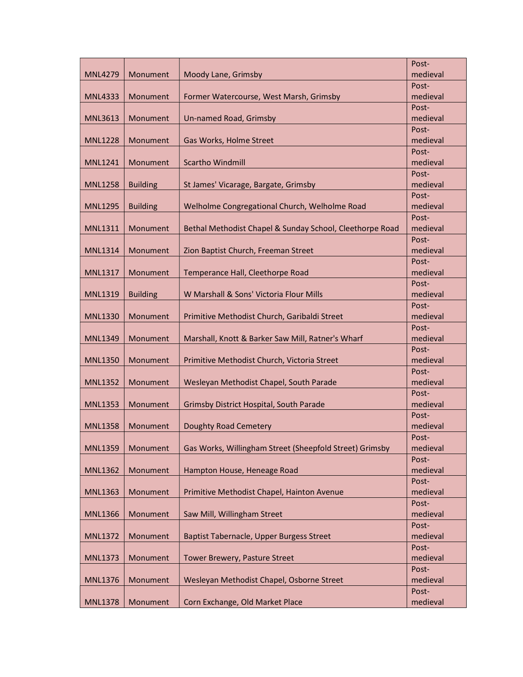| Moody Lane, Grimsby<br>medieval<br><b>MNL4279</b><br>Monument<br>Post-<br>medieval<br><b>MNL4333</b><br>Monument<br>Former Watercourse, West Marsh, Grimsby<br>Post-<br><b>MNL3613</b><br>Monument<br>Un-named Road, Grimsby<br>medieval<br>Post-<br>medieval<br><b>MNL1228</b><br>Monument<br>Gas Works, Holme Street<br>Post-<br><b>Scartho Windmill</b><br>medieval<br><b>MNL1241</b><br>Monument<br>Post-<br>medieval<br><b>MNL1258</b><br><b>Building</b><br>St James' Vicarage, Bargate, Grimsby<br>Post-<br>medieval<br><b>Building</b><br>Welholme Congregational Church, Welholme Road<br><b>MNL1295</b><br>Post-<br>Bethal Methodist Chapel & Sunday School, Cleethorpe Road<br>medieval<br><b>MNL1311</b><br>Monument<br>Post-<br>medieval<br><b>MNL1314</b><br>Monument<br>Zion Baptist Church, Freeman Street<br>Post-<br>medieval<br><b>MNL1317</b><br>Monument<br>Temperance Hall, Cleethorpe Road<br>Post-<br>W Marshall & Sons' Victoria Flour Mills<br>medieval<br><b>MNL1319</b><br><b>Building</b><br>Post-<br>Primitive Methodist Church, Garibaldi Street<br>medieval<br><b>MNL1330</b><br>Monument<br>Post-<br>Marshall, Knott & Barker Saw Mill, Ratner's Wharf<br>medieval<br><b>MNL1349</b><br>Monument<br>Post-<br>Primitive Methodist Church, Victoria Street<br>medieval<br>Monument<br><b>MNL1350</b><br>Post-<br>Wesleyan Methodist Chapel, South Parade<br>medieval<br><b>MNL1352</b><br>Monument<br>Post-<br>medieval<br><b>MNL1353</b><br>Monument<br>Grimsby District Hospital, South Parade<br>Post-<br>medieval<br><b>MNL1358</b><br>Monument<br><b>Doughty Road Cemetery</b><br>Post-<br><b>MNL1359</b><br>Monument<br>Gas Works, Willingham Street (Sheepfold Street) Grimsby<br>medieval<br>Post-<br>Hampton House, Heneage Road<br>medieval<br><b>MNL1362</b><br>Monument<br>Post-<br>Primitive Methodist Chapel, Hainton Avenue<br>medieval<br><b>MNL1363</b><br>Monument<br>Post-<br>Saw Mill, Willingham Street<br>medieval<br><b>MNL1366</b><br>Monument<br>Post-<br>Monument<br>Baptist Tabernacle, Upper Burgess Street<br>medieval<br><b>MNL1372</b><br>Post-<br>Monument<br>medieval<br><b>MNL1373</b><br>Tower Brewery, Pasture Street<br>Post-<br>Wesleyan Methodist Chapel, Osborne Street<br>medieval<br><b>MNL1376</b><br>Monument<br>Post- |                |          |                                 | Post-    |
|---------------------------------------------------------------------------------------------------------------------------------------------------------------------------------------------------------------------------------------------------------------------------------------------------------------------------------------------------------------------------------------------------------------------------------------------------------------------------------------------------------------------------------------------------------------------------------------------------------------------------------------------------------------------------------------------------------------------------------------------------------------------------------------------------------------------------------------------------------------------------------------------------------------------------------------------------------------------------------------------------------------------------------------------------------------------------------------------------------------------------------------------------------------------------------------------------------------------------------------------------------------------------------------------------------------------------------------------------------------------------------------------------------------------------------------------------------------------------------------------------------------------------------------------------------------------------------------------------------------------------------------------------------------------------------------------------------------------------------------------------------------------------------------------------------------------------------------------------------------------------------------------------------------------------------------------------------------------------------------------------------------------------------------------------------------------------------------------------------------------------------------------------------------------------------------------------------------------------------------------------------------------------------------------------|----------------|----------|---------------------------------|----------|
|                                                                                                                                                                                                                                                                                                                                                                                                                                                                                                                                                                                                                                                                                                                                                                                                                                                                                                                                                                                                                                                                                                                                                                                                                                                                                                                                                                                                                                                                                                                                                                                                                                                                                                                                                                                                                                                                                                                                                                                                                                                                                                                                                                                                                                                                                                   |                |          |                                 |          |
|                                                                                                                                                                                                                                                                                                                                                                                                                                                                                                                                                                                                                                                                                                                                                                                                                                                                                                                                                                                                                                                                                                                                                                                                                                                                                                                                                                                                                                                                                                                                                                                                                                                                                                                                                                                                                                                                                                                                                                                                                                                                                                                                                                                                                                                                                                   |                |          |                                 |          |
|                                                                                                                                                                                                                                                                                                                                                                                                                                                                                                                                                                                                                                                                                                                                                                                                                                                                                                                                                                                                                                                                                                                                                                                                                                                                                                                                                                                                                                                                                                                                                                                                                                                                                                                                                                                                                                                                                                                                                                                                                                                                                                                                                                                                                                                                                                   |                |          |                                 |          |
|                                                                                                                                                                                                                                                                                                                                                                                                                                                                                                                                                                                                                                                                                                                                                                                                                                                                                                                                                                                                                                                                                                                                                                                                                                                                                                                                                                                                                                                                                                                                                                                                                                                                                                                                                                                                                                                                                                                                                                                                                                                                                                                                                                                                                                                                                                   |                |          |                                 |          |
|                                                                                                                                                                                                                                                                                                                                                                                                                                                                                                                                                                                                                                                                                                                                                                                                                                                                                                                                                                                                                                                                                                                                                                                                                                                                                                                                                                                                                                                                                                                                                                                                                                                                                                                                                                                                                                                                                                                                                                                                                                                                                                                                                                                                                                                                                                   |                |          |                                 |          |
|                                                                                                                                                                                                                                                                                                                                                                                                                                                                                                                                                                                                                                                                                                                                                                                                                                                                                                                                                                                                                                                                                                                                                                                                                                                                                                                                                                                                                                                                                                                                                                                                                                                                                                                                                                                                                                                                                                                                                                                                                                                                                                                                                                                                                                                                                                   |                |          |                                 |          |
|                                                                                                                                                                                                                                                                                                                                                                                                                                                                                                                                                                                                                                                                                                                                                                                                                                                                                                                                                                                                                                                                                                                                                                                                                                                                                                                                                                                                                                                                                                                                                                                                                                                                                                                                                                                                                                                                                                                                                                                                                                                                                                                                                                                                                                                                                                   |                |          |                                 |          |
|                                                                                                                                                                                                                                                                                                                                                                                                                                                                                                                                                                                                                                                                                                                                                                                                                                                                                                                                                                                                                                                                                                                                                                                                                                                                                                                                                                                                                                                                                                                                                                                                                                                                                                                                                                                                                                                                                                                                                                                                                                                                                                                                                                                                                                                                                                   |                |          |                                 |          |
|                                                                                                                                                                                                                                                                                                                                                                                                                                                                                                                                                                                                                                                                                                                                                                                                                                                                                                                                                                                                                                                                                                                                                                                                                                                                                                                                                                                                                                                                                                                                                                                                                                                                                                                                                                                                                                                                                                                                                                                                                                                                                                                                                                                                                                                                                                   |                |          |                                 |          |
|                                                                                                                                                                                                                                                                                                                                                                                                                                                                                                                                                                                                                                                                                                                                                                                                                                                                                                                                                                                                                                                                                                                                                                                                                                                                                                                                                                                                                                                                                                                                                                                                                                                                                                                                                                                                                                                                                                                                                                                                                                                                                                                                                                                                                                                                                                   |                |          |                                 |          |
|                                                                                                                                                                                                                                                                                                                                                                                                                                                                                                                                                                                                                                                                                                                                                                                                                                                                                                                                                                                                                                                                                                                                                                                                                                                                                                                                                                                                                                                                                                                                                                                                                                                                                                                                                                                                                                                                                                                                                                                                                                                                                                                                                                                                                                                                                                   |                |          |                                 |          |
|                                                                                                                                                                                                                                                                                                                                                                                                                                                                                                                                                                                                                                                                                                                                                                                                                                                                                                                                                                                                                                                                                                                                                                                                                                                                                                                                                                                                                                                                                                                                                                                                                                                                                                                                                                                                                                                                                                                                                                                                                                                                                                                                                                                                                                                                                                   |                |          |                                 |          |
|                                                                                                                                                                                                                                                                                                                                                                                                                                                                                                                                                                                                                                                                                                                                                                                                                                                                                                                                                                                                                                                                                                                                                                                                                                                                                                                                                                                                                                                                                                                                                                                                                                                                                                                                                                                                                                                                                                                                                                                                                                                                                                                                                                                                                                                                                                   |                |          |                                 |          |
|                                                                                                                                                                                                                                                                                                                                                                                                                                                                                                                                                                                                                                                                                                                                                                                                                                                                                                                                                                                                                                                                                                                                                                                                                                                                                                                                                                                                                                                                                                                                                                                                                                                                                                                                                                                                                                                                                                                                                                                                                                                                                                                                                                                                                                                                                                   |                |          |                                 |          |
|                                                                                                                                                                                                                                                                                                                                                                                                                                                                                                                                                                                                                                                                                                                                                                                                                                                                                                                                                                                                                                                                                                                                                                                                                                                                                                                                                                                                                                                                                                                                                                                                                                                                                                                                                                                                                                                                                                                                                                                                                                                                                                                                                                                                                                                                                                   |                |          |                                 |          |
|                                                                                                                                                                                                                                                                                                                                                                                                                                                                                                                                                                                                                                                                                                                                                                                                                                                                                                                                                                                                                                                                                                                                                                                                                                                                                                                                                                                                                                                                                                                                                                                                                                                                                                                                                                                                                                                                                                                                                                                                                                                                                                                                                                                                                                                                                                   |                |          |                                 |          |
|                                                                                                                                                                                                                                                                                                                                                                                                                                                                                                                                                                                                                                                                                                                                                                                                                                                                                                                                                                                                                                                                                                                                                                                                                                                                                                                                                                                                                                                                                                                                                                                                                                                                                                                                                                                                                                                                                                                                                                                                                                                                                                                                                                                                                                                                                                   |                |          |                                 |          |
|                                                                                                                                                                                                                                                                                                                                                                                                                                                                                                                                                                                                                                                                                                                                                                                                                                                                                                                                                                                                                                                                                                                                                                                                                                                                                                                                                                                                                                                                                                                                                                                                                                                                                                                                                                                                                                                                                                                                                                                                                                                                                                                                                                                                                                                                                                   |                |          |                                 |          |
|                                                                                                                                                                                                                                                                                                                                                                                                                                                                                                                                                                                                                                                                                                                                                                                                                                                                                                                                                                                                                                                                                                                                                                                                                                                                                                                                                                                                                                                                                                                                                                                                                                                                                                                                                                                                                                                                                                                                                                                                                                                                                                                                                                                                                                                                                                   |                |          |                                 |          |
|                                                                                                                                                                                                                                                                                                                                                                                                                                                                                                                                                                                                                                                                                                                                                                                                                                                                                                                                                                                                                                                                                                                                                                                                                                                                                                                                                                                                                                                                                                                                                                                                                                                                                                                                                                                                                                                                                                                                                                                                                                                                                                                                                                                                                                                                                                   |                |          |                                 |          |
|                                                                                                                                                                                                                                                                                                                                                                                                                                                                                                                                                                                                                                                                                                                                                                                                                                                                                                                                                                                                                                                                                                                                                                                                                                                                                                                                                                                                                                                                                                                                                                                                                                                                                                                                                                                                                                                                                                                                                                                                                                                                                                                                                                                                                                                                                                   |                |          |                                 |          |
|                                                                                                                                                                                                                                                                                                                                                                                                                                                                                                                                                                                                                                                                                                                                                                                                                                                                                                                                                                                                                                                                                                                                                                                                                                                                                                                                                                                                                                                                                                                                                                                                                                                                                                                                                                                                                                                                                                                                                                                                                                                                                                                                                                                                                                                                                                   |                |          |                                 |          |
|                                                                                                                                                                                                                                                                                                                                                                                                                                                                                                                                                                                                                                                                                                                                                                                                                                                                                                                                                                                                                                                                                                                                                                                                                                                                                                                                                                                                                                                                                                                                                                                                                                                                                                                                                                                                                                                                                                                                                                                                                                                                                                                                                                                                                                                                                                   |                |          |                                 |          |
|                                                                                                                                                                                                                                                                                                                                                                                                                                                                                                                                                                                                                                                                                                                                                                                                                                                                                                                                                                                                                                                                                                                                                                                                                                                                                                                                                                                                                                                                                                                                                                                                                                                                                                                                                                                                                                                                                                                                                                                                                                                                                                                                                                                                                                                                                                   |                |          |                                 |          |
|                                                                                                                                                                                                                                                                                                                                                                                                                                                                                                                                                                                                                                                                                                                                                                                                                                                                                                                                                                                                                                                                                                                                                                                                                                                                                                                                                                                                                                                                                                                                                                                                                                                                                                                                                                                                                                                                                                                                                                                                                                                                                                                                                                                                                                                                                                   |                |          |                                 |          |
|                                                                                                                                                                                                                                                                                                                                                                                                                                                                                                                                                                                                                                                                                                                                                                                                                                                                                                                                                                                                                                                                                                                                                                                                                                                                                                                                                                                                                                                                                                                                                                                                                                                                                                                                                                                                                                                                                                                                                                                                                                                                                                                                                                                                                                                                                                   |                |          |                                 |          |
|                                                                                                                                                                                                                                                                                                                                                                                                                                                                                                                                                                                                                                                                                                                                                                                                                                                                                                                                                                                                                                                                                                                                                                                                                                                                                                                                                                                                                                                                                                                                                                                                                                                                                                                                                                                                                                                                                                                                                                                                                                                                                                                                                                                                                                                                                                   |                |          |                                 |          |
|                                                                                                                                                                                                                                                                                                                                                                                                                                                                                                                                                                                                                                                                                                                                                                                                                                                                                                                                                                                                                                                                                                                                                                                                                                                                                                                                                                                                                                                                                                                                                                                                                                                                                                                                                                                                                                                                                                                                                                                                                                                                                                                                                                                                                                                                                                   |                |          |                                 |          |
|                                                                                                                                                                                                                                                                                                                                                                                                                                                                                                                                                                                                                                                                                                                                                                                                                                                                                                                                                                                                                                                                                                                                                                                                                                                                                                                                                                                                                                                                                                                                                                                                                                                                                                                                                                                                                                                                                                                                                                                                                                                                                                                                                                                                                                                                                                   |                |          |                                 |          |
|                                                                                                                                                                                                                                                                                                                                                                                                                                                                                                                                                                                                                                                                                                                                                                                                                                                                                                                                                                                                                                                                                                                                                                                                                                                                                                                                                                                                                                                                                                                                                                                                                                                                                                                                                                                                                                                                                                                                                                                                                                                                                                                                                                                                                                                                                                   |                |          |                                 |          |
|                                                                                                                                                                                                                                                                                                                                                                                                                                                                                                                                                                                                                                                                                                                                                                                                                                                                                                                                                                                                                                                                                                                                                                                                                                                                                                                                                                                                                                                                                                                                                                                                                                                                                                                                                                                                                                                                                                                                                                                                                                                                                                                                                                                                                                                                                                   |                |          |                                 |          |
|                                                                                                                                                                                                                                                                                                                                                                                                                                                                                                                                                                                                                                                                                                                                                                                                                                                                                                                                                                                                                                                                                                                                                                                                                                                                                                                                                                                                                                                                                                                                                                                                                                                                                                                                                                                                                                                                                                                                                                                                                                                                                                                                                                                                                                                                                                   |                |          |                                 |          |
|                                                                                                                                                                                                                                                                                                                                                                                                                                                                                                                                                                                                                                                                                                                                                                                                                                                                                                                                                                                                                                                                                                                                                                                                                                                                                                                                                                                                                                                                                                                                                                                                                                                                                                                                                                                                                                                                                                                                                                                                                                                                                                                                                                                                                                                                                                   |                |          |                                 |          |
|                                                                                                                                                                                                                                                                                                                                                                                                                                                                                                                                                                                                                                                                                                                                                                                                                                                                                                                                                                                                                                                                                                                                                                                                                                                                                                                                                                                                                                                                                                                                                                                                                                                                                                                                                                                                                                                                                                                                                                                                                                                                                                                                                                                                                                                                                                   |                |          |                                 |          |
|                                                                                                                                                                                                                                                                                                                                                                                                                                                                                                                                                                                                                                                                                                                                                                                                                                                                                                                                                                                                                                                                                                                                                                                                                                                                                                                                                                                                                                                                                                                                                                                                                                                                                                                                                                                                                                                                                                                                                                                                                                                                                                                                                                                                                                                                                                   |                |          |                                 |          |
|                                                                                                                                                                                                                                                                                                                                                                                                                                                                                                                                                                                                                                                                                                                                                                                                                                                                                                                                                                                                                                                                                                                                                                                                                                                                                                                                                                                                                                                                                                                                                                                                                                                                                                                                                                                                                                                                                                                                                                                                                                                                                                                                                                                                                                                                                                   |                |          |                                 |          |
|                                                                                                                                                                                                                                                                                                                                                                                                                                                                                                                                                                                                                                                                                                                                                                                                                                                                                                                                                                                                                                                                                                                                                                                                                                                                                                                                                                                                                                                                                                                                                                                                                                                                                                                                                                                                                                                                                                                                                                                                                                                                                                                                                                                                                                                                                                   |                |          |                                 |          |
|                                                                                                                                                                                                                                                                                                                                                                                                                                                                                                                                                                                                                                                                                                                                                                                                                                                                                                                                                                                                                                                                                                                                                                                                                                                                                                                                                                                                                                                                                                                                                                                                                                                                                                                                                                                                                                                                                                                                                                                                                                                                                                                                                                                                                                                                                                   |                |          |                                 |          |
|                                                                                                                                                                                                                                                                                                                                                                                                                                                                                                                                                                                                                                                                                                                                                                                                                                                                                                                                                                                                                                                                                                                                                                                                                                                                                                                                                                                                                                                                                                                                                                                                                                                                                                                                                                                                                                                                                                                                                                                                                                                                                                                                                                                                                                                                                                   |                |          |                                 |          |
|                                                                                                                                                                                                                                                                                                                                                                                                                                                                                                                                                                                                                                                                                                                                                                                                                                                                                                                                                                                                                                                                                                                                                                                                                                                                                                                                                                                                                                                                                                                                                                                                                                                                                                                                                                                                                                                                                                                                                                                                                                                                                                                                                                                                                                                                                                   |                |          |                                 |          |
|                                                                                                                                                                                                                                                                                                                                                                                                                                                                                                                                                                                                                                                                                                                                                                                                                                                                                                                                                                                                                                                                                                                                                                                                                                                                                                                                                                                                                                                                                                                                                                                                                                                                                                                                                                                                                                                                                                                                                                                                                                                                                                                                                                                                                                                                                                   |                |          |                                 |          |
|                                                                                                                                                                                                                                                                                                                                                                                                                                                                                                                                                                                                                                                                                                                                                                                                                                                                                                                                                                                                                                                                                                                                                                                                                                                                                                                                                                                                                                                                                                                                                                                                                                                                                                                                                                                                                                                                                                                                                                                                                                                                                                                                                                                                                                                                                                   |                |          |                                 |          |
|                                                                                                                                                                                                                                                                                                                                                                                                                                                                                                                                                                                                                                                                                                                                                                                                                                                                                                                                                                                                                                                                                                                                                                                                                                                                                                                                                                                                                                                                                                                                                                                                                                                                                                                                                                                                                                                                                                                                                                                                                                                                                                                                                                                                                                                                                                   |                |          |                                 |          |
|                                                                                                                                                                                                                                                                                                                                                                                                                                                                                                                                                                                                                                                                                                                                                                                                                                                                                                                                                                                                                                                                                                                                                                                                                                                                                                                                                                                                                                                                                                                                                                                                                                                                                                                                                                                                                                                                                                                                                                                                                                                                                                                                                                                                                                                                                                   |                |          |                                 |          |
|                                                                                                                                                                                                                                                                                                                                                                                                                                                                                                                                                                                                                                                                                                                                                                                                                                                                                                                                                                                                                                                                                                                                                                                                                                                                                                                                                                                                                                                                                                                                                                                                                                                                                                                                                                                                                                                                                                                                                                                                                                                                                                                                                                                                                                                                                                   |                |          |                                 |          |
|                                                                                                                                                                                                                                                                                                                                                                                                                                                                                                                                                                                                                                                                                                                                                                                                                                                                                                                                                                                                                                                                                                                                                                                                                                                                                                                                                                                                                                                                                                                                                                                                                                                                                                                                                                                                                                                                                                                                                                                                                                                                                                                                                                                                                                                                                                   |                |          |                                 |          |
|                                                                                                                                                                                                                                                                                                                                                                                                                                                                                                                                                                                                                                                                                                                                                                                                                                                                                                                                                                                                                                                                                                                                                                                                                                                                                                                                                                                                                                                                                                                                                                                                                                                                                                                                                                                                                                                                                                                                                                                                                                                                                                                                                                                                                                                                                                   |                |          |                                 |          |
|                                                                                                                                                                                                                                                                                                                                                                                                                                                                                                                                                                                                                                                                                                                                                                                                                                                                                                                                                                                                                                                                                                                                                                                                                                                                                                                                                                                                                                                                                                                                                                                                                                                                                                                                                                                                                                                                                                                                                                                                                                                                                                                                                                                                                                                                                                   | <b>MNL1378</b> | Monument | Corn Exchange, Old Market Place | medieval |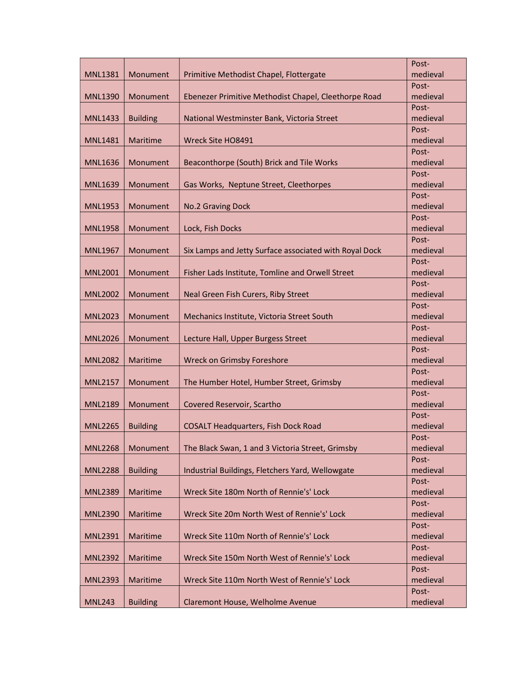|                |                 |                                                        | Post-             |
|----------------|-----------------|--------------------------------------------------------|-------------------|
| <b>MNL1381</b> | Monument        | Primitive Methodist Chapel, Flottergate                | medieval          |
|                |                 |                                                        | Post-             |
| <b>MNL1390</b> | Monument        | Ebenezer Primitive Methodist Chapel, Cleethorpe Road   | medieval          |
|                |                 |                                                        | Post-             |
| <b>MNL1433</b> | <b>Building</b> | National Westminster Bank, Victoria Street             | medieval          |
|                |                 |                                                        | Post-             |
| <b>MNL1481</b> | Maritime        | Wreck Site HO8491                                      | medieval          |
|                |                 |                                                        | Post-             |
| <b>MNL1636</b> | Monument        | Beaconthorpe (South) Brick and Tile Works              | medieval          |
|                |                 |                                                        | Post-             |
| <b>MNL1639</b> | Monument        | Gas Works, Neptune Street, Cleethorpes                 | medieval          |
|                |                 |                                                        | Post-             |
| <b>MNL1953</b> | Monument        | No.2 Graving Dock                                      | medieval          |
|                |                 |                                                        | Post-             |
| <b>MNL1958</b> | Monument        | Lock, Fish Docks                                       | medieval          |
|                |                 |                                                        | Post-             |
| <b>MNL1967</b> | Monument        | Six Lamps and Jetty Surface associated with Royal Dock | medieval          |
|                |                 |                                                        | Post-             |
| <b>MNL2001</b> | Monument        | Fisher Lads Institute, Tomline and Orwell Street       | medieval          |
|                |                 |                                                        | Post-             |
| <b>MNL2002</b> | Monument        | Neal Green Fish Curers, Riby Street                    | medieval          |
| <b>MNL2023</b> |                 |                                                        | Post-<br>medieval |
|                | Monument        | Mechanics Institute, Victoria Street South             | Post-             |
| <b>MNL2026</b> | Monument        | Lecture Hall, Upper Burgess Street                     | medieval          |
|                |                 |                                                        | Post-             |
| <b>MNL2082</b> | Maritime        | <b>Wreck on Grimsby Foreshore</b>                      | medieval          |
|                |                 |                                                        | Post-             |
| <b>MNL2157</b> | Monument        | The Humber Hotel, Humber Street, Grimsby               | medieval          |
|                |                 |                                                        | Post-             |
| <b>MNL2189</b> | Monument        | Covered Reservoir, Scartho                             | medieval          |
|                |                 |                                                        | Post-             |
| <b>MNL2265</b> | <b>Building</b> | <b>COSALT Headquarters, Fish Dock Road</b>             | medieval          |
|                |                 |                                                        | Post-             |
| <b>MNL2268</b> | Monument        | The Black Swan, 1 and 3 Victoria Street, Grimsby       | medieval          |
|                |                 |                                                        | Post-             |
| <b>MNL2288</b> | <b>Building</b> | Industrial Buildings, Fletchers Yard, Wellowgate       | medieval          |
|                |                 |                                                        | Post-             |
| <b>MNL2389</b> | Maritime        | Wreck Site 180m North of Rennie's' Lock                | medieval          |
|                |                 |                                                        | Post-             |
| <b>MNL2390</b> | Maritime        | Wreck Site 20m North West of Rennie's' Lock            | medieval          |
|                |                 |                                                        | Post-             |
| <b>MNL2391</b> | Maritime        | Wreck Site 110m North of Rennie's' Lock                | medieval          |
|                |                 |                                                        | Post-             |
| <b>MNL2392</b> | Maritime        | Wreck Site 150m North West of Rennie's' Lock           | medieval          |
|                |                 |                                                        | Post-             |
| <b>MNL2393</b> | Maritime        | Wreck Site 110m North West of Rennie's' Lock           | medieval          |
|                |                 |                                                        | Post-             |
| <b>MNL243</b>  | <b>Building</b> | Claremont House, Welholme Avenue                       | medieval          |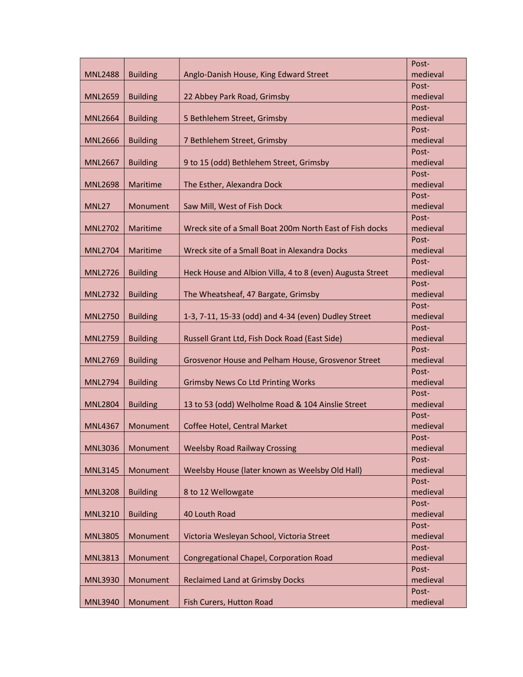|                |                 |                                                           | Post-             |
|----------------|-----------------|-----------------------------------------------------------|-------------------|
| <b>MNL2488</b> | <b>Building</b> | Anglo-Danish House, King Edward Street                    | medieval          |
|                |                 |                                                           | Post-             |
| <b>MNL2659</b> | <b>Building</b> | 22 Abbey Park Road, Grimsby                               | medieval          |
|                |                 |                                                           | Post-             |
| <b>MNL2664</b> | <b>Building</b> | 5 Bethlehem Street, Grimsby                               | medieval          |
|                |                 |                                                           | Post-             |
| <b>MNL2666</b> | <b>Building</b> | 7 Bethlehem Street, Grimsby                               | medieval          |
|                |                 |                                                           | Post-             |
| <b>MNL2667</b> | <b>Building</b> | 9 to 15 (odd) Bethlehem Street, Grimsby                   | medieval          |
|                |                 |                                                           | Post-             |
| <b>MNL2698</b> | Maritime        | The Esther, Alexandra Dock                                | medieval          |
|                |                 |                                                           | Post-             |
| MNL27          | Monument        | Saw Mill, West of Fish Dock                               | medieval          |
|                |                 |                                                           | Post-             |
| <b>MNL2702</b> | Maritime        | Wreck site of a Small Boat 200m North East of Fish docks  | medieval          |
|                |                 |                                                           | Post-             |
| <b>MNL2704</b> | Maritime        | Wreck site of a Small Boat in Alexandra Docks             | medieval          |
|                |                 |                                                           | Post-             |
| <b>MNL2726</b> | <b>Building</b> | Heck House and Albion Villa, 4 to 8 (even) Augusta Street | medieval          |
|                |                 |                                                           | Post-             |
| <b>MNL2732</b> | <b>Building</b> | The Wheatsheaf, 47 Bargate, Grimsby                       | medieval          |
|                |                 |                                                           | Post-             |
| <b>MNL2750</b> | <b>Building</b> | 1-3, 7-11, 15-33 (odd) and 4-34 (even) Dudley Street      | medieval          |
|                |                 |                                                           | Post-             |
| <b>MNL2759</b> | <b>Building</b> | Russell Grant Ltd, Fish Dock Road (East Side)             | medieval          |
|                |                 |                                                           | Post-             |
| <b>MNL2769</b> | <b>Building</b> | Grosvenor House and Pelham House, Grosvenor Street        | medieval          |
|                |                 |                                                           | Post-             |
| <b>MNL2794</b> | <b>Building</b> | <b>Grimsby News Co Ltd Printing Works</b>                 | medieval<br>Post- |
| <b>MNL2804</b> |                 | 13 to 53 (odd) Welholme Road & 104 Ainslie Street         | medieval          |
|                | <b>Building</b> |                                                           | Post-             |
| <b>MNL4367</b> | Monument        | Coffee Hotel, Central Market                              | medieval          |
|                |                 |                                                           | Post-             |
| <b>MNL3036</b> | Monument        | <b>Weelsby Road Railway Crossing</b>                      | medieval          |
|                |                 |                                                           | Post-             |
| <b>MNL3145</b> | Monument        | Weelsby House (later known as Weelsby Old Hall)           | medieval          |
|                |                 |                                                           | Post-             |
| <b>MNL3208</b> | <b>Building</b> | 8 to 12 Wellowgate                                        | medieval          |
|                |                 |                                                           | Post-             |
| <b>MNL3210</b> | <b>Building</b> | 40 Louth Road                                             | medieval          |
|                |                 |                                                           | Post-             |
| <b>MNL3805</b> | Monument        | Victoria Wesleyan School, Victoria Street                 | medieval          |
|                |                 |                                                           | Post-             |
| <b>MNL3813</b> | Monument        | <b>Congregational Chapel, Corporation Road</b>            | medieval          |
|                |                 |                                                           | Post-             |
| <b>MNL3930</b> | Monument        | <b>Reclaimed Land at Grimsby Docks</b>                    | medieval          |
|                |                 |                                                           | Post-             |
| <b>MNL3940</b> | Monument        | Fish Curers, Hutton Road                                  | medieval          |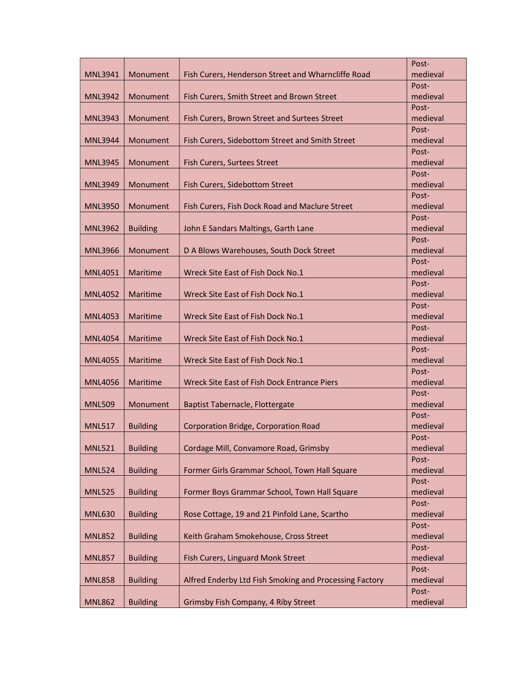|                |                 |                                                        | Post-             |
|----------------|-----------------|--------------------------------------------------------|-------------------|
| <b>MNL3941</b> | Monument        | Fish Curers, Henderson Street and Wharncliffe Road     | medieval          |
|                |                 |                                                        | Post-             |
| <b>MNL3942</b> | Monument        | Fish Curers, Smith Street and Brown Street             | medieval          |
|                |                 |                                                        | Post-             |
| <b>MNL3943</b> | Monument        | Fish Curers, Brown Street and Surtees Street           | medieval          |
|                |                 |                                                        | Post-             |
| <b>MNL3944</b> | Monument        | Fish Curers, Sidebottom Street and Smith Street        | medieval          |
|                |                 |                                                        | Post-             |
| <b>MNL3945</b> | Monument        | Fish Curers, Surtees Street                            | medieval          |
|                |                 |                                                        | Post-             |
| <b>MNL3949</b> | Monument        | Fish Curers, Sidebottom Street                         | medieval          |
|                |                 |                                                        | Post-             |
| <b>MNL3950</b> | Monument        | Fish Curers, Fish Dock Road and Maclure Street         | medieval          |
|                |                 |                                                        | Post-             |
| <b>MNL3962</b> | <b>Building</b> | John E Sandars Maltings, Garth Lane                    | medieval          |
|                |                 |                                                        | Post-             |
| <b>MNL3966</b> | Monument        | D A Blows Warehouses, South Dock Street                | medieval          |
|                |                 |                                                        | Post-             |
| <b>MNL4051</b> | <b>Maritime</b> | Wreck Site East of Fish Dock No.1                      | medieval          |
|                |                 |                                                        | Post-             |
| <b>MNL4052</b> | Maritime        | Wreck Site East of Fish Dock No.1                      | medieval          |
|                |                 |                                                        | Post-             |
| <b>MNL4053</b> | Maritime        | Wreck Site East of Fish Dock No.1                      | medieval          |
|                |                 | Wreck Site East of Fish Dock No.1                      | Post-<br>medieval |
| <b>MNL4054</b> | Maritime        |                                                        | Post-             |
| <b>MNL4055</b> | Maritime        | Wreck Site East of Fish Dock No.1                      | medieval          |
|                |                 |                                                        | Post-             |
| <b>MNL4056</b> | Maritime        | Wreck Site East of Fish Dock Entrance Piers            | medieval          |
|                |                 |                                                        | Post-             |
| <b>MNL509</b>  | Monument        | Baptist Tabernacle, Flottergate                        | medieval          |
|                |                 |                                                        | Post-             |
| <b>MNL517</b>  | <b>Building</b> | Corporation Bridge, Corporation Road                   | medieval          |
|                |                 |                                                        | Post-             |
| <b>MNL521</b>  | <b>Building</b> | Cordage Mill, Convamore Road, Grimsby                  | medieval          |
|                |                 |                                                        | Post-             |
| <b>MNL524</b>  | <b>Building</b> | Former Girls Grammar School, Town Hall Square          | medieval          |
|                |                 |                                                        | Post-             |
| <b>MNL525</b>  | <b>Building</b> | Former Boys Grammar School, Town Hall Square           | medieval          |
|                |                 |                                                        | Post-             |
| <b>MNL630</b>  | <b>Building</b> | Rose Cottage, 19 and 21 Pinfold Lane, Scartho          | medieval          |
|                |                 |                                                        | Post-             |
| <b>MNL852</b>  | <b>Building</b> | Keith Graham Smokehouse, Cross Street                  | medieval          |
|                |                 |                                                        | Post-             |
| <b>MNL857</b>  | <b>Building</b> | Fish Curers, Linguard Monk Street                      | medieval          |
|                |                 |                                                        | Post-             |
| <b>MNL858</b>  | <b>Building</b> | Alfred Enderby Ltd Fish Smoking and Processing Factory | medieval          |
|                |                 |                                                        | Post-             |
| <b>MNL862</b>  | <b>Building</b> | Grimsby Fish Company, 4 Riby Street                    | medieval          |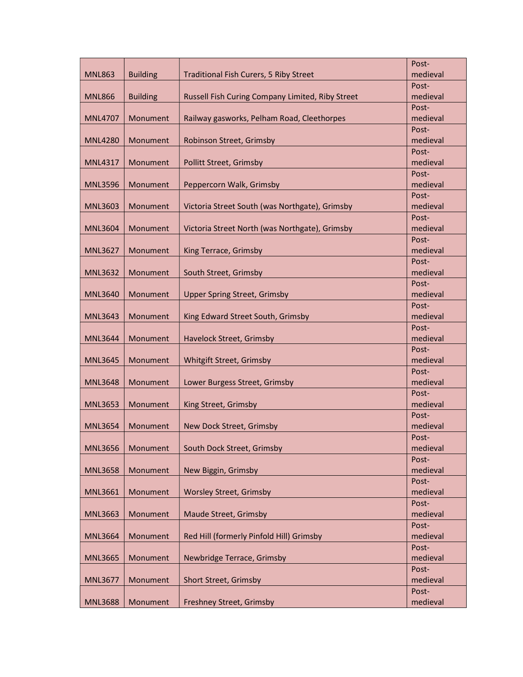|                |                 |                                                  | Post-             |
|----------------|-----------------|--------------------------------------------------|-------------------|
| <b>MNL863</b>  | <b>Building</b> | Traditional Fish Curers, 5 Riby Street           | medieval          |
|                |                 |                                                  | Post-             |
| <b>MNL866</b>  | <b>Building</b> | Russell Fish Curing Company Limited, Riby Street | medieval          |
|                |                 |                                                  | Post-             |
| <b>MNL4707</b> | Monument        | Railway gasworks, Pelham Road, Cleethorpes       | medieval          |
|                |                 |                                                  | Post-             |
| <b>MNL4280</b> | Monument        | Robinson Street, Grimsby                         | medieval          |
|                |                 |                                                  | Post-             |
| <b>MNL4317</b> | Monument        | <b>Pollitt Street, Grimsby</b>                   | medieval          |
|                |                 |                                                  | Post-             |
| <b>MNL3596</b> | Monument        | Peppercorn Walk, Grimsby                         | medieval          |
|                |                 |                                                  | Post-             |
| <b>MNL3603</b> | Monument        | Victoria Street South (was Northgate), Grimsby   | medieval          |
|                |                 |                                                  | Post-             |
| <b>MNL3604</b> | Monument        | Victoria Street North (was Northgate), Grimsby   | medieval          |
|                |                 |                                                  | Post-             |
| <b>MNL3627</b> | Monument        | King Terrace, Grimsby                            | medieval          |
|                |                 |                                                  | Post-             |
| <b>MNL3632</b> | Monument        | South Street, Grimsby                            | medieval          |
|                |                 |                                                  | Post-             |
| <b>MNL3640</b> | Monument        | <b>Upper Spring Street, Grimsby</b>              | medieval<br>Post- |
| <b>MNL3643</b> | Monument        | King Edward Street South, Grimsby                | medieval          |
|                |                 |                                                  | Post-             |
| <b>MNL3644</b> | Monument        | Havelock Street, Grimsby                         | medieval          |
|                |                 |                                                  | Post-             |
| <b>MNL3645</b> | Monument        | Whitgift Street, Grimsby                         | medieval          |
|                |                 |                                                  | Post-             |
| <b>MNL3648</b> | Monument        | Lower Burgess Street, Grimsby                    | medieval          |
|                |                 |                                                  | Post-             |
| <b>MNL3653</b> | Monument        | King Street, Grimsby                             | medieval          |
|                |                 |                                                  | Post-             |
| <b>MNL3654</b> | Monument        | New Dock Street, Grimsby                         | medieval          |
|                |                 |                                                  | Post-             |
| <b>MNL3656</b> | Monument        | South Dock Street, Grimsby                       | medieval          |
|                |                 |                                                  | Post-             |
| <b>MNL3658</b> | Monument        | New Biggin, Grimsby                              | medieval          |
|                |                 |                                                  | Post-             |
| <b>MNL3661</b> | Monument        | <b>Worsley Street, Grimsby</b>                   | medieval          |
|                |                 |                                                  | Post-             |
| <b>MNL3663</b> | Monument        | Maude Street, Grimsby                            | medieval          |
|                |                 |                                                  | Post-             |
| <b>MNL3664</b> | Monument        | Red Hill (formerly Pinfold Hill) Grimsby         | medieval          |
|                |                 |                                                  | Post-             |
| <b>MNL3665</b> | Monument        | Newbridge Terrace, Grimsby                       | medieval          |
|                |                 |                                                  | Post-             |
| <b>MNL3677</b> | Monument        | Short Street, Grimsby                            | medieval          |
|                |                 |                                                  | Post-             |
| <b>MNL3688</b> | Monument        | Freshney Street, Grimsby                         | medieval          |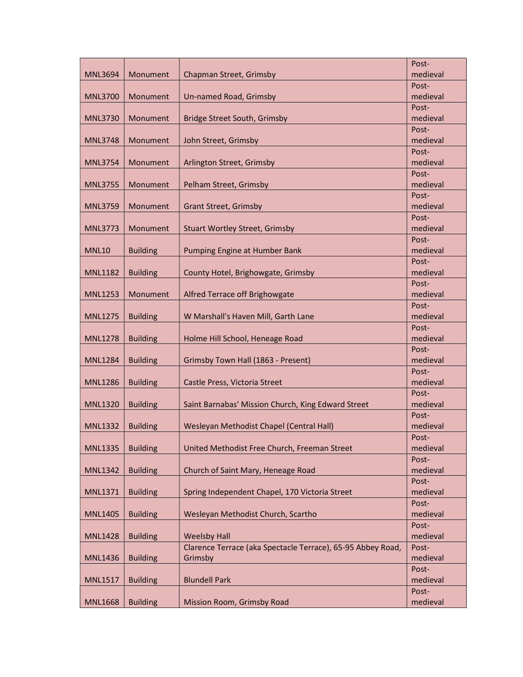|                |                 |                                                             | Post-             |
|----------------|-----------------|-------------------------------------------------------------|-------------------|
| <b>MNL3694</b> | Monument        | Chapman Street, Grimsby                                     | medieval          |
|                |                 |                                                             | Post-             |
| <b>MNL3700</b> | Monument        | Un-named Road, Grimsby                                      | medieval          |
|                |                 |                                                             | Post-             |
| <b>MNL3730</b> | Monument        | <b>Bridge Street South, Grimsby</b>                         | medieval          |
|                |                 |                                                             | Post-             |
| <b>MNL3748</b> | Monument        | John Street, Grimsby                                        | medieval          |
|                |                 |                                                             | Post-             |
| <b>MNL3754</b> | Monument        | Arlington Street, Grimsby                                   | medieval          |
|                |                 |                                                             | Post-             |
| <b>MNL3755</b> | Monument        | Pelham Street, Grimsby                                      | medieval          |
|                |                 |                                                             | Post-             |
| <b>MNL3759</b> | Monument        | <b>Grant Street, Grimsby</b>                                | medieval          |
|                |                 |                                                             | Post-             |
| <b>MNL3773</b> | Monument        | <b>Stuart Wortley Street, Grimsby</b>                       | medieval          |
|                |                 |                                                             | Post-             |
| <b>MNL10</b>   | <b>Building</b> | Pumping Engine at Humber Bank                               | medieval          |
|                |                 |                                                             | Post-<br>medieval |
| <b>MNL1182</b> | <b>Building</b> | County Hotel, Brighowgate, Grimsby                          | Post-             |
| <b>MNL1253</b> | Monument        | Alfred Terrace off Brighowgate                              | medieval          |
|                |                 |                                                             | Post-             |
| <b>MNL1275</b> | <b>Building</b> | W Marshall's Haven Mill, Garth Lane                         | medieval          |
|                |                 |                                                             | Post-             |
| <b>MNL1278</b> | <b>Building</b> | Holme Hill School, Heneage Road                             | medieval          |
|                |                 |                                                             | Post-             |
| <b>MNL1284</b> | <b>Building</b> | Grimsby Town Hall (1863 - Present)                          | medieval          |
|                |                 |                                                             | Post-             |
| <b>MNL1286</b> | <b>Building</b> | Castle Press, Victoria Street                               | medieval          |
|                |                 |                                                             | Post-             |
| <b>MNL1320</b> | <b>Building</b> | Saint Barnabas' Mission Church, King Edward Street          | medieval          |
|                |                 |                                                             | Post-             |
| <b>MNL1332</b> | <b>Building</b> | Wesleyan Methodist Chapel (Central Hall)                    | medieval          |
|                |                 |                                                             | Post-             |
| <b>MNL1335</b> | <b>Building</b> | United Methodist Free Church, Freeman Street                | medieval          |
|                |                 |                                                             | Post-             |
| <b>MNL1342</b> | <b>Building</b> | Church of Saint Mary, Heneage Road                          | medieval          |
|                |                 |                                                             | Post-             |
| <b>MNL1371</b> | <b>Building</b> | Spring Independent Chapel, 170 Victoria Street              | medieval          |
|                |                 |                                                             | Post-             |
| <b>MNL1405</b> | <b>Building</b> | Wesleyan Methodist Church, Scartho                          | medieval<br>Post- |
| <b>MNL1428</b> | <b>Building</b> | <b>Weelsby Hall</b>                                         | medieval          |
|                |                 | Clarence Terrace (aka Spectacle Terrace), 65-95 Abbey Road, | Post-             |
| <b>MNL1436</b> | <b>Building</b> | Grimsby                                                     | medieval          |
|                |                 |                                                             | Post-             |
| <b>MNL1517</b> | <b>Building</b> | <b>Blundell Park</b>                                        | medieval          |
|                |                 |                                                             | Post-             |
| <b>MNL1668</b> | <b>Building</b> | <b>Mission Room, Grimsby Road</b>                           | medieval          |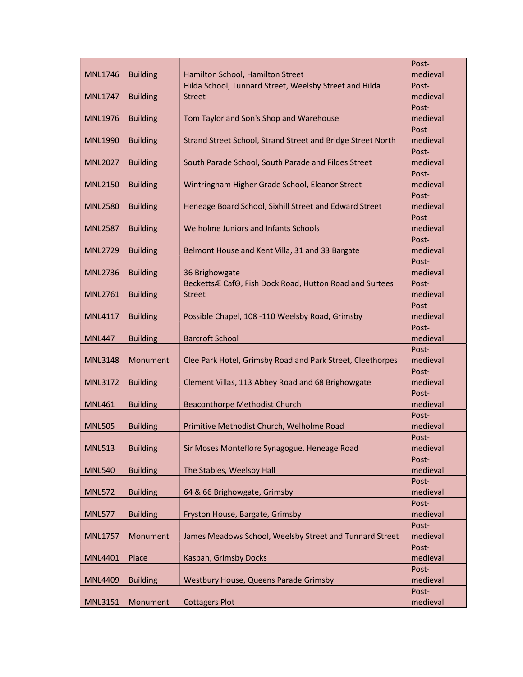|                |                 |                                                             | Post-             |
|----------------|-----------------|-------------------------------------------------------------|-------------------|
| <b>MNL1746</b> | <b>Building</b> | Hamilton School, Hamilton Street                            | medieval          |
|                |                 | Hilda School, Tunnard Street, Weelsby Street and Hilda      | Post-             |
| <b>MNL1747</b> | <b>Building</b> | <b>Street</b>                                               | medieval          |
|                |                 |                                                             | Post-             |
| <b>MNL1976</b> | <b>Building</b> | Tom Taylor and Son's Shop and Warehouse                     | medieval          |
|                |                 |                                                             | Post-             |
| <b>MNL1990</b> | <b>Building</b> | Strand Street School, Strand Street and Bridge Street North | medieval          |
|                |                 |                                                             | Post-             |
| <b>MNL2027</b> | <b>Building</b> | South Parade School, South Parade and Fildes Street         | medieval          |
|                |                 |                                                             | Post-             |
| <b>MNL2150</b> | <b>Building</b> | Wintringham Higher Grade School, Eleanor Street             | medieval          |
|                |                 |                                                             | Post-             |
| <b>MNL2580</b> | <b>Building</b> | Heneage Board School, Sixhill Street and Edward Street      | medieval          |
|                |                 |                                                             | Post-             |
| <b>MNL2587</b> | <b>Building</b> | Welholme Juniors and Infants Schools                        | medieval          |
|                |                 |                                                             | Post-             |
| <b>MNL2729</b> | <b>Building</b> | Belmont House and Kent Villa, 31 and 33 Bargate             | medieval          |
|                |                 |                                                             | Post-             |
| <b>MNL2736</b> | <b>Building</b> | 36 Brighowgate                                              | medieval          |
|                |                 | BeckettsÆ CafO, Fish Dock Road, Hutton Road and Surtees     | Post-             |
| <b>MNL2761</b> | <b>Building</b> | <b>Street</b>                                               | medieval          |
|                |                 |                                                             | Post-             |
| <b>MNL4117</b> | <b>Building</b> | Possible Chapel, 108 -110 Weelsby Road, Grimsby             | medieval          |
|                |                 |                                                             | Post-             |
| <b>MNL447</b>  | <b>Building</b> | <b>Barcroft School</b>                                      | medieval          |
|                |                 |                                                             | Post-             |
| <b>MNL3148</b> | Monument        | Clee Park Hotel, Grimsby Road and Park Street, Cleethorpes  | medieval          |
|                |                 |                                                             | Post-             |
| <b>MNL3172</b> | <b>Building</b> | Clement Villas, 113 Abbey Road and 68 Brighowgate           | medieval          |
|                |                 |                                                             | Post-             |
| <b>MNL461</b>  | <b>Building</b> | <b>Beaconthorpe Methodist Church</b>                        | medieval          |
|                |                 |                                                             | Post-             |
| <b>MNL505</b>  | <b>Building</b> | Primitive Methodist Church, Welholme Road                   | medieval          |
|                |                 |                                                             | Post-             |
| <b>MNL513</b>  | <b>Building</b> | Sir Moses Monteflore Synagogue, Heneage Road                | medieval          |
|                |                 |                                                             | Post-             |
| <b>MNL540</b>  | <b>Building</b> | The Stables, Weelsby Hall                                   | medieval          |
|                |                 |                                                             | Post-             |
| <b>MNL572</b>  | <b>Building</b> | 64 & 66 Brighowgate, Grimsby                                | medieval          |
|                |                 |                                                             | Post-             |
| <b>MNL577</b>  | <b>Building</b> | Fryston House, Bargate, Grimsby                             | medieval          |
|                | Monument        | James Meadows School, Weelsby Street and Tunnard Street     | Post-<br>medieval |
| <b>MNL1757</b> |                 |                                                             | Post-             |
| <b>MNL4401</b> | Place           | Kasbah, Grimsby Docks                                       | medieval          |
|                |                 |                                                             | Post-             |
| <b>MNL4409</b> | <b>Building</b> | Westbury House, Queens Parade Grimsby                       | medieval          |
|                |                 |                                                             | Post-             |
| <b>MNL3151</b> | Monument        | <b>Cottagers Plot</b>                                       | medieval          |
|                |                 |                                                             |                   |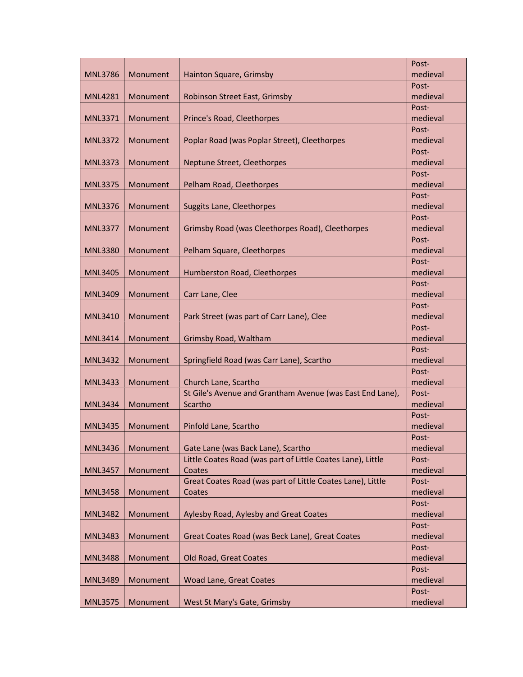|                |          |                                                             | Post-             |
|----------------|----------|-------------------------------------------------------------|-------------------|
| <b>MNL3786</b> | Monument | Hainton Square, Grimsby                                     | medieval          |
|                |          |                                                             | Post-             |
| <b>MNL4281</b> | Monument | Robinson Street East, Grimsby                               | medieval          |
|                |          |                                                             | Post-             |
| <b>MNL3371</b> | Monument | Prince's Road, Cleethorpes                                  | medieval          |
|                |          |                                                             | Post-             |
| <b>MNL3372</b> | Monument | Poplar Road (was Poplar Street), Cleethorpes                | medieval          |
|                |          |                                                             | Post-             |
| <b>MNL3373</b> | Monument | Neptune Street, Cleethorpes                                 | medieval          |
|                |          |                                                             | Post-             |
| <b>MNL3375</b> | Monument | Pelham Road, Cleethorpes                                    | medieval          |
|                |          |                                                             | Post-             |
| <b>MNL3376</b> | Monument | Suggits Lane, Cleethorpes                                   | medieval          |
|                |          |                                                             | Post-             |
| <b>MNL3377</b> | Monument | Grimsby Road (was Cleethorpes Road), Cleethorpes            | medieval          |
|                |          |                                                             | Post-             |
| <b>MNL3380</b> | Monument | Pelham Square, Cleethorpes                                  | medieval          |
|                |          |                                                             | Post-             |
| <b>MNL3405</b> | Monument | Humberston Road, Cleethorpes                                | medieval          |
|                |          |                                                             | Post-             |
| <b>MNL3409</b> | Monument | Carr Lane, Clee                                             | medieval          |
|                |          |                                                             | Post-             |
| <b>MNL3410</b> | Monument | Park Street (was part of Carr Lane), Clee                   | medieval          |
|                |          |                                                             | Post-<br>medieval |
| <b>MNL3414</b> | Monument | Grimsby Road, Waltham                                       | Post-             |
| <b>MNL3432</b> | Monument | Springfield Road (was Carr Lane), Scartho                   | medieval          |
|                |          |                                                             | Post-             |
| MNL3433        | Monument | Church Lane, Scartho                                        | medieval          |
|                |          | St Gile's Avenue and Grantham Avenue (was East End Lane),   | Post-             |
| <b>MNL3434</b> | Monument | Scartho                                                     | medieval          |
|                |          |                                                             | Post-             |
| <b>MNL3435</b> | Monument | Pinfold Lane, Scartho                                       | medieval          |
|                |          |                                                             | Post-             |
| <b>MNL3436</b> | Monument | Gate Lane (was Back Lane), Scartho                          | medieval          |
|                |          | Little Coates Road (was part of Little Coates Lane), Little | Post-             |
| <b>MNL3457</b> | Monument | Coates                                                      | medieval          |
|                |          | Great Coates Road (was part of Little Coates Lane), Little  | Post-             |
| <b>MNL3458</b> | Monument | Coates                                                      | medieval          |
|                |          |                                                             | Post-             |
| <b>MNL3482</b> | Monument | Aylesby Road, Aylesby and Great Coates                      | medieval          |
|                |          |                                                             | Post-             |
| <b>MNL3483</b> | Monument | Great Coates Road (was Beck Lane), Great Coates             | medieval          |
|                |          |                                                             | Post-             |
| <b>MNL3488</b> | Monument | Old Road, Great Coates                                      | medieval          |
|                |          |                                                             | Post-             |
| <b>MNL3489</b> | Monument | <b>Woad Lane, Great Coates</b>                              | medieval          |
|                |          |                                                             | Post-             |
| <b>MNL3575</b> | Monument | West St Mary's Gate, Grimsby                                | medieval          |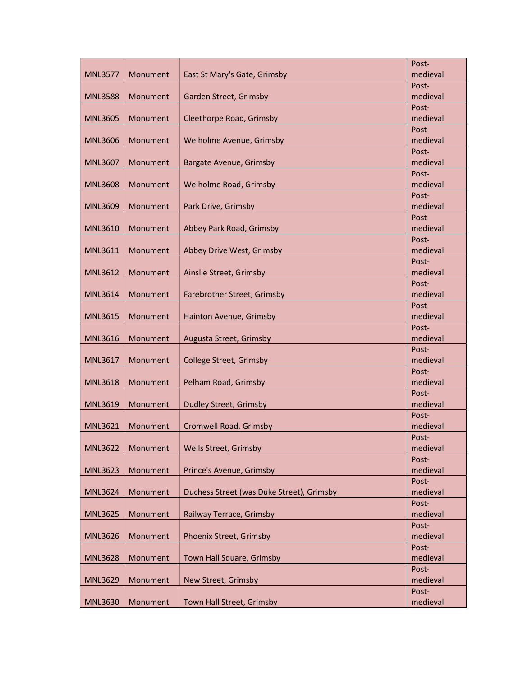|                |          |                                           | Post-             |
|----------------|----------|-------------------------------------------|-------------------|
| <b>MNL3577</b> | Monument | East St Mary's Gate, Grimsby              | medieval          |
|                |          |                                           | Post-             |
| <b>MNL3588</b> | Monument | Garden Street, Grimsby                    | medieval          |
|                |          |                                           | Post-             |
| <b>MNL3605</b> | Monument | Cleethorpe Road, Grimsby                  | medieval          |
|                |          |                                           | Post-             |
| <b>MNL3606</b> | Monument | Welholme Avenue, Grimsby                  | medieval          |
|                |          |                                           | Post-             |
| <b>MNL3607</b> | Monument | <b>Bargate Avenue, Grimsby</b>            | medieval          |
|                |          |                                           | Post-             |
| <b>MNL3608</b> | Monument | Welholme Road, Grimsby                    | medieval          |
|                |          |                                           | Post-             |
| <b>MNL3609</b> | Monument | Park Drive, Grimsby                       | medieval          |
| <b>MNL3610</b> | Monument | Abbey Park Road, Grimsby                  | Post-<br>medieval |
|                |          |                                           | Post-             |
| <b>MNL3611</b> | Monument | Abbey Drive West, Grimsby                 | medieval          |
|                |          |                                           | Post-             |
| <b>MNL3612</b> | Monument | Ainslie Street, Grimsby                   | medieval          |
|                |          |                                           | Post-             |
| <b>MNL3614</b> | Monument | Farebrother Street, Grimsby               | medieval          |
|                |          |                                           | Post-             |
| <b>MNL3615</b> | Monument | Hainton Avenue, Grimsby                   | medieval          |
|                |          |                                           | Post-             |
| <b>MNL3616</b> | Monument | Augusta Street, Grimsby                   | medieval          |
|                |          |                                           | Post-             |
| <b>MNL3617</b> | Monument | <b>College Street, Grimsby</b>            | medieval          |
|                |          |                                           | Post-             |
| <b>MNL3618</b> | Monument | Pelham Road, Grimsby                      | medieval          |
|                |          |                                           | Post-             |
| <b>MNL3619</b> | Monument | <b>Dudley Street, Grimsby</b>             | medieval          |
|                |          |                                           | Post-             |
| <b>MNL3621</b> | Monument | <b>Cromwell Road, Grimsby</b>             | medieval          |
|                |          |                                           | Post-             |
| <b>MNL3622</b> | Monument | <b>Wells Street, Grimsby</b>              | medieval          |
| <b>MNL3623</b> | Monument | Prince's Avenue, Grimsby                  | Post-<br>medieval |
|                |          |                                           | Post-             |
| <b>MNL3624</b> | Monument | Duchess Street (was Duke Street), Grimsby | medieval          |
|                |          |                                           | Post-             |
| <b>MNL3625</b> | Monument | Railway Terrace, Grimsby                  | medieval          |
|                |          |                                           | Post-             |
| <b>MNL3626</b> | Monument | Phoenix Street, Grimsby                   | medieval          |
|                |          |                                           | Post-             |
| <b>MNL3628</b> | Monument | Town Hall Square, Grimsby                 | medieval          |
|                |          |                                           | Post-             |
| <b>MNL3629</b> | Monument | New Street, Grimsby                       | medieval          |
|                |          |                                           | Post-             |
| <b>MNL3630</b> | Monument | Town Hall Street, Grimsby                 | medieval          |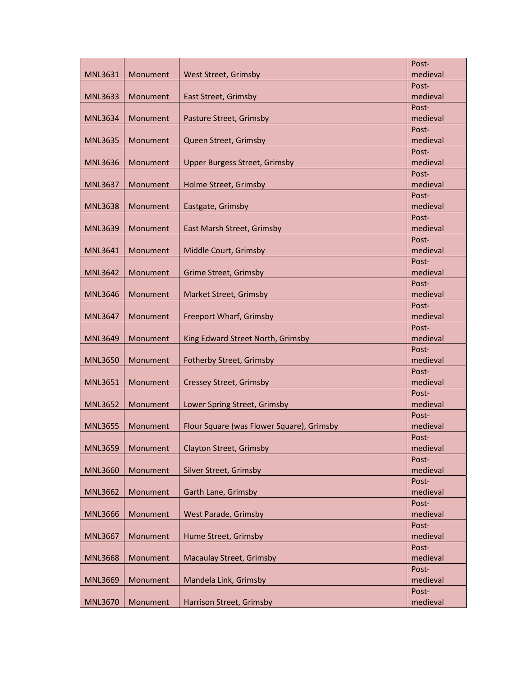|                |          |                                           | Post-             |
|----------------|----------|-------------------------------------------|-------------------|
| <b>MNL3631</b> | Monument | West Street, Grimsby                      | medieval          |
|                |          |                                           | Post-             |
| <b>MNL3633</b> | Monument | East Street, Grimsby                      | medieval          |
|                |          |                                           | Post-             |
| <b>MNL3634</b> | Monument | Pasture Street, Grimsby                   | medieval          |
|                |          |                                           | Post-             |
| <b>MNL3635</b> | Monument | Queen Street, Grimsby                     | medieval          |
|                |          |                                           | Post-             |
| <b>MNL3636</b> | Monument | <b>Upper Burgess Street, Grimsby</b>      | medieval          |
|                |          |                                           | Post-             |
| <b>MNL3637</b> | Monument | Holme Street, Grimsby                     | medieval          |
|                |          |                                           | Post-             |
| <b>MNL3638</b> | Monument | Eastgate, Grimsby                         | medieval          |
|                |          |                                           | Post-             |
| <b>MNL3639</b> | Monument | East Marsh Street, Grimsby                | medieval          |
|                |          |                                           | Post-             |
| <b>MNL3641</b> | Monument | Middle Court, Grimsby                     | medieval          |
|                |          |                                           | Post-             |
| <b>MNL3642</b> | Monument | <b>Grime Street, Grimsby</b>              | medieval          |
|                |          |                                           | Post-             |
| <b>MNL3646</b> | Monument | Market Street, Grimsby                    | medieval          |
|                |          |                                           | Post-             |
| <b>MNL3647</b> | Monument | Freeport Wharf, Grimsby                   | medieval          |
|                |          |                                           | Post-<br>medieval |
| <b>MNL3649</b> | Monument | King Edward Street North, Grimsby         | Post-             |
| <b>MNL3650</b> | Monument | Fotherby Street, Grimsby                  | medieval          |
|                |          |                                           | Post-             |
| <b>MNL3651</b> | Monument | <b>Cressey Street, Grimsby</b>            | medieval          |
|                |          |                                           | Post-             |
| <b>MNL3652</b> | Monument | Lower Spring Street, Grimsby              | medieval          |
|                |          |                                           | Post-             |
| <b>MNL3655</b> | Monument | Flour Square (was Flower Square), Grimsby | medieval          |
|                |          |                                           | Post-             |
| <b>MNL3659</b> | Monument | <b>Clayton Street, Grimsby</b>            | medieval          |
|                |          |                                           | Post-             |
| <b>MNL3660</b> | Monument | Silver Street, Grimsby                    | medieval          |
|                |          |                                           | Post-             |
| <b>MNL3662</b> | Monument | Garth Lane, Grimsby                       | medieval          |
|                |          |                                           | Post-             |
| <b>MNL3666</b> | Monument | <b>West Parade, Grimsby</b>               | medieval          |
|                |          |                                           | Post-             |
| <b>MNL3667</b> | Monument | Hume Street, Grimsby                      | medieval          |
|                |          |                                           | Post-             |
| <b>MNL3668</b> | Monument | <b>Macaulay Street, Grimsby</b>           | medieval          |
|                |          |                                           | Post-             |
| <b>MNL3669</b> | Monument | Mandela Link, Grimsby                     | medieval          |
|                |          |                                           | Post-             |
| <b>MNL3670</b> | Monument | <b>Harrison Street, Grimsby</b>           | medieval          |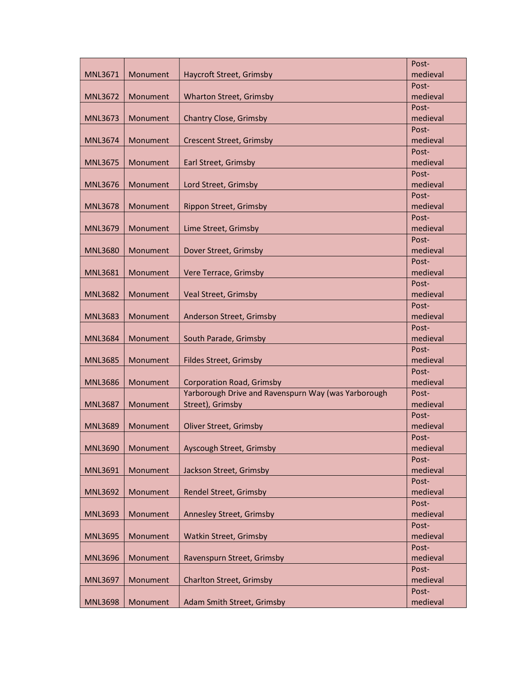|                |          |                                                     | Post-             |
|----------------|----------|-----------------------------------------------------|-------------------|
| <b>MNL3671</b> | Monument | Haycroft Street, Grimsby                            | medieval          |
|                |          |                                                     | Post-             |
| <b>MNL3672</b> | Monument | <b>Wharton Street, Grimsby</b>                      | medieval          |
|                |          |                                                     | Post-             |
| <b>MNL3673</b> | Monument | Chantry Close, Grimsby                              | medieval          |
|                |          |                                                     | Post-             |
| <b>MNL3674</b> | Monument | <b>Crescent Street, Grimsby</b>                     | medieval          |
|                |          |                                                     | Post-             |
| <b>MNL3675</b> | Monument | Earl Street, Grimsby                                | medieval          |
|                |          |                                                     | Post-             |
| <b>MNL3676</b> | Monument | Lord Street, Grimsby                                | medieval          |
| <b>MNL3678</b> | Monument | Rippon Street, Grimsby                              | Post-<br>medieval |
|                |          |                                                     | Post-             |
| <b>MNL3679</b> | Monument | Lime Street, Grimsby                                | medieval          |
|                |          |                                                     | Post-             |
| <b>MNL3680</b> | Monument | Dover Street, Grimsby                               | medieval          |
|                |          |                                                     | Post-             |
| <b>MNL3681</b> | Monument | Vere Terrace, Grimsby                               | medieval          |
|                |          |                                                     | Post-             |
| <b>MNL3682</b> | Monument | Veal Street, Grimsby                                | medieval          |
|                |          |                                                     | Post-             |
| <b>MNL3683</b> | Monument | Anderson Street, Grimsby                            | medieval          |
|                |          |                                                     | Post-             |
| <b>MNL3684</b> | Monument | South Parade, Grimsby                               | medieval          |
|                |          |                                                     | Post-             |
| <b>MNL3685</b> | Monument | Fildes Street, Grimsby                              | medieval          |
|                |          |                                                     | Post-             |
| <b>MNL3686</b> | Monument | <b>Corporation Road, Grimsby</b>                    | medieval          |
|                |          | Yarborough Drive and Ravenspurn Way (was Yarborough | Post-             |
| <b>MNL3687</b> | Monument | Street), Grimsby                                    | medieval          |
|                |          |                                                     | Post-             |
| <b>MNL3689</b> | Monument | Oliver Street, Grimsby                              | medieval          |
| <b>MNL3690</b> | Monument | Ayscough Street, Grimsby                            | Post-<br>medieval |
|                |          |                                                     | Post-             |
| <b>MNL3691</b> | Monument | Jackson Street, Grimsby                             | medieval          |
|                |          |                                                     | Post-             |
| <b>MNL3692</b> | Monument | Rendel Street, Grimsby                              | medieval          |
|                |          |                                                     | Post-             |
| <b>MNL3693</b> | Monument | Annesley Street, Grimsby                            | medieval          |
|                |          |                                                     | Post-             |
| <b>MNL3695</b> | Monument | Watkin Street, Grimsby                              | medieval          |
|                |          |                                                     | Post-             |
| <b>MNL3696</b> | Monument | Ravenspurn Street, Grimsby                          | medieval          |
|                |          |                                                     | Post-             |
| <b>MNL3697</b> | Monument | <b>Charlton Street, Grimsby</b>                     | medieval          |
|                |          |                                                     | Post-             |
| <b>MNL3698</b> | Monument | Adam Smith Street, Grimsby                          | medieval          |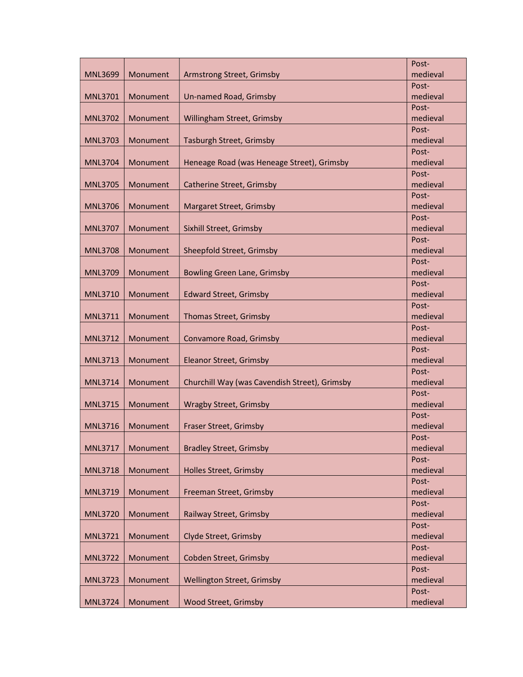|                |          |                                               | Post-             |
|----------------|----------|-----------------------------------------------|-------------------|
| <b>MNL3699</b> | Monument | Armstrong Street, Grimsby                     | medieval          |
|                |          |                                               | Post-             |
| <b>MNL3701</b> | Monument | Un-named Road, Grimsby                        | medieval          |
|                |          |                                               | Post-             |
| <b>MNL3702</b> | Monument | Willingham Street, Grimsby                    | medieval          |
|                |          |                                               | Post-             |
| <b>MNL3703</b> | Monument | Tasburgh Street, Grimsby                      | medieval          |
|                |          |                                               | Post-             |
| <b>MNL3704</b> | Monument | Heneage Road (was Heneage Street), Grimsby    | medieval          |
|                |          |                                               | Post-             |
| <b>MNL3705</b> | Monument | Catherine Street, Grimsby                     | medieval          |
|                |          |                                               | Post-             |
| <b>MNL3706</b> | Monument | Margaret Street, Grimsby                      | medieval          |
|                |          |                                               | Post-             |
| <b>MNL3707</b> | Monument | Sixhill Street, Grimsby                       | medieval          |
|                |          |                                               | Post-             |
| <b>MNL3708</b> | Monument | Sheepfold Street, Grimsby                     | medieval          |
|                |          |                                               | Post-             |
| <b>MNL3709</b> | Monument | <b>Bowling Green Lane, Grimsby</b>            | medieval          |
|                | Monument |                                               | Post-<br>medieval |
| <b>MNL3710</b> |          | <b>Edward Street, Grimsby</b>                 | Post-             |
| <b>MNL3711</b> | Monument | <b>Thomas Street, Grimsby</b>                 | medieval          |
|                |          |                                               | Post-             |
| <b>MNL3712</b> | Monument | Convamore Road, Grimsby                       | medieval          |
|                |          |                                               | Post-             |
| <b>MNL3713</b> | Monument | Eleanor Street, Grimsby                       | medieval          |
|                |          |                                               | Post-             |
| <b>MNL3714</b> | Monument | Churchill Way (was Cavendish Street), Grimsby | medieval          |
|                |          |                                               | Post-             |
| <b>MNL3715</b> | Monument | <b>Wragby Street, Grimsby</b>                 | medieval          |
|                |          |                                               | Post-             |
| <b>MNL3716</b> | Monument | Fraser Street, Grimsby                        | medieval          |
|                |          |                                               | Post-             |
| <b>MNL3717</b> | Monument | <b>Bradley Street, Grimsby</b>                | medieval          |
|                |          |                                               | Post-             |
| <b>MNL3718</b> | Monument | Holles Street, Grimsby                        | medieval          |
|                |          |                                               | Post-             |
| <b>MNL3719</b> | Monument | Freeman Street, Grimsby                       | medieval          |
|                |          |                                               | Post-             |
| <b>MNL3720</b> | Monument | Railway Street, Grimsby                       | medieval          |
|                |          |                                               | Post-             |
| <b>MNL3721</b> | Monument | Clyde Street, Grimsby                         | medieval          |
|                |          |                                               | Post-             |
| <b>MNL3722</b> | Monument | Cobden Street, Grimsby                        | medieval          |
|                |          |                                               | Post-             |
| <b>MNL3723</b> | Monument | Wellington Street, Grimsby                    | medieval          |
|                |          |                                               | Post-             |
| <b>MNL3724</b> | Monument | Wood Street, Grimsby                          | medieval          |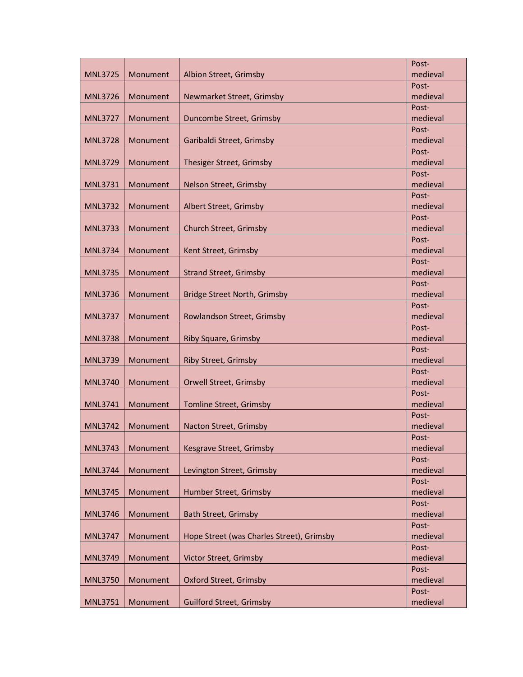|                |          |                                           | Post-             |
|----------------|----------|-------------------------------------------|-------------------|
| <b>MNL3725</b> | Monument | Albion Street, Grimsby                    | medieval          |
|                |          |                                           | Post-             |
| <b>MNL3726</b> | Monument | Newmarket Street, Grimsby                 | medieval          |
|                |          |                                           | Post-             |
| <b>MNL3727</b> | Monument | Duncombe Street, Grimsby                  | medieval          |
|                |          |                                           | Post-             |
| <b>MNL3728</b> | Monument | Garibaldi Street, Grimsby                 | medieval          |
|                |          |                                           | Post-             |
| <b>MNL3729</b> | Monument | Thesiger Street, Grimsby                  | medieval          |
|                |          |                                           | Post-             |
| <b>MNL3731</b> | Monument | Nelson Street, Grimsby                    | medieval          |
|                |          |                                           | Post-             |
| <b>MNL3732</b> | Monument | Albert Street, Grimsby                    | medieval          |
|                |          |                                           | Post-             |
| <b>MNL3733</b> | Monument | Church Street, Grimsby                    | medieval          |
|                |          |                                           | Post-             |
| <b>MNL3734</b> | Monument | Kent Street, Grimsby                      | medieval          |
|                |          |                                           | Post-             |
| <b>MNL3735</b> | Monument | <b>Strand Street, Grimsby</b>             | medieval          |
|                |          |                                           | Post-             |
| <b>MNL3736</b> | Monument | <b>Bridge Street North, Grimsby</b>       | medieval          |
| <b>MNL3737</b> | Monument | Rowlandson Street, Grimsby                | Post-<br>medieval |
|                |          |                                           | Post-             |
| <b>MNL3738</b> | Monument | <b>Riby Square, Grimsby</b>               | medieval          |
|                |          |                                           | Post-             |
| <b>MNL3739</b> | Monument | <b>Riby Street, Grimsby</b>               | medieval          |
|                |          |                                           | Post-             |
| <b>MNL3740</b> | Monument | Orwell Street, Grimsby                    | medieval          |
|                |          |                                           | Post-             |
| <b>MNL3741</b> | Monument | <b>Tomline Street, Grimsby</b>            | medieval          |
|                |          |                                           | Post-             |
| <b>MNL3742</b> | Monument | Nacton Street, Grimsby                    | medieval          |
|                |          |                                           | Post-             |
| <b>MNL3743</b> | Monument | Kesgrave Street, Grimsby                  | medieval          |
|                |          |                                           | Post-             |
| <b>MNL3744</b> | Monument | Levington Street, Grimsby                 | medieval          |
|                |          |                                           | Post-             |
| <b>MNL3745</b> | Monument | Humber Street, Grimsby                    | medieval          |
|                |          |                                           | Post-             |
| <b>MNL3746</b> | Monument | <b>Bath Street, Grimsby</b>               | medieval          |
|                |          |                                           | Post-             |
| <b>MNL3747</b> | Monument | Hope Street (was Charles Street), Grimsby | medieval          |
|                |          |                                           | Post-             |
| <b>MNL3749</b> | Monument | Victor Street, Grimsby                    | medieval          |
|                |          |                                           | Post-             |
| <b>MNL3750</b> | Monument | Oxford Street, Grimsby                    | medieval          |
|                |          | <b>Guilford Street, Grimsby</b>           | Post-<br>medieval |
| <b>MNL3751</b> | Monument |                                           |                   |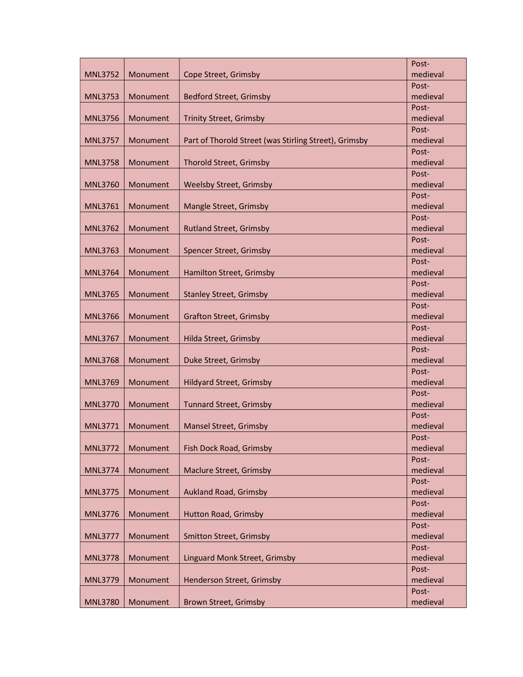|                |          |                                                       | Post-             |
|----------------|----------|-------------------------------------------------------|-------------------|
| <b>MNL3752</b> | Monument | Cope Street, Grimsby                                  | medieval          |
|                |          |                                                       | Post-             |
| <b>MNL3753</b> | Monument | <b>Bedford Street, Grimsby</b>                        | medieval          |
|                |          |                                                       | Post-             |
| <b>MNL3756</b> | Monument | <b>Trinity Street, Grimsby</b>                        | medieval          |
|                |          |                                                       | Post-             |
| <b>MNL3757</b> | Monument | Part of Thorold Street (was Stirling Street), Grimsby | medieval          |
|                |          |                                                       | Post-             |
| <b>MNL3758</b> | Monument | <b>Thorold Street, Grimsby</b>                        | medieval          |
|                |          |                                                       | Post-             |
| <b>MNL3760</b> | Monument | <b>Weelsby Street, Grimsby</b>                        | medieval          |
|                |          |                                                       | Post-             |
| <b>MNL3761</b> | Monument | Mangle Street, Grimsby                                | medieval          |
|                |          |                                                       | Post-             |
| <b>MNL3762</b> | Monument | <b>Rutland Street, Grimsby</b>                        | medieval          |
|                |          |                                                       | Post-             |
| <b>MNL3763</b> | Monument | Spencer Street, Grimsby                               | medieval          |
|                |          |                                                       | Post-             |
| <b>MNL3764</b> | Monument | Hamilton Street, Grimsby                              | medieval          |
|                |          |                                                       | Post-             |
| <b>MNL3765</b> | Monument | <b>Stanley Street, Grimsby</b>                        | medieval          |
|                |          |                                                       | Post-             |
| <b>MNL3766</b> | Monument | <b>Grafton Street, Grimsby</b>                        | medieval          |
|                |          |                                                       | Post-<br>medieval |
| <b>MNL3767</b> | Monument | Hilda Street, Grimsby                                 | Post-             |
| <b>MNL3768</b> | Monument | Duke Street, Grimsby                                  | medieval          |
|                |          |                                                       | Post-             |
| <b>MNL3769</b> | Monument | <b>Hildyard Street, Grimsby</b>                       | medieval          |
|                |          |                                                       | Post-             |
| <b>MNL3770</b> | Monument | <b>Tunnard Street, Grimsby</b>                        | medieval          |
|                |          |                                                       | Post-             |
| <b>MNL3771</b> | Monument | Mansel Street, Grimsby                                | medieval          |
|                |          |                                                       | Post-             |
| <b>MNL3772</b> | Monument | Fish Dock Road, Grimsby                               | medieval          |
|                |          |                                                       | Post-             |
| <b>MNL3774</b> | Monument | <b>Maclure Street, Grimsby</b>                        | medieval          |
|                |          |                                                       | Post-             |
| <b>MNL3775</b> | Monument | <b>Aukland Road, Grimsby</b>                          | medieval          |
|                |          |                                                       | Post-             |
| <b>MNL3776</b> | Monument | <b>Hutton Road, Grimsby</b>                           | medieval          |
|                |          |                                                       | Post-             |
| <b>MNL3777</b> | Monument | <b>Smitton Street, Grimsby</b>                        | medieval          |
|                |          |                                                       | Post-             |
| <b>MNL3778</b> | Monument | Linguard Monk Street, Grimsby                         | medieval          |
|                |          |                                                       | Post-             |
| <b>MNL3779</b> | Monument | Henderson Street, Grimsby                             | medieval          |
|                |          |                                                       | Post-             |
| <b>MNL3780</b> | Monument | <b>Brown Street, Grimsby</b>                          | medieval          |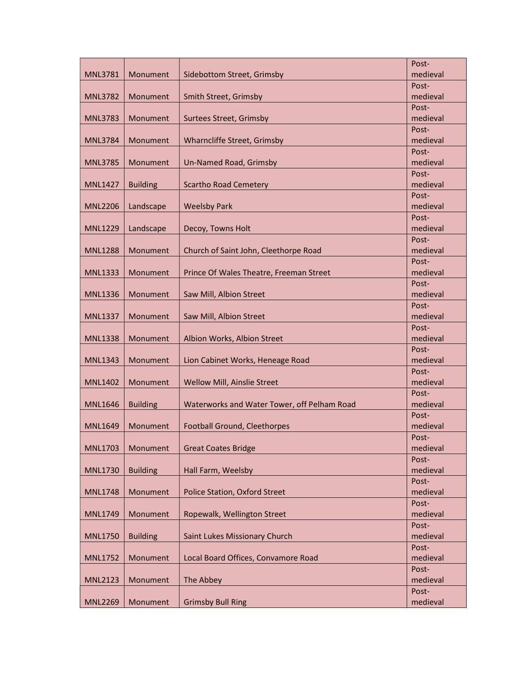|                |                 |                                             | Post-             |
|----------------|-----------------|---------------------------------------------|-------------------|
| <b>MNL3781</b> | Monument        | Sidebottom Street, Grimsby                  | medieval          |
|                |                 |                                             | Post-             |
| <b>MNL3782</b> | Monument        | Smith Street, Grimsby                       | medieval          |
|                |                 |                                             | Post-             |
| <b>MNL3783</b> | Monument        | Surtees Street, Grimsby                     | medieval          |
|                |                 |                                             | Post-             |
| <b>MNL3784</b> | Monument        | Wharncliffe Street, Grimsby                 | medieval          |
|                |                 |                                             | Post-             |
| <b>MNL3785</b> | Monument        | Un-Named Road, Grimsby                      | medieval          |
|                |                 |                                             | Post-             |
| <b>MNL1427</b> | <b>Building</b> | <b>Scartho Road Cemetery</b>                | medieval          |
|                |                 |                                             | Post-             |
| <b>MNL2206</b> | Landscape       | <b>Weelsby Park</b>                         | medieval          |
|                |                 |                                             | Post-             |
| <b>MNL1229</b> | Landscape       | Decoy, Towns Holt                           | medieval          |
| <b>MNL1288</b> |                 |                                             | Post-             |
|                | Monument        | Church of Saint John, Cleethorpe Road       | medieval          |
| <b>MNL1333</b> | Monument        | Prince Of Wales Theatre, Freeman Street     | Post-<br>medieval |
|                |                 |                                             | Post-             |
| <b>MNL1336</b> | Monument        | Saw Mill, Albion Street                     | medieval          |
|                |                 |                                             | Post-             |
| <b>MNL1337</b> | Monument        | Saw Mill, Albion Street                     | medieval          |
|                |                 |                                             | Post-             |
| <b>MNL1338</b> | Monument        | Albion Works, Albion Street                 | medieval          |
|                |                 |                                             | Post-             |
| <b>MNL1343</b> | Monument        | Lion Cabinet Works, Heneage Road            | medieval          |
|                |                 |                                             | Post-             |
| <b>MNL1402</b> | Monument        | Wellow Mill, Ainslie Street                 | medieval          |
|                |                 |                                             | Post-             |
| <b>MNL1646</b> | <b>Building</b> | Waterworks and Water Tower, off Pelham Road | medieval          |
|                |                 |                                             | Post-             |
| <b>MNL1649</b> | Monument        | Football Ground, Cleethorpes                | medieval          |
|                |                 |                                             | Post-             |
| <b>MNL1703</b> | Monument        | <b>Great Coates Bridge</b>                  | medieval          |
|                |                 |                                             | Post-             |
| <b>MNL1730</b> | <b>Building</b> | Hall Farm, Weelsby                          | medieval          |
| <b>MNL1748</b> | Monument        |                                             | Post-<br>medieval |
|                |                 | <b>Police Station, Oxford Street</b>        | Post-             |
| <b>MNL1749</b> | Monument        | Ropewalk, Wellington Street                 | medieval          |
|                |                 |                                             | Post-             |
| <b>MNL1750</b> | <b>Building</b> | Saint Lukes Missionary Church               | medieval          |
|                |                 |                                             | Post-             |
| <b>MNL1752</b> | Monument        | Local Board Offices, Convamore Road         | medieval          |
|                |                 |                                             | Post-             |
| <b>MNL2123</b> | Monument        | The Abbey                                   | medieval          |
|                |                 |                                             | Post-             |
| <b>MNL2269</b> | Monument        | <b>Grimsby Bull Ring</b>                    | medieval          |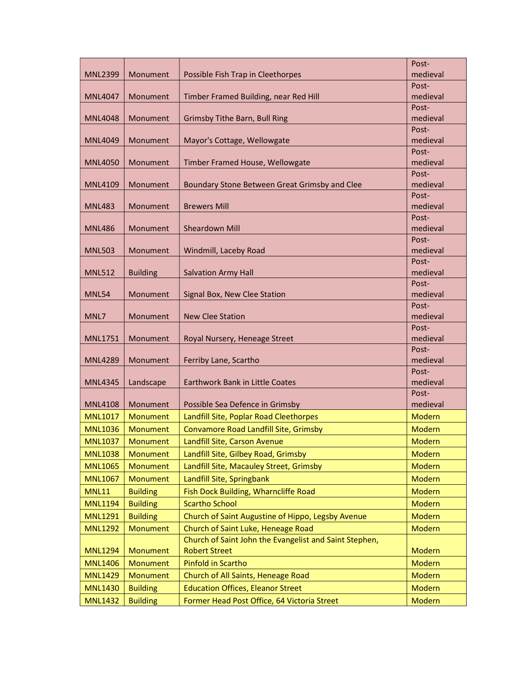|                                  |                      |                                                        | Post-             |
|----------------------------------|----------------------|--------------------------------------------------------|-------------------|
| <b>MNL2399</b>                   | Monument             | Possible Fish Trap in Cleethorpes                      | medieval          |
|                                  |                      |                                                        | Post-             |
| <b>MNL4047</b>                   | Monument             | Timber Framed Building, near Red Hill                  | medieval          |
|                                  |                      |                                                        | Post-             |
| <b>MNL4048</b>                   | Monument             | <b>Grimsby Tithe Barn, Bull Ring</b>                   | medieval          |
|                                  |                      |                                                        | Post-             |
| <b>MNL4049</b>                   | Monument             | Mayor's Cottage, Wellowgate                            | medieval          |
|                                  |                      |                                                        | Post-             |
| <b>MNL4050</b>                   | Monument             | Timber Framed House, Wellowgate                        | medieval          |
| <b>MNL4109</b>                   | Monument             | Boundary Stone Between Great Grimsby and Clee          | Post-<br>medieval |
|                                  |                      |                                                        | Post-             |
| <b>MNL483</b>                    | Monument             | <b>Brewers Mill</b>                                    | medieval          |
|                                  |                      |                                                        | Post-             |
| <b>MNL486</b>                    | Monument             | <b>Sheardown Mill</b>                                  | medieval          |
|                                  |                      |                                                        | Post-             |
| <b>MNL503</b>                    | Monument             | Windmill, Laceby Road                                  | medieval          |
|                                  |                      |                                                        | Post-             |
| <b>MNL512</b>                    | <b>Building</b>      | <b>Salvation Army Hall</b>                             | medieval          |
|                                  |                      |                                                        | Post-             |
| <b>MNL54</b>                     | Monument             | Signal Box, New Clee Station                           | medieval          |
|                                  |                      |                                                        | Post-             |
| MNL7                             | Monument             | <b>New Clee Station</b>                                | medieval          |
|                                  |                      |                                                        | Post-             |
| MNL1751                          | Monument             | Royal Nursery, Heneage Street                          | medieval          |
|                                  |                      |                                                        | Post-<br>medieval |
| <b>MNL4289</b>                   | Monument             | Ferriby Lane, Scartho                                  | Post-             |
| <b>MNL4345</b>                   | Landscape            | Earthwork Bank in Little Coates                        | medieval          |
|                                  |                      |                                                        | Post-             |
| <b>MNL4108</b>                   | Monument             | Possible Sea Defence in Grimsby                        | medieval          |
| <b>MNL1017</b>                   | Monument             | Landfill Site, Poplar Road Cleethorpes                 | <b>Modern</b>     |
| <b>MNL1036</b>                   | <b>Monument</b>      | Convamore Road Landfill Site, Grimsby                  | <b>Modern</b>     |
| <b>MNL1037</b>                   | Monument             | Landfill Site, Carson Avenue                           | Modern            |
|                                  |                      |                                                        |                   |
| <b>MNL1038</b><br><b>MNL1065</b> | Monument<br>Monument | Landfill Site, Gilbey Road, Grimsby                    | Modern<br>Modern  |
|                                  |                      | Landfill Site, Macauley Street, Grimsby                |                   |
| <b>MNL1067</b>                   | Monument             | Landfill Site, Springbank                              | <b>Modern</b>     |
| <b>MNL11</b>                     | <b>Building</b>      | Fish Dock Building, Wharncliffe Road                   | <b>Modern</b>     |
| <b>MNL1194</b>                   | <b>Building</b>      | <b>Scartho School</b>                                  | <b>Modern</b>     |
| <b>MNL1291</b>                   | <b>Building</b>      | Church of Saint Augustine of Hippo, Legsby Avenue      | Modern            |
| <b>MNL1292</b>                   | Monument             | Church of Saint Luke, Heneage Road                     | Modern            |
|                                  |                      | Church of Saint John the Evangelist and Saint Stephen, |                   |
| <b>MNL1294</b>                   | Monument             | <b>Robert Street</b>                                   | Modern            |
| <b>MNL1406</b>                   | Monument             | <b>Pinfold in Scartho</b>                              | <b>Modern</b>     |
| <b>MNL1429</b>                   | Monument             | Church of All Saints, Heneage Road                     | <b>Modern</b>     |
| <b>MNL1430</b>                   | <b>Building</b>      | <b>Education Offices, Eleanor Street</b>               | Modern            |
| <b>MNL1432</b>                   | <b>Building</b>      | Former Head Post Office, 64 Victoria Street            | <b>Modern</b>     |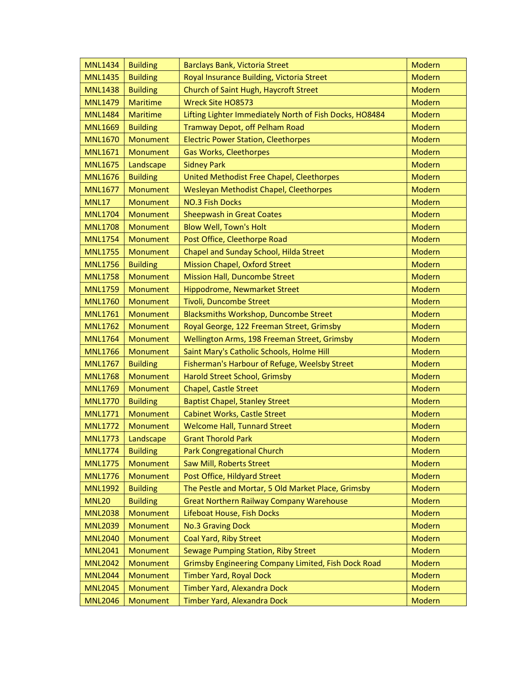| <b>MNL1434</b> | <b>Building</b> | Barclays Bank, Victoria Street                          | Modern        |
|----------------|-----------------|---------------------------------------------------------|---------------|
| <b>MNL1435</b> | <b>Building</b> | Royal Insurance Building, Victoria Street               | <b>Modern</b> |
| <b>MNL1438</b> | <b>Building</b> | Church of Saint Hugh, Haycroft Street                   | Modern        |
| <b>MNL1479</b> | <b>Maritime</b> | <b>Wreck Site HO8573</b>                                | <b>Modern</b> |
| <b>MNL1484</b> | <b>Maritime</b> | Lifting Lighter Immediately North of Fish Docks, HO8484 | <b>Modern</b> |
| <b>MNL1669</b> | <b>Building</b> | Tramway Depot, off Pelham Road                          | <b>Modern</b> |
| <b>MNL1670</b> | Monument        | <b>Electric Power Station, Cleethorpes</b>              | <b>Modern</b> |
| <b>MNL1671</b> | Monument        | <b>Gas Works, Cleethorpes</b>                           | Modern        |
| <b>MNL1675</b> | Landscape       | <b>Sidney Park</b>                                      | Modern        |
| <b>MNL1676</b> | <b>Building</b> | United Methodist Free Chapel, Cleethorpes               | Modern        |
| <b>MNL1677</b> | Monument        | Wesleyan Methodist Chapel, Cleethorpes                  | <b>Modern</b> |
| <b>MNL17</b>   | <b>Monument</b> | <b>NO.3 Fish Docks</b>                                  | <b>Modern</b> |
| <b>MNL1704</b> | Monument        | <b>Sheepwash in Great Coates</b>                        | <b>Modern</b> |
| <b>MNL1708</b> | Monument        | <b>Blow Well, Town's Holt</b>                           | <b>Modern</b> |
| <b>MNL1754</b> | Monument        | Post Office, Cleethorpe Road                            | Modern        |
| <b>MNL1755</b> | Monument        | Chapel and Sunday School, Hilda Street                  | <b>Modern</b> |
| <b>MNL1756</b> | <b>Building</b> | <b>Mission Chapel, Oxford Street</b>                    | Modern        |
| <b>MNL1758</b> | Monument        | <b>Mission Hall, Duncombe Street</b>                    | <b>Modern</b> |
| <b>MNL1759</b> | <b>Monument</b> | Hippodrome, Newmarket Street                            | <b>Modern</b> |
| <b>MNL1760</b> | Monument        | Tivoli, Duncombe Street                                 | <b>Modern</b> |
| <b>MNL1761</b> | Monument        | Blacksmiths Workshop, Duncombe Street                   | <b>Modern</b> |
| <b>MNL1762</b> | Monument        | Royal George, 122 Freeman Street, Grimsby               | Modern        |
| <b>MNL1764</b> | Monument        | Wellington Arms, 198 Freeman Street, Grimsby            | <b>Modern</b> |
| <b>MNL1766</b> | <b>Monument</b> | Saint Mary's Catholic Schools, Holme Hill               | Modern        |
| <b>MNL1767</b> | <b>Building</b> | Fisherman's Harbour of Refuge, Weelsby Street           | Modern        |
| <b>MNL1768</b> | Monument        | Harold Street School, Grimsby                           | <b>Modern</b> |
| <b>MNL1769</b> | Monument        | <b>Chapel, Castle Street</b>                            | Modern        |
| <b>MNL1770</b> | <b>Building</b> | <b>Baptist Chapel, Stanley Street</b>                   | <b>Modern</b> |
| <b>MNL1771</b> | <b>Monument</b> | <b>Cabinet Works, Castle Street</b>                     | Modern        |
| <b>MNL1772</b> | Monument        | <b>Welcome Hall, Tunnard Street</b>                     | <b>Modern</b> |
| <b>MNL1773</b> | Landscape       | <b>Grant Thorold Park</b>                               | <b>Modern</b> |
| <b>MNL1774</b> | <b>Building</b> | <b>Park Congregational Church</b>                       | Modern        |
| <b>MNL1775</b> | Monument        | Saw Mill, Roberts Street                                | Modern        |
| <b>MNL1776</b> | Monument        | Post Office, Hildyard Street                            | Modern        |
| <b>MNL1992</b> | <b>Building</b> | The Pestle and Mortar, 5 Old Market Place, Grimsby      | <b>Modern</b> |
| <b>MNL20</b>   | <b>Building</b> | <b>Great Northern Railway Company Warehouse</b>         | <b>Modern</b> |
| <b>MNL2038</b> | Monument        | Lifeboat House, Fish Docks                              | <b>Modern</b> |
| <b>MNL2039</b> | Monument        | <b>No.3 Graving Dock</b>                                | Modern        |
| <b>MNL2040</b> | Monument        | Coal Yard, Riby Street                                  | <b>Modern</b> |
| <b>MNL2041</b> | <b>Monument</b> | Sewage Pumping Station, Riby Street                     | Modern        |
| <b>MNL2042</b> | Monument        | Grimsby Engineering Company Limited, Fish Dock Road     | Modern        |
| <b>MNL2044</b> | Monument        | <b>Timber Yard, Royal Dock</b>                          | <b>Modern</b> |
| <b>MNL2045</b> | Monument        | Timber Yard, Alexandra Dock                             | Modern        |
| <b>MNL2046</b> | Monument        | Timber Yard, Alexandra Dock                             | Modern        |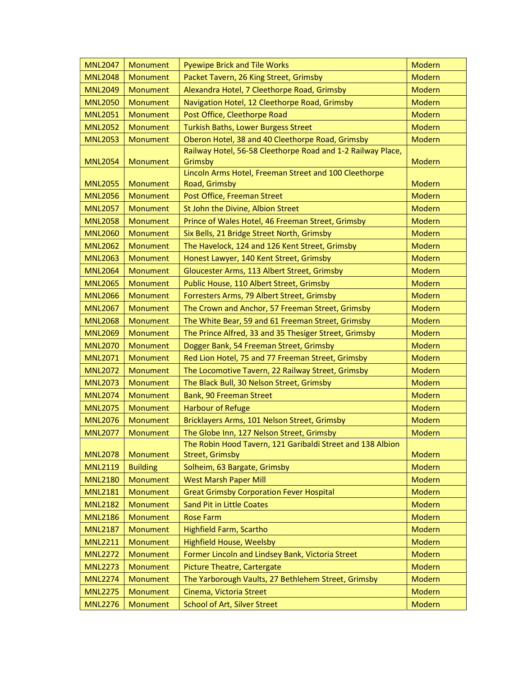| <b>MNL2047</b> | Monument        | <b>Pyewipe Brick and Tile Works</b>                                    | Modern        |
|----------------|-----------------|------------------------------------------------------------------------|---------------|
| <b>MNL2048</b> | Monument        | Packet Tavern, 26 King Street, Grimsby                                 | <b>Modern</b> |
| <b>MNL2049</b> | Monument        | Alexandra Hotel, 7 Cleethorpe Road, Grimsby                            | <b>Modern</b> |
| <b>MNL2050</b> | Monument        | Navigation Hotel, 12 Cleethorpe Road, Grimsby                          | Modern        |
| <b>MNL2051</b> | Monument        | Post Office, Cleethorpe Road                                           | Modern        |
| <b>MNL2052</b> | <b>Monument</b> | <b>Turkish Baths, Lower Burgess Street</b>                             | Modern        |
| <b>MNL2053</b> | Monument        | Oberon Hotel, 38 and 40 Cleethorpe Road, Grimsby                       | <b>Modern</b> |
| <b>MNL2054</b> | Monument        | Railway Hotel, 56-58 Cleethorpe Road and 1-2 Railway Place,<br>Grimsby | Modern        |
| <b>MNL2055</b> | Monument        | Lincoln Arms Hotel, Freeman Street and 100 Cleethorpe<br>Road, Grimsby | <b>Modern</b> |
| <b>MNL2056</b> | Monument        | Post Office, Freeman Street                                            | <b>Modern</b> |
| <b>MNL2057</b> | Monument        | St John the Divine, Albion Street                                      | <b>Modern</b> |
| <b>MNL2058</b> | Monument        | Prince of Wales Hotel, 46 Freeman Street, Grimsby                      | <b>Modern</b> |
| <b>MNL2060</b> | Monument        | Six Bells, 21 Bridge Street North, Grimsby                             | Modern        |
| <b>MNL2062</b> | <b>Monument</b> | The Havelock, 124 and 126 Kent Street, Grimsby                         | Modern        |
| <b>MNL2063</b> | Monument        | Honest Lawyer, 140 Kent Street, Grimsby                                | Modern        |
| <b>MNL2064</b> | <b>Monument</b> | Gloucester Arms, 113 Albert Street, Grimsby                            | <b>Modern</b> |
| <b>MNL2065</b> | Monument        | Public House, 110 Albert Street, Grimsby                               | <b>Modern</b> |
| <b>MNL2066</b> | Monument        | Forresters Arms, 79 Albert Street, Grimsby                             | <b>Modern</b> |
| <b>MNL2067</b> | Monument        | The Crown and Anchor, 57 Freeman Street, Grimsby                       | Modern        |
| <b>MNL2068</b> | Monument        | The White Bear, 59 and 61 Freeman Street, Grimsby                      | Modern        |
| <b>MNL2069</b> | Monument        | The Prince Alfred, 33 and 35 Thesiger Street, Grimsby                  | Modern        |
| <b>MNL2070</b> | Monument        | Dogger Bank, 54 Freeman Street, Grimsby                                | Modern        |
| <b>MNL2071</b> | <b>Monument</b> | Red Lion Hotel, 75 and 77 Freeman Street, Grimsby                      | Modern        |
| <b>MNL2072</b> | Monument        | The Locomotive Tavern, 22 Railway Street, Grimsby                      | <b>Modern</b> |
| <b>MNL2073</b> | Monument        | The Black Bull, 30 Nelson Street, Grimsby                              | Modern        |
| <b>MNL2074</b> | <b>Monument</b> | Bank, 90 Freeman Street                                                | <b>Modern</b> |
| <b>MNL2075</b> | Monument        | <b>Harbour of Refuge</b>                                               | <b>Modern</b> |
| <b>MNL2076</b> | Monument        | Bricklayers Arms, 101 Nelson Street, Grimsby                           | Modern        |
| <b>MNL2077</b> | Monument        | The Globe Inn, 127 Nelson Street, Grimsby                              | <b>Modern</b> |
|                |                 | The Robin Hood Tavern, 121 Garibaldi Street and 138 Albion             |               |
| <b>MNL2078</b> | Monument        | <b>Street, Grimsby</b>                                                 | Modern        |
| <b>MNL2119</b> | <b>Building</b> | Solheim, 63 Bargate, Grimsby                                           | Modern        |
| <b>MNL2180</b> | <b>Monument</b> | <b>West Marsh Paper Mill</b>                                           | Modern        |
| <b>MNL2181</b> | Monument        | <b>Great Grimsby Corporation Fever Hospital</b>                        | Modern        |
| <b>MNL2182</b> | Monument        | <b>Sand Pit in Little Coates</b>                                       | Modern        |
| <b>MNL2186</b> | <b>Monument</b> | <b>Rose Farm</b>                                                       | <b>Modern</b> |
| <b>MNL2187</b> | Monument        | <b>Highfield Farm, Scartho</b>                                         | Modern        |
| <b>MNL2211</b> | Monument        | <b>Highfield House, Weelsby</b>                                        | Modern        |
| <b>MNL2272</b> | Monument        | Former Lincoln and Lindsey Bank, Victoria Street                       | <b>Modern</b> |
| <b>MNL2273</b> | Monument        | <b>Picture Theatre, Cartergate</b>                                     | Modern        |
| <b>MNL2274</b> | Monument        | The Yarborough Vaults, 27 Bethlehem Street, Grimsby                    | Modern        |
| <b>MNL2275</b> | Monument        | Cinema, Victoria Street                                                | Modern        |
| <b>MNL2276</b> | Monument        | <b>School of Art, Silver Street</b>                                    | Modern        |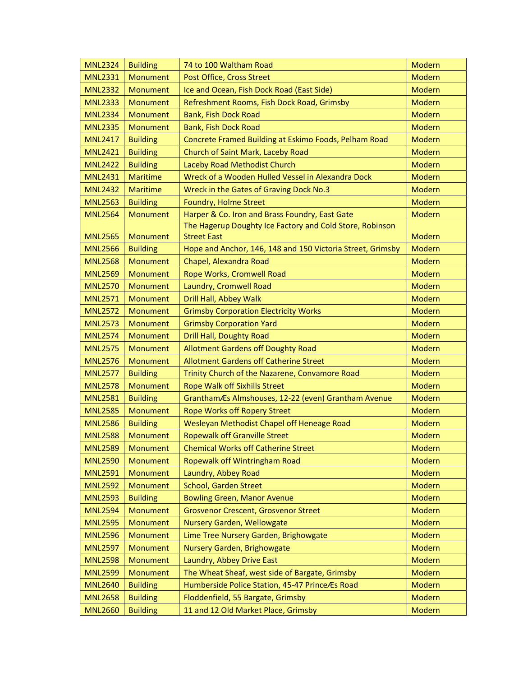| <b>MNL2324</b> | <b>Building</b> | 74 to 100 Waltham Road                                     | <b>Modern</b> |
|----------------|-----------------|------------------------------------------------------------|---------------|
| <b>MNL2331</b> | Monument        | Post Office, Cross Street                                  | <b>Modern</b> |
| <b>MNL2332</b> | Monument        | Ice and Ocean, Fish Dock Road (East Side)                  | <b>Modern</b> |
| <b>MNL2333</b> | Monument        | Refreshment Rooms, Fish Dock Road, Grimsby                 | <b>Modern</b> |
| <b>MNL2334</b> | <b>Monument</b> | <b>Bank, Fish Dock Road</b>                                | <b>Modern</b> |
| <b>MNL2335</b> | Monument        | Bank, Fish Dock Road                                       | Modern        |
| <b>MNL2417</b> | <b>Building</b> | Concrete Framed Building at Eskimo Foods, Pelham Road      | <b>Modern</b> |
| <b>MNL2421</b> | <b>Building</b> | Church of Saint Mark, Laceby Road                          | Modern        |
| <b>MNL2422</b> | <b>Building</b> | Laceby Road Methodist Church                               | <b>Modern</b> |
| <b>MNL2431</b> | <b>Maritime</b> | Wreck of a Wooden Hulled Vessel in Alexandra Dock          | <b>Modern</b> |
| <b>MNL2432</b> | <b>Maritime</b> | Wreck in the Gates of Graving Dock No.3                    | Modern        |
| <b>MNL2563</b> | <b>Building</b> | Foundry, Holme Street                                      | <b>Modern</b> |
| <b>MNL2564</b> | <b>Monument</b> | Harper & Co. Iron and Brass Foundry, East Gate             | Modern        |
|                |                 | The Hagerup Doughty Ice Factory and Cold Store, Robinson   |               |
| <b>MNL2565</b> | Monument        | <b>Street East</b>                                         | Modern        |
| <b>MNL2566</b> | <b>Building</b> | Hope and Anchor, 146, 148 and 150 Victoria Street, Grimsby | <b>Modern</b> |
| <b>MNL2568</b> | <b>Monument</b> | Chapel, Alexandra Road                                     | Modern        |
| <b>MNL2569</b> | Monument        | Rope Works, Cromwell Road                                  | <b>Modern</b> |
| <b>MNL2570</b> | <b>Monument</b> | Laundry, Cromwell Road                                     | Modern        |
| <b>MNL2571</b> | Monument        | Drill Hall, Abbey Walk                                     | <b>Modern</b> |
| <b>MNL2572</b> | Monument        | <b>Grimsby Corporation Electricity Works</b>               | <b>Modern</b> |
| <b>MNL2573</b> | Monument        | <b>Grimsby Corporation Yard</b>                            | Modern        |
| <b>MNL2574</b> | Monument        | Drill Hall, Doughty Road                                   | <b>Modern</b> |
| <b>MNL2575</b> | Monument        | <b>Allotment Gardens off Doughty Road</b>                  | Modern        |
| <b>MNL2576</b> | Monument        | <b>Allotment Gardens off Catherine Street</b>              | <b>Modern</b> |
| <b>MNL2577</b> | <b>Building</b> | Trinity Church of the Nazarene, Convamore Road             | Modern        |
| <b>MNL2578</b> | <b>Monument</b> | <b>Rope Walk off Sixhills Street</b>                       | <b>Modern</b> |
| <b>MNL2581</b> | <b>Building</b> | GranthamÆs Almshouses, 12-22 (even) Grantham Avenue        | <b>Modern</b> |
| <b>MNL2585</b> | Monument        | <b>Rope Works off Ropery Street</b>                        | Modern        |
| <b>MNL2586</b> | <b>Building</b> | Wesleyan Methodist Chapel off Heneage Road                 | <b>Modern</b> |
| <b>MNL2588</b> | Monument        | <b>Ropewalk off Granville Street</b>                       | Modern        |
| <b>MNL2589</b> | Monument        | <b>Chemical Works off Catherine Street</b>                 | <b>Modern</b> |
| <b>MNL2590</b> | <b>Monument</b> | Ropewalk off Wintringham Road                              | Modern        |
| <b>MNL2591</b> | Monument        | Laundry, Abbey Road                                        | <b>Modern</b> |
| <b>MNL2592</b> | Monument        | School, Garden Street                                      | Modern        |
| <b>MNL2593</b> | <b>Building</b> | <b>Bowling Green, Manor Avenue</b>                         | <b>Modern</b> |
| <b>MNL2594</b> | Monument        | <b>Grosvenor Crescent, Grosvenor Street</b>                | <b>Modern</b> |
| <b>MNL2595</b> | Monument        | <b>Nursery Garden, Wellowgate</b>                          | Modern        |
| <b>MNL2596</b> | Monument        | Lime Tree Nursery Garden, Brighowgate                      | <b>Modern</b> |
| <b>MNL2597</b> | Monument        | Nursery Garden, Brighowgate                                | Modern        |
| <b>MNL2598</b> | Monument        | Laundry, Abbey Drive East                                  | Modern        |
| <b>MNL2599</b> | <b>Monument</b> | The Wheat Sheaf, west side of Bargate, Grimsby             | Modern        |
| <b>MNL2640</b> | <b>Building</b> | Humberside Police Station, 45-47 PrinceÆs Road             | <b>Modern</b> |
| <b>MNL2658</b> | <b>Building</b> | Floddenfield, 55 Bargate, Grimsby                          | <b>Modern</b> |
| <b>MNL2660</b> | <b>Building</b> | 11 and 12 Old Market Place, Grimsby                        | Modern        |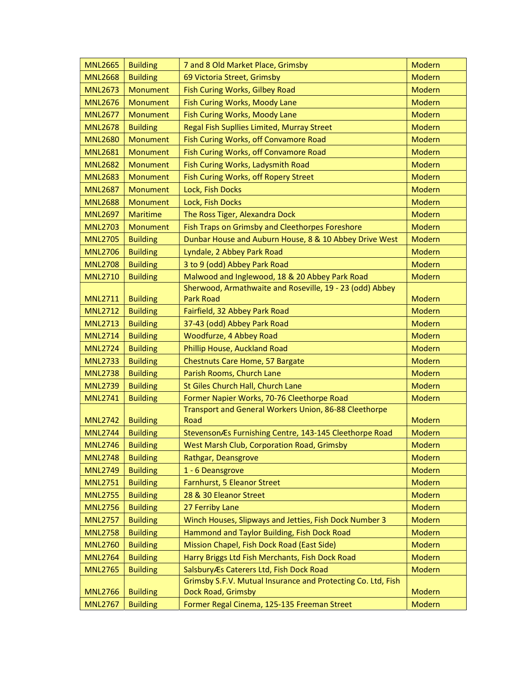| <b>MNL2665</b> | <b>Building</b> | 7 and 8 Old Market Place, Grimsby                            | Modern        |
|----------------|-----------------|--------------------------------------------------------------|---------------|
| <b>MNL2668</b> | <b>Building</b> | 69 Victoria Street, Grimsby                                  | <b>Modern</b> |
| <b>MNL2673</b> | Monument        | Fish Curing Works, Gilbey Road                               | Modern        |
| <b>MNL2676</b> | <b>Monument</b> | Fish Curing Works, Moody Lane                                | <b>Modern</b> |
| <b>MNL2677</b> | Monument        | Fish Curing Works, Moody Lane                                | Modern        |
| <b>MNL2678</b> | <b>Building</b> | Regal Fish Supllies Limited, Murray Street                   | <b>Modern</b> |
| <b>MNL2680</b> | Monument        | Fish Curing Works, off Convamore Road                        | Modern        |
| <b>MNL2681</b> | Monument        | Fish Curing Works, off Convamore Road                        | Modern        |
| <b>MNL2682</b> | Monument        | Fish Curing Works, Ladysmith Road                            | <b>Modern</b> |
| <b>MNL2683</b> | <b>Monument</b> | Fish Curing Works, off Ropery Street                         | <b>Modern</b> |
| <b>MNL2687</b> | <b>Monument</b> | Lock, Fish Docks                                             | <b>Modern</b> |
| <b>MNL2688</b> | Monument        | Lock, Fish Docks                                             | Modern        |
| <b>MNL2697</b> | <b>Maritime</b> | The Ross Tiger, Alexandra Dock                               | <b>Modern</b> |
| <b>MNL2703</b> | Monument        | Fish Traps on Grimsby and Cleethorpes Foreshore              | <b>Modern</b> |
| <b>MNL2705</b> | <b>Building</b> | Dunbar House and Auburn House, 8 & 10 Abbey Drive West       | Modern        |
| <b>MNL2706</b> | <b>Building</b> | Lyndale, 2 Abbey Park Road                                   | <b>Modern</b> |
| <b>MNL2708</b> | <b>Building</b> | 3 to 9 (odd) Abbey Park Road                                 | <b>Modern</b> |
| <b>MNL2710</b> | <b>Building</b> | Malwood and Inglewood, 18 & 20 Abbey Park Road               | Modern        |
|                |                 | Sherwood, Armathwaite and Roseville, 19 - 23 (odd) Abbey     |               |
| <b>MNL2711</b> | <b>Building</b> | <b>Park Road</b>                                             | Modern        |
| <b>MNL2712</b> | <b>Building</b> | Fairfield, 32 Abbey Park Road                                | Modern        |
| <b>MNL2713</b> | <b>Building</b> | 37-43 (odd) Abbey Park Road                                  | <b>Modern</b> |
| <b>MNL2714</b> | <b>Building</b> | Woodfurze, 4 Abbey Road                                      | Modern        |
| <b>MNL2724</b> | <b>Building</b> | Phillip House, Auckland Road                                 | <b>Modern</b> |
| <b>MNL2733</b> | <b>Building</b> | Chestnuts Care Home, 57 Bargate                              | <b>Modern</b> |
| <b>MNL2738</b> | <b>Building</b> | Parish Rooms, Church Lane                                    | <b>Modern</b> |
| <b>MNL2739</b> | <b>Building</b> | St Giles Church Hall, Church Lane                            | Modern        |
| <b>MNL2741</b> | <b>Building</b> | Former Napier Works, 70-76 Cleethorpe Road                   | <b>Modern</b> |
|                |                 | Transport and General Workers Union, 86-88 Cleethorpe        |               |
| <b>MNL2742</b> | <b>Building</b> | Road                                                         | Modern        |
| <b>MNL2744</b> | <b>Building</b> | StevensonÆs Furnishing Centre, 143-145 Cleethorpe Road       | <b>Modern</b> |
| <b>MNL2746</b> | <b>Building</b> | West Marsh Club, Corporation Road, Grimsby                   | Modern        |
| <b>MNL2748</b> | <b>Building</b> | Rathgar, Deansgrove                                          | Modern        |
| <b>MNL2749</b> | <b>Building</b> | 1 - 6 Deansgrove                                             | Modern        |
| <b>MNL2751</b> | <b>Building</b> | Farnhurst, 5 Eleanor Street                                  | <b>Modern</b> |
| <b>MNL2755</b> | <b>Building</b> | 28 & 30 Eleanor Street                                       | Modern        |
| <b>MNL2756</b> | <b>Building</b> | 27 Ferriby Lane                                              | Modern        |
| <b>MNL2757</b> | <b>Building</b> | Winch Houses, Slipways and Jetties, Fish Dock Number 3       | <b>Modern</b> |
| <b>MNL2758</b> | <b>Building</b> | Hammond and Taylor Building, Fish Dock Road                  | Modern        |
| <b>MNL2760</b> | <b>Building</b> | Mission Chapel, Fish Dock Road (East Side)                   | Modern        |
| <b>MNL2764</b> | <b>Building</b> | Harry Briggs Ltd Fish Merchants, Fish Dock Road              | Modern        |
| <b>MNL2765</b> | <b>Building</b> | SalsburyÆs Caterers Ltd, Fish Dock Road                      | Modern        |
|                |                 | Grimsby S.F.V. Mutual Insurance and Protecting Co. Ltd, Fish |               |
| <b>MNL2766</b> | <b>Building</b> | Dock Road, Grimsby                                           | <b>Modern</b> |
| <b>MNL2767</b> | <b>Building</b> | Former Regal Cinema, 125-135 Freeman Street                  | Modern        |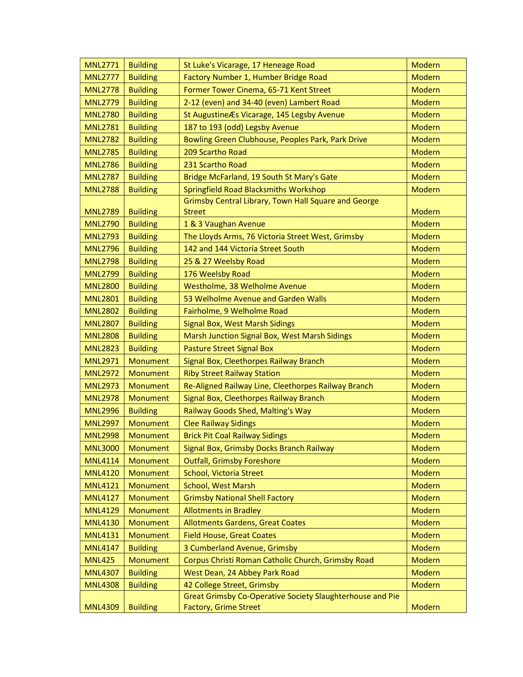| <b>MNL2771</b> | <b>Building</b> | St Luke's Vicarage, 17 Heneage Road                       | <b>Modern</b> |
|----------------|-----------------|-----------------------------------------------------------|---------------|
| <b>MNL2777</b> | <b>Building</b> | Factory Number 1, Humber Bridge Road                      | Modern        |
| <b>MNL2778</b> | <b>Building</b> | Former Tower Cinema, 65-71 Kent Street                    | Modern        |
| <b>MNL2779</b> | <b>Building</b> | 2-12 (even) and 34-40 (even) Lambert Road                 | <b>Modern</b> |
| <b>MNL2780</b> | <b>Building</b> | St Augustine Æs Vicarage, 145 Legsby Avenue               | <b>Modern</b> |
| <b>MNL2781</b> | <b>Building</b> | 187 to 193 (odd) Legsby Avenue                            | Modern        |
| <b>MNL2782</b> | <b>Building</b> | Bowling Green Clubhouse, Peoples Park, Park Drive         | <b>Modern</b> |
| <b>MNL2785</b> | <b>Building</b> | 209 Scartho Road                                          | Modern        |
| <b>MNL2786</b> | <b>Building</b> | 231 Scartho Road                                          | Modern        |
| <b>MNL2787</b> | <b>Building</b> | Bridge McFarland, 19 South St Mary's Gate                 | Modern        |
| <b>MNL2788</b> | <b>Building</b> | Springfield Road Blacksmiths Workshop                     | Modern        |
|                |                 | Grimsby Central Library, Town Hall Square and George      |               |
| <b>MNL2789</b> | <b>Building</b> | <b>Street</b>                                             | <b>Modern</b> |
| <b>MNL2790</b> | <b>Building</b> | 1 & 3 Vaughan Avenue                                      | Modern        |
| <b>MNL2793</b> | <b>Building</b> | The Lloyds Arms, 76 Victoria Street West, Grimsby         | <b>Modern</b> |
| <b>MNL2796</b> | <b>Building</b> | 142 and 144 Victoria Street South                         | Modern        |
| <b>MNL2798</b> | <b>Building</b> | 25 & 27 Weelsby Road                                      | <b>Modern</b> |
| <b>MNL2799</b> | <b>Building</b> | 176 Weelsby Road                                          | <b>Modern</b> |
| <b>MNL2800</b> | <b>Building</b> | Westholme, 38 Welholme Avenue                             | Modern        |
| <b>MNL2801</b> | <b>Building</b> | 53 Welholme Avenue and Garden Walls                       | <b>Modern</b> |
| <b>MNL2802</b> | <b>Building</b> | Fairholme, 9 Welholme Road                                | Modern        |
| <b>MNL2807</b> | <b>Building</b> | Signal Box, West Marsh Sidings                            | Modern        |
| <b>MNL2808</b> | <b>Building</b> | Marsh Junction Signal Box, West Marsh Sidings             | Modern        |
| <b>MNL2823</b> | <b>Building</b> | <b>Pasture Street Signal Box</b>                          | <b>Modern</b> |
| <b>MNL2971</b> | Monument        | Signal Box, Cleethorpes Railway Branch                    | Modern        |
| <b>MNL2972</b> | Monument        | <b>Riby Street Railway Station</b>                        | <b>Modern</b> |
| <b>MNL2973</b> | Monument        | Re-Aligned Railway Line, Cleethorpes Railway Branch       | <b>Modern</b> |
| <b>MNL2978</b> | Monument        | Signal Box, Cleethorpes Railway Branch                    | <b>Modern</b> |
| <b>MNL2996</b> | <b>Building</b> | Railway Goods Shed, Malting's Way                         | <b>Modern</b> |
| <b>MNL2997</b> | Monument        | <b>Clee Railway Sidings</b>                               | <b>Modern</b> |
| <b>MNL2998</b> | Monument        | <b>Brick Pit Coal Railway Sidings</b>                     | <b>Modern</b> |
| <b>MNL3000</b> | Monument        | Signal Box, Grimsby Docks Branch Railway                  | Modern        |
| <b>MNL4114</b> | Monument        | <b>Outfall, Grimsby Foreshore</b>                         | Modern        |
| <b>MNL4120</b> | Monument        | School, Victoria Street                                   | <b>Modern</b> |
| <b>MNL4121</b> | Monument        | <b>School, West Marsh</b>                                 | Modern        |
| <b>MNL4127</b> | Monument        | <b>Grimsby National Shell Factory</b>                     | Modern        |
| <b>MNL4129</b> | Monument        | <b>Allotments in Bradley</b>                              | Modern        |
| <b>MNL4130</b> | Monument        | <b>Allotments Gardens, Great Coates</b>                   | Modern        |
| <b>MNL4131</b> | <b>Monument</b> | <b>Field House, Great Coates</b>                          | Modern        |
| <b>MNL4147</b> | <b>Building</b> | 3 Cumberland Avenue, Grimsby                              | Modern        |
| <b>MNL425</b>  | Monument        | Corpus Christi Roman Catholic Church, Grimsby Road        | <b>Modern</b> |
| <b>MNL4307</b> | <b>Building</b> | West Dean, 24 Abbey Park Road                             | Modern        |
| <b>MNL4308</b> | <b>Building</b> | 42 College Street, Grimsby                                | <b>Modern</b> |
|                |                 | Great Grimsby Co-Operative Society Slaughterhouse and Pie |               |
| <b>MNL4309</b> | <b>Building</b> | Factory, Grime Street                                     | Modern        |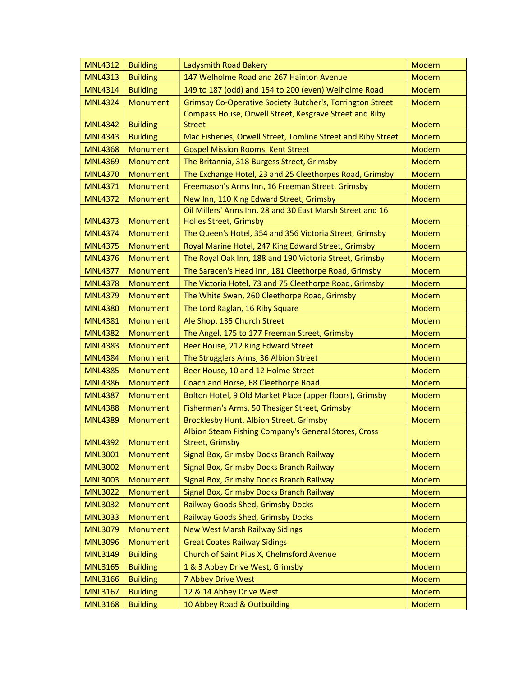| <b>MNL4312</b> | <b>Building</b> | Ladysmith Road Bakery                                                                      | <b>Modern</b> |
|----------------|-----------------|--------------------------------------------------------------------------------------------|---------------|
| <b>MNL4313</b> | <b>Building</b> | 147 Welholme Road and 267 Hainton Avenue                                                   | <b>Modern</b> |
| <b>MNL4314</b> | <b>Building</b> | 149 to 187 (odd) and 154 to 200 (even) Welholme Road                                       | <b>Modern</b> |
| <b>MNL4324</b> | Monument        | Grimsby Co-Operative Society Butcher's, Torrington Street                                  | Modern        |
| <b>MNL4342</b> | <b>Building</b> | Compass House, Orwell Street, Kesgrave Street and Riby<br><b>Street</b>                    | <b>Modern</b> |
| <b>MNL4343</b> | <b>Building</b> | Mac Fisheries, Orwell Street, Tomline Street and Riby Street                               | Modern        |
| <b>MNL4368</b> | <b>Monument</b> | <b>Gospel Mission Rooms, Kent Street</b>                                                   | <b>Modern</b> |
| <b>MNL4369</b> | <b>Monument</b> | The Britannia, 318 Burgess Street, Grimsby                                                 | <b>Modern</b> |
| <b>MNL4370</b> | Monument        | The Exchange Hotel, 23 and 25 Cleethorpes Road, Grimsby                                    | <b>Modern</b> |
| <b>MNL4371</b> | <b>Monument</b> | Freemason's Arms Inn, 16 Freeman Street, Grimsby                                           | <b>Modern</b> |
| <b>MNL4372</b> | <b>Monument</b> | New Inn, 110 King Edward Street, Grimsby                                                   | <b>Modern</b> |
| <b>MNL4373</b> | Monument        | Oil Millers' Arms Inn, 28 and 30 East Marsh Street and 16<br><b>Holles Street, Grimsby</b> | <b>Modern</b> |
| <b>MNL4374</b> | <b>Monument</b> | The Queen's Hotel, 354 and 356 Victoria Street, Grimsby                                    | <b>Modern</b> |
| <b>MNL4375</b> | Monument        | Royal Marine Hotel, 247 King Edward Street, Grimsby                                        | <b>Modern</b> |
| <b>MNL4376</b> | Monument        | The Royal Oak Inn, 188 and 190 Victoria Street, Grimsby                                    | <b>Modern</b> |
| <b>MNL4377</b> | <b>Monument</b> | The Saracen's Head Inn, 181 Cleethorpe Road, Grimsby                                       | <b>Modern</b> |
| <b>MNL4378</b> | Monument        | The Victoria Hotel, 73 and 75 Cleethorpe Road, Grimsby                                     | <b>Modern</b> |
| <b>MNL4379</b> | Monument        | The White Swan, 260 Cleethorpe Road, Grimsby                                               | <b>Modern</b> |
| <b>MNL4380</b> | Monument        | The Lord Raglan, 16 Riby Square                                                            | <b>Modern</b> |
| <b>MNL4381</b> | <b>Monument</b> | Ale Shop, 135 Church Street                                                                | <b>Modern</b> |
| <b>MNL4382</b> | Monument        | The Angel, 175 to 177 Freeman Street, Grimsby                                              | Modern        |
| <b>MNL4383</b> | Monument        | Beer House, 212 King Edward Street                                                         | <b>Modern</b> |
| <b>MNL4384</b> | Monument        | The Strugglers Arms, 36 Albion Street                                                      | Modern        |
| <b>MNL4385</b> | Monument        | Beer House, 10 and 12 Holme Street                                                         | <b>Modern</b> |
| <b>MNL4386</b> | Monument        | Coach and Horse, 68 Cleethorpe Road                                                        | <b>Modern</b> |
| <b>MNL4387</b> | <b>Monument</b> | Bolton Hotel, 9 Old Market Place (upper floors), Grimsby                                   | Modern        |
| <b>MNL4388</b> | Monument        | Fisherman's Arms, 50 Thesiger Street, Grimsby                                              | <b>Modern</b> |
| <b>MNL4389</b> | Monument        | Brocklesby Hunt, Albion Street, Grimsby                                                    | Modern        |
|                |                 | Albion Steam Fishing Company's General Stores, Cross                                       |               |
| <b>MNL4392</b> | Monument        | <b>Street, Grimsby</b>                                                                     | Modern        |
| <b>MNL3001</b> | Monument        | Signal Box, Grimsby Docks Branch Railway                                                   | Modern        |
| <b>MNL3002</b> | <b>Monument</b> | Signal Box, Grimsby Docks Branch Railway                                                   | <b>Modern</b> |
| <b>MNL3003</b> | Monument        | Signal Box, Grimsby Docks Branch Railway                                                   | <b>Modern</b> |
| <b>MNL3022</b> | Monument        | Signal Box, Grimsby Docks Branch Railway                                                   | <b>Modern</b> |
| <b>MNL3032</b> | Monument        | Railway Goods Shed, Grimsby Docks                                                          | Modern        |
| <b>MNL3033</b> | <b>Monument</b> | Railway Goods Shed, Grimsby Docks                                                          | <b>Modern</b> |
| <b>MNL3079</b> | Monument        | <b>New West Marsh Railway Sidings</b>                                                      | <b>Modern</b> |
| <b>MNL3096</b> | Monument        | <b>Great Coates Railway Sidings</b>                                                        | Modern        |
| <b>MNL3149</b> | <b>Building</b> | Church of Saint Pius X, Chelmsford Avenue                                                  | <b>Modern</b> |
| <b>MNL3165</b> | <b>Building</b> | 1 & 3 Abbey Drive West, Grimsby                                                            | <b>Modern</b> |
| <b>MNL3166</b> | <b>Building</b> | 7 Abbey Drive West                                                                         | <b>Modern</b> |
| <b>MNL3167</b> | <b>Building</b> | 12 & 14 Abbey Drive West                                                                   | <b>Modern</b> |
| <b>MNL3168</b> | <b>Building</b> | 10 Abbey Road & Outbuilding                                                                | <b>Modern</b> |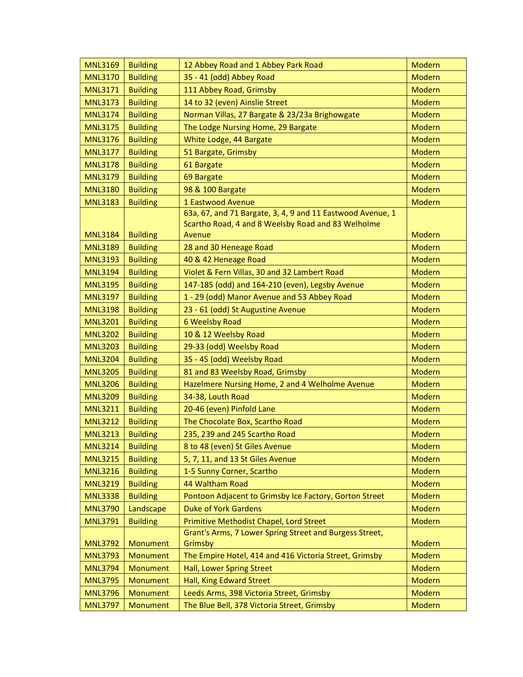| <b>MNL3169</b> | <b>Building</b> | 12 Abbey Road and 1 Abbey Park Road                                | Modern        |
|----------------|-----------------|--------------------------------------------------------------------|---------------|
| <b>MNL3170</b> | <b>Building</b> | 35 - 41 (odd) Abbey Road                                           | <b>Modern</b> |
| <b>MNL3171</b> | <b>Building</b> | 111 Abbey Road, Grimsby                                            | <b>Modern</b> |
| <b>MNL3173</b> | <b>Building</b> | 14 to 32 (even) Ainslie Street                                     | <b>Modern</b> |
| <b>MNL3174</b> | <b>Building</b> | Norman Villas, 27 Bargate & 23/23a Brighowgate                     | <b>Modern</b> |
| <b>MNL3175</b> | <b>Building</b> | The Lodge Nursing Home, 29 Bargate                                 | <b>Modern</b> |
| <b>MNL3176</b> | <b>Building</b> | White Lodge, 44 Bargate                                            | Modern        |
| <b>MNL3177</b> | <b>Building</b> | 51 Bargate, Grimsby                                                | <b>Modern</b> |
| <b>MNL3178</b> | <b>Building</b> | 61 Bargate                                                         | <b>Modern</b> |
| <b>MNL3179</b> | <b>Building</b> | 69 Bargate                                                         | Modern        |
| <b>MNL3180</b> | <b>Building</b> | 98 & 100 Bargate                                                   | <b>Modern</b> |
| <b>MNL3183</b> | <b>Building</b> | 1 Eastwood Avenue                                                  | Modern        |
|                |                 | 63a, 67, and 71 Bargate, 3, 4, 9 and 11 Eastwood Avenue, 1         |               |
|                |                 | Scartho Road, 4 and 8 Weelsby Road and 83 Welholme                 |               |
| <b>MNL3184</b> | <b>Building</b> | Avenue                                                             | <b>Modern</b> |
| <b>MNL3189</b> | <b>Building</b> | 28 and 30 Heneage Road                                             | <b>Modern</b> |
| <b>MNL3193</b> | <b>Building</b> | 40 & 42 Heneage Road                                               | <b>Modern</b> |
| <b>MNL3194</b> | <b>Building</b> | Violet & Fern Villas, 30 and 32 Lambert Road                       | <b>Modern</b> |
| <b>MNL3195</b> | <b>Building</b> | 147-185 (odd) and 164-210 (even), Legsby Avenue                    | <b>Modern</b> |
| <b>MNL3197</b> | <b>Building</b> | 1 - 29 (odd) Manor Avenue and 53 Abbey Road                        | <b>Modern</b> |
| <b>MNL3198</b> | <b>Building</b> | 23 - 61 (odd) St Augustine Avenue                                  | Modern        |
| <b>MNL3201</b> | <b>Building</b> | <b>6 Weelsby Road</b>                                              | <b>Modern</b> |
| <b>MNL3202</b> | <b>Building</b> | 10 & 12 Weelsby Road                                               | Modern        |
| <b>MNL3203</b> | <b>Building</b> | 29-33 (odd) Weelsby Road                                           | Modern        |
| <b>MNL3204</b> | <b>Building</b> | 35 - 45 (odd) Weelsby Road                                         | <b>Modern</b> |
| <b>MNL3205</b> | <b>Building</b> | 81 and 83 Weelsby Road, Grimsby                                    | <b>Modern</b> |
| <b>MNL3206</b> | <b>Building</b> | Hazelmere Nursing Home, 2 and 4 Welholme Avenue                    | <b>Modern</b> |
| <b>MNL3209</b> | <b>Building</b> | 34-38, Louth Road                                                  | <b>Modern</b> |
| <b>MNL3211</b> | <b>Building</b> | 20-46 (even) Pinfold Lane                                          | <b>Modern</b> |
| <b>MNL3212</b> | <b>Building</b> | The Chocolate Box, Scartho Road                                    | Modern        |
| <b>MNL3213</b> | <b>Building</b> | 235, 239 and 245 Scartho Road                                      | <b>Modern</b> |
| <b>MNL3214</b> | <b>Building</b> | 8 to 48 (even) St Giles Avenue                                     | Modern        |
| <b>MNL3215</b> | <b>Building</b> | 5, 7, 11, and 13 St Giles Avenue                                   | Modern        |
| <b>MNL3216</b> | <b>Building</b> | 1-5 Sunny Corner, Scartho                                          | Modern        |
| <b>MNL3219</b> | <b>Building</b> | 44 Waltham Road                                                    | <b>Modern</b> |
| <b>MNL3338</b> | <b>Building</b> | Pontoon Adjacent to Grimsby Ice Factory, Gorton Street             | <b>Modern</b> |
| <b>MNL3790</b> | Landscape       | <b>Duke of York Gardens</b>                                        | Modern        |
| <b>MNL3791</b> | <b>Building</b> | Primitive Methodist Chapel, Lord Street                            | <b>Modern</b> |
| <b>MNL3792</b> | Monument        | Grant's Arms, 7 Lower Spring Street and Burgess Street,<br>Grimsby | <b>Modern</b> |
| <b>MNL3793</b> | Monument        | The Empire Hotel, 414 and 416 Victoria Street, Grimsby             | <b>Modern</b> |
| <b>MNL3794</b> | Monument        | Hall, Lower Spring Street                                          | Modern        |
| <b>MNL3795</b> | Monument        | Hall, King Edward Street                                           | Modern        |
| <b>MNL3796</b> | Monument        | Leeds Arms, 398 Victoria Street, Grimsby                           | <b>Modern</b> |
| <b>MNL3797</b> | Monument        | The Blue Bell, 378 Victoria Street, Grimsby                        | Modern        |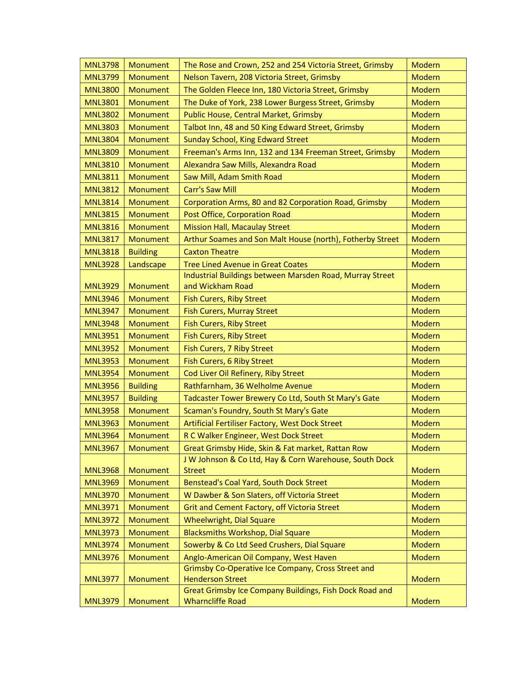| <b>MNL3798</b> | Monument        | The Rose and Crown, 252 and 254 Victoria Street, Grimsby                | <b>Modern</b> |
|----------------|-----------------|-------------------------------------------------------------------------|---------------|
| <b>MNL3799</b> | Monument        | Nelson Tavern, 208 Victoria Street, Grimsby                             | <b>Modern</b> |
| <b>MNL3800</b> | Monument        | The Golden Fleece Inn, 180 Victoria Street, Grimsby                     | <b>Modern</b> |
| <b>MNL3801</b> | Monument        | The Duke of York, 238 Lower Burgess Street, Grimsby                     | <b>Modern</b> |
| <b>MNL3802</b> | Monument        | Public House, Central Market, Grimsby                                   | <b>Modern</b> |
| <b>MNL3803</b> | <b>Monument</b> | Talbot Inn, 48 and 50 King Edward Street, Grimsby                       | <b>Modern</b> |
| <b>MNL3804</b> | Monument        | Sunday School, King Edward Street                                       | <b>Modern</b> |
| <b>MNL3809</b> | Monument        | Freeman's Arms Inn, 132 and 134 Freeman Street, Grimsby                 | <b>Modern</b> |
| <b>MNL3810</b> | <b>Monument</b> | Alexandra Saw Mills, Alexandra Road                                     | Modern        |
| <b>MNL3811</b> | Monument        | Saw Mill, Adam Smith Road                                               | Modern        |
| <b>MNL3812</b> | Monument        | <b>Carr's Saw Mill</b>                                                  | <b>Modern</b> |
| <b>MNL3814</b> | Monument        | Corporation Arms, 80 and 82 Corporation Road, Grimsby                   | Modern        |
| <b>MNL3815</b> | <b>Monument</b> | Post Office, Corporation Road                                           | <b>Modern</b> |
| <b>MNL3816</b> | Monument        | <b>Mission Hall, Macaulay Street</b>                                    | <b>Modern</b> |
| <b>MNL3817</b> | Monument        | Arthur Soames and Son Malt House (north), Fotherby Street               | <b>Modern</b> |
| <b>MNL3818</b> | <b>Building</b> | <b>Caxton Theatre</b>                                                   | <b>Modern</b> |
| <b>MNL3928</b> | Landscape       | <b>Tree Lined Avenue in Great Coates</b>                                | Modern        |
|                |                 | Industrial Buildings between Marsden Road, Murray Street                |               |
| <b>MNL3929</b> | Monument        | and Wickham Road                                                        | <b>Modern</b> |
| <b>MNL3946</b> | <b>Monument</b> | <b>Fish Curers, Riby Street</b>                                         | Modern        |
| <b>MNL3947</b> | Monument        | <b>Fish Curers, Murray Street</b>                                       | <b>Modern</b> |
| <b>MNL3948</b> | Monument        | <b>Fish Curers, Riby Street</b>                                         | <b>Modern</b> |
| <b>MNL3951</b> | Monument        | <b>Fish Curers, Riby Street</b>                                         | Modern        |
| <b>MNL3952</b> | Monument        | Fish Curers, 7 Riby Street                                              | Modern        |
| <b>MNL3953</b> | Monument        | Fish Curers, 6 Riby Street                                              | Modern        |
| <b>MNL3954</b> | <b>Monument</b> | Cod Liver Oil Refinery, Riby Street                                     | Modern        |
| <b>MNL3956</b> | <b>Building</b> | Rathfarnham, 36 Welholme Avenue                                         | <b>Modern</b> |
| <b>MNL3957</b> | <b>Building</b> | Tadcaster Tower Brewery Co Ltd, South St Mary's Gate                    | <b>Modern</b> |
| <b>MNL3958</b> | Monument        | Scaman's Foundry, South St Mary's Gate                                  | <b>Modern</b> |
| <b>MNL3963</b> | Monument        | Artificial Fertiliser Factory, West Dock Street                         | Modern        |
| <b>MNL3964</b> | <b>Monument</b> | R C Walker Engineer, West Dock Street                                   | <b>Modern</b> |
| <b>MNL3967</b> | <b>Monument</b> | Great Grimsby Hide, Skin & Fat market, Rattan Row                       | Modern        |
| <b>MNL3968</b> | Monument        | J W Johnson & Co Ltd, Hay & Corn Warehouse, South Dock<br><b>Street</b> | <b>Modern</b> |
| <b>MNL3969</b> | Monument        | Benstead's Coal Yard, South Dock Street                                 | <b>Modern</b> |
| <b>MNL3970</b> | Monument        | W Dawber & Son Slaters, off Victoria Street                             | Modern        |
| <b>MNL3971</b> | Monument        | Grit and Cement Factory, off Victoria Street                            | Modern        |
| <b>MNL3972</b> | Monument        | Wheelwright, Dial Square                                                | Modern        |
| <b>MNL3973</b> | Monument        | <b>Blacksmiths Workshop, Dial Square</b>                                | <b>Modern</b> |
| <b>MNL3974</b> | Monument        | Sowerby & Co Ltd Seed Crushers, Dial Square                             | <b>Modern</b> |
| <b>MNL3976</b> | Monument        | Anglo-American Oil Company, West Haven                                  | Modern        |
|                |                 | Grimsby Co-Operative Ice Company, Cross Street and                      |               |
| <b>MNL3977</b> | Monument        | <b>Henderson Street</b>                                                 | Modern        |
|                |                 | Great Grimsby Ice Company Buildings, Fish Dock Road and                 |               |
| <b>MNL3979</b> | Monument        | <b>Wharncliffe Road</b>                                                 | Modern        |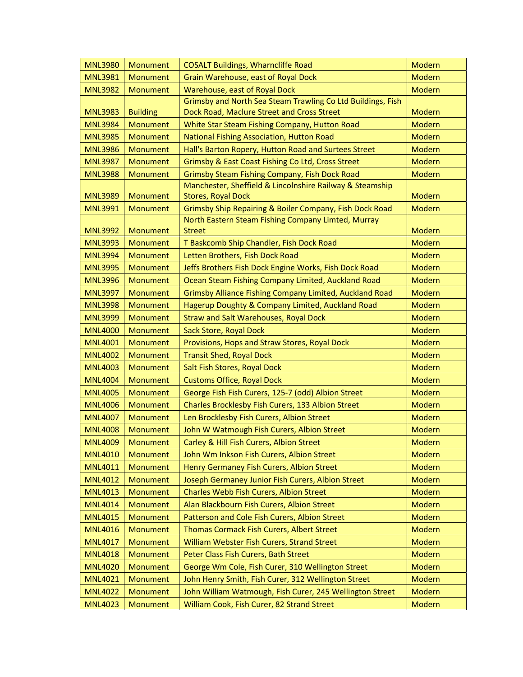| <b>MNL3980</b> | Monument        | <b>COSALT Buildings, Wharncliffe Road</b>                   | Modern        |
|----------------|-----------------|-------------------------------------------------------------|---------------|
| <b>MNL3981</b> | Monument        | Grain Warehouse, east of Royal Dock                         | <b>Modern</b> |
| <b>MNL3982</b> | <b>Monument</b> | Warehouse, east of Royal Dock                               | Modern        |
|                |                 | Grimsby and North Sea Steam Trawling Co Ltd Buildings, Fish |               |
| <b>MNL3983</b> | <b>Building</b> | Dock Road, Maclure Street and Cross Street                  | <b>Modern</b> |
| <b>MNL3984</b> | Monument        | White Star Steam Fishing Company, Hutton Road               | <b>Modern</b> |
| <b>MNL3985</b> | <b>Monument</b> | National Fishing Association, Hutton Road                   | <b>Modern</b> |
| <b>MNL3986</b> | <b>Monument</b> | Hall's Barton Ropery, Hutton Road and Surtees Street        | <b>Modern</b> |
| <b>MNL3987</b> | <b>Monument</b> | Grimsby & East Coast Fishing Co Ltd, Cross Street           | <b>Modern</b> |
| <b>MNL3988</b> | Monument        | <b>Grimsby Steam Fishing Company, Fish Dock Road</b>        | Modern        |
|                |                 | Manchester, Sheffield & Lincolnshire Railway & Steamship    |               |
| <b>MNL3989</b> | Monument        | <b>Stores, Royal Dock</b>                                   | <b>Modern</b> |
| <b>MNL3991</b> | <b>Monument</b> | Grimsby Ship Repairing & Boiler Company, Fish Dock Road     | Modern        |
|                |                 | North Eastern Steam Fishing Company Limted, Murray          |               |
| <b>MNL3992</b> | Monument        | <b>Street</b>                                               | Modern        |
| <b>MNL3993</b> | Monument        | T Baskcomb Ship Chandler, Fish Dock Road                    | <b>Modern</b> |
| <b>MNL3994</b> | Monument        | Letten Brothers, Fish Dock Road                             | <b>Modern</b> |
| <b>MNL3995</b> | Monument        | Jeffs Brothers Fish Dock Engine Works, Fish Dock Road       | <b>Modern</b> |
| <b>MNL3996</b> | Monument        | Ocean Steam Fishing Company Limited, Auckland Road          | <b>Modern</b> |
| <b>MNL3997</b> | <b>Monument</b> | Grimsby Alliance Fishing Company Limited, Auckland Road     | <b>Modern</b> |
| <b>MNL3998</b> | <b>Monument</b> | Hagerup Doughty & Company Limited, Auckland Road            | <b>Modern</b> |
| <b>MNL3999</b> | Monument        | <b>Straw and Salt Warehouses, Royal Dock</b>                | <b>Modern</b> |
| <b>MNL4000</b> | Monument        | Sack Store, Royal Dock                                      | <b>Modern</b> |
| <b>MNL4001</b> | <b>Monument</b> | Provisions, Hops and Straw Stores, Royal Dock               | <b>Modern</b> |
| <b>MNL4002</b> | Monument        | <b>Transit Shed, Royal Dock</b>                             | <b>Modern</b> |
| <b>MNL4003</b> | Monument        | Salt Fish Stores, Royal Dock                                | Modern        |
| <b>MNL4004</b> | Monument        | <b>Customs Office, Royal Dock</b>                           | <b>Modern</b> |
| <b>MNL4005</b> | Monument        | George Fish Fish Curers, 125-7 (odd) Albion Street          | <b>Modern</b> |
| <b>MNL4006</b> | Monument        | Charles Brocklesby Fish Curers, 133 Albion Street           | <b>Modern</b> |
| <b>MNL4007</b> | Monument        | Len Brocklesby Fish Curers, Albion Street                   | Modern        |
| <b>MNL4008</b> | Monument        | John W Watmough Fish Curers, Albion Street                  | <b>Modern</b> |
| <b>MNL4009</b> | Monument        | Carley & Hill Fish Curers, Albion Street                    | Modern        |
| <b>MNL4010</b> | Monument        | John Wm Inkson Fish Curers, Albion Street                   | Modern        |
| <b>MNL4011</b> | Monument        | Henry Germaney Fish Curers, Albion Street                   | <b>Modern</b> |
| <b>MNL4012</b> | <b>Monument</b> | Joseph Germaney Junior Fish Curers, Albion Street           | Modern        |
| <b>MNL4013</b> | Monument        | Charles Webb Fish Curers, Albion Street                     | <b>Modern</b> |
| <b>MNL4014</b> | Monument        | Alan Blackbourn Fish Curers, Albion Street                  | Modern        |
| <b>MNL4015</b> | Monument        | Patterson and Cole Fish Curers, Albion Street               | Modern        |
| <b>MNL4016</b> | Monument        | Thomas Cormack Fish Curers, Albert Street                   | <b>Modern</b> |
| <b>MNL4017</b> | Monument        | William Webster Fish Curers, Strand Street                  | <b>Modern</b> |
| <b>MNL4018</b> | Monument        | Peter Class Fish Curers, Bath Street                        | <b>Modern</b> |
| <b>MNL4020</b> | Monument        | George Wm Cole, Fish Curer, 310 Wellington Street           | <b>Modern</b> |
| <b>MNL4021</b> | Monument        | John Henry Smith, Fish Curer, 312 Wellington Street         | <b>Modern</b> |
| <b>MNL4022</b> | Monument        | John William Watmough, Fish Curer, 245 Wellington Street    | <b>Modern</b> |
| <b>MNL4023</b> | Monument        | William Cook, Fish Curer, 82 Strand Street                  | Modern        |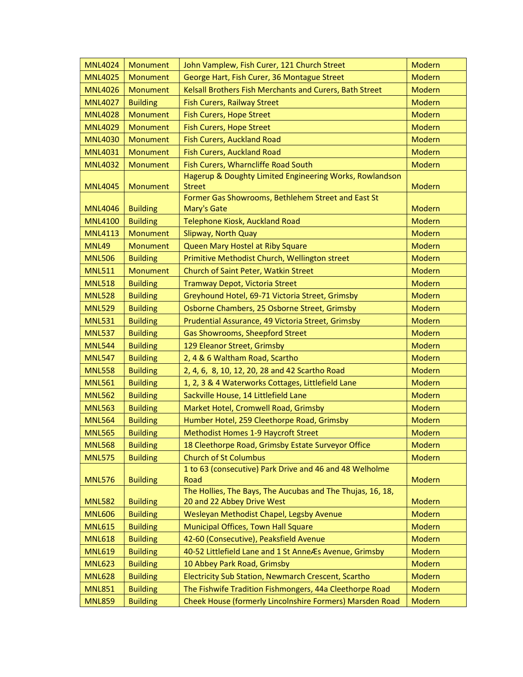| <b>MNL4024</b> | Monument        | John Vamplew, Fish Curer, 121 Church Street                        | <b>Modern</b> |
|----------------|-----------------|--------------------------------------------------------------------|---------------|
| <b>MNL4025</b> | <b>Monument</b> | George Hart, Fish Curer, 36 Montague Street                        | <b>Modern</b> |
| <b>MNL4026</b> | <b>Monument</b> | Kelsall Brothers Fish Merchants and Curers, Bath Street            | <b>Modern</b> |
| <b>MNL4027</b> | <b>Building</b> | <b>Fish Curers, Railway Street</b>                                 | <b>Modern</b> |
| <b>MNL4028</b> | Monument        | Fish Curers, Hope Street                                           | Modern        |
| <b>MNL4029</b> | <b>Monument</b> | <b>Fish Curers, Hope Street</b>                                    | <b>Modern</b> |
| <b>MNL4030</b> | Monument        | Fish Curers, Auckland Road                                         | Modern        |
| <b>MNL4031</b> | Monument        | <b>Fish Curers, Auckland Road</b>                                  | Modern        |
| <b>MNL4032</b> | Monument        | Fish Curers, Wharncliffe Road South                                | Modern        |
|                |                 | Hagerup & Doughty Limited Engineering Works, Rowlandson            |               |
| <b>MNL4045</b> | Monument        | <b>Street</b>                                                      | <b>Modern</b> |
|                |                 | Former Gas Showrooms, Bethlehem Street and East St                 |               |
| <b>MNL4046</b> | <b>Building</b> | Mary's Gate                                                        | <b>Modern</b> |
| <b>MNL4100</b> | <b>Building</b> | Telephone Kiosk, Auckland Road                                     | Modern        |
| <b>MNL4113</b> | Monument        | Slipway, North Quay                                                | <b>Modern</b> |
| <b>MNL49</b>   | Monument        | Queen Mary Hostel at Riby Square                                   | Modern        |
| <b>MNL506</b>  | <b>Building</b> | Primitive Methodist Church, Wellington street                      | <b>Modern</b> |
| <b>MNL511</b>  | Monument        | Church of Saint Peter, Watkin Street                               | <b>Modern</b> |
| <b>MNL518</b>  | <b>Building</b> | Tramway Depot, Victoria Street                                     | Modern        |
| <b>MNL528</b>  | <b>Building</b> | Greyhound Hotel, 69-71 Victoria Street, Grimsby                    | <b>Modern</b> |
| <b>MNL529</b>  | <b>Building</b> | Osborne Chambers, 25 Osborne Street, Grimsby                       | Modern        |
| <b>MNL531</b>  | <b>Building</b> | Prudential Assurance, 49 Victoria Street, Grimsby                  | <b>Modern</b> |
| <b>MNL537</b>  | <b>Building</b> | Gas Showrooms, Sheepford Street                                    | <b>Modern</b> |
| <b>MNL544</b>  | <b>Building</b> | 129 Eleanor Street, Grimsby                                        | <b>Modern</b> |
| <b>MNL547</b>  | <b>Building</b> | 2, 4 & 6 Waltham Road, Scartho                                     | Modern        |
| <b>MNL558</b>  | <b>Building</b> | 2, 4, 6, 8, 10, 12, 20, 28 and 42 Scartho Road                     | <b>Modern</b> |
| <b>MNL561</b>  | <b>Building</b> | 1, 2, 3 & 4 Waterworks Cottages, Littlefield Lane                  | <b>Modern</b> |
| <b>MNL562</b>  | <b>Building</b> | Sackville House, 14 Littlefield Lane                               | Modern        |
| <b>MNL563</b>  | <b>Building</b> | Market Hotel, Cromwell Road, Grimsby                               | Modern        |
| <b>MNL564</b>  | <b>Building</b> | Humber Hotel, 259 Cleethorpe Road, Grimsby                         | <b>Modern</b> |
| <b>MNL565</b>  | <b>Building</b> | <b>Methodist Homes 1-9 Haycroft Street</b>                         | Modern        |
| <b>MNL568</b>  | <b>Building</b> | 18 Cleethorpe Road, Grimsby Estate Surveyor Office                 | <b>Modern</b> |
| <b>MNL575</b>  | <b>Building</b> | <b>Church of St Columbus</b>                                       | Modern        |
|                |                 | 1 to 63 (consecutive) Park Drive and 46 and 48 Welholme            |               |
| <b>MNL576</b>  | <b>Building</b> | Road<br>The Hollies, The Bays, The Aucubas and The Thujas, 16, 18, | Modern        |
| <b>MNL582</b>  | <b>Building</b> | 20 and 22 Abbey Drive West                                         | Modern        |
| <b>MNL606</b>  | <b>Building</b> | Wesleyan Methodist Chapel, Legsby Avenue                           | Modern        |
| <b>MNL615</b>  | <b>Building</b> | Municipal Offices, Town Hall Square                                | Modern        |
| <b>MNL618</b>  | <b>Building</b> | 42-60 (Consecutive), Peaksfield Avenue                             | Modern        |
| <b>MNL619</b>  | <b>Building</b> | 40-52 Littlefield Lane and 1 St Anne Æs Avenue, Grimsby            | <b>Modern</b> |
| <b>MNL623</b>  | <b>Building</b> | 10 Abbey Park Road, Grimsby                                        | <b>Modern</b> |
| <b>MNL628</b>  | <b>Building</b> | Electricity Sub Station, Newmarch Crescent, Scartho                | Modern        |
| <b>MNL851</b>  | <b>Building</b> | The Fishwife Tradition Fishmongers, 44a Cleethorpe Road            | Modern        |
| <b>MNL859</b>  | <b>Building</b> | Cheek House (formerly Lincolnshire Formers) Marsden Road           | Modern        |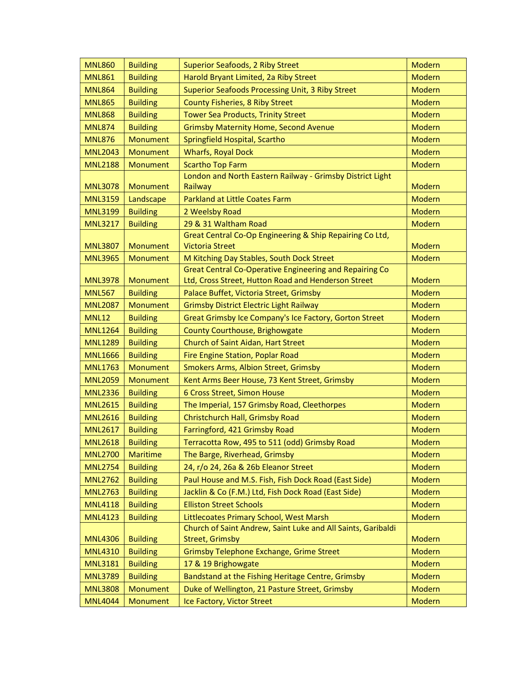| <b>MNL860</b>  | <b>Building</b> | <b>Superior Seafoods, 2 Riby Street</b>                                                              | <b>Modern</b> |
|----------------|-----------------|------------------------------------------------------------------------------------------------------|---------------|
| <b>MNL861</b>  | <b>Building</b> | Harold Bryant Limited, 2a Riby Street                                                                | <b>Modern</b> |
| <b>MNL864</b>  | <b>Building</b> | Superior Seafoods Processing Unit, 3 Riby Street                                                     | <b>Modern</b> |
| <b>MNL865</b>  | <b>Building</b> | County Fisheries, 8 Riby Street                                                                      | <b>Modern</b> |
| <b>MNL868</b>  | <b>Building</b> | <b>Tower Sea Products, Trinity Street</b>                                                            | <b>Modern</b> |
| <b>MNL874</b>  | <b>Building</b> | <b>Grimsby Maternity Home, Second Avenue</b>                                                         | <b>Modern</b> |
| <b>MNL876</b>  | Monument        | Springfield Hospital, Scartho                                                                        | <b>Modern</b> |
| <b>MNL2043</b> | Monument        | <b>Wharfs, Royal Dock</b>                                                                            | <b>Modern</b> |
| <b>MNL2188</b> | Monument        | <b>Scartho Top Farm</b>                                                                              | <b>Modern</b> |
|                |                 | London and North Eastern Railway - Grimsby District Light                                            |               |
| <b>MNL3078</b> | Monument        | Railway                                                                                              | <b>Modern</b> |
| <b>MNL3159</b> | Landscape       | <b>Parkland at Little Coates Farm</b>                                                                | <b>Modern</b> |
| <b>MNL3199</b> | <b>Building</b> | 2 Weelsby Road                                                                                       | <b>Modern</b> |
| <b>MNL3217</b> | <b>Building</b> | 29 & 31 Waltham Road                                                                                 | <b>Modern</b> |
|                |                 | Great Central Co-Op Engineering & Ship Repairing Co Ltd,                                             |               |
| <b>MNL3807</b> | Monument        | <b>Victoria Street</b>                                                                               | <b>Modern</b> |
| <b>MNL3965</b> | Monument        | M Kitching Day Stables, South Dock Street<br>Great Central Co-Operative Engineering and Repairing Co | <b>Modern</b> |
| <b>MNL3978</b> | Monument        | Ltd, Cross Street, Hutton Road and Henderson Street                                                  | Modern        |
| <b>MNL567</b>  | <b>Building</b> | Palace Buffet, Victoria Street, Grimsby                                                              | <b>Modern</b> |
| <b>MNL2087</b> | Monument        | <b>Grimsby District Electric Light Railway</b>                                                       | Modern        |
| <b>MNL12</b>   | <b>Building</b> | Great Grimsby Ice Company's Ice Factory, Gorton Street                                               | <b>Modern</b> |
| <b>MNL1264</b> | <b>Building</b> | County Courthouse, Brighowgate                                                                       | Modern        |
| <b>MNL1289</b> | <b>Building</b> | Church of Saint Aidan, Hart Street                                                                   | <b>Modern</b> |
| <b>MNL1666</b> | <b>Building</b> | Fire Engine Station, Poplar Road                                                                     | <b>Modern</b> |
| <b>MNL1763</b> | Monument        | Smokers Arms, Albion Street, Grimsby                                                                 | <b>Modern</b> |
| <b>MNL2059</b> | Monument        | Kent Arms Beer House, 73 Kent Street, Grimsby                                                        | <b>Modern</b> |
| <b>MNL2336</b> | <b>Building</b> | 6 Cross Street, Simon House                                                                          | Modern        |
| <b>MNL2615</b> | <b>Building</b> | The Imperial, 157 Grimsby Road, Cleethorpes                                                          | Modern        |
| <b>MNL2616</b> | <b>Building</b> | Christchurch Hall, Grimsby Road                                                                      | Modern        |
| <b>MNL2617</b> | <b>Building</b> | Farringford, 421 Grimsby Road                                                                        | Modern        |
| <b>MNL2618</b> | <b>Building</b> | Terracotta Row, 495 to 511 (odd) Grimsby Road                                                        | Modern        |
| <b>MNL2700</b> | <b>Maritime</b> | The Barge, Riverhead, Grimsby                                                                        | Modern        |
| <b>MNL2754</b> | <b>Building</b> | 24, r/o 24, 26a & 26b Eleanor Street                                                                 | Modern        |
| <b>MNL2762</b> | <b>Building</b> | Paul House and M.S. Fish, Fish Dock Road (East Side)                                                 | Modern        |
| <b>MNL2763</b> | <b>Building</b> | Jacklin & Co (F.M.) Ltd, Fish Dock Road (East Side)                                                  | <b>Modern</b> |
| <b>MNL4118</b> | <b>Building</b> | <b>Elliston Street Schools</b>                                                                       | Modern        |
| <b>MNL4123</b> | <b>Building</b> | Littlecoates Primary School, West Marsh                                                              | <b>Modern</b> |
|                |                 | Church of Saint Andrew, Saint Luke and All Saints, Garibaldi                                         |               |
| <b>MNL4306</b> | <b>Building</b> | <b>Street, Grimsby</b>                                                                               | Modern        |
| <b>MNL4310</b> | <b>Building</b> | Grimsby Telephone Exchange, Grime Street                                                             | <b>Modern</b> |
| <b>MNL3181</b> | <b>Building</b> | 17 & 19 Brighowgate                                                                                  | <b>Modern</b> |
| <b>MNL3789</b> | <b>Building</b> | Bandstand at the Fishing Heritage Centre, Grimsby                                                    | <b>Modern</b> |
| <b>MNL3808</b> | Monument        | Duke of Wellington, 21 Pasture Street, Grimsby                                                       | Modern        |
| <b>MNL4044</b> | Monument        | Ice Factory, Victor Street                                                                           | Modern        |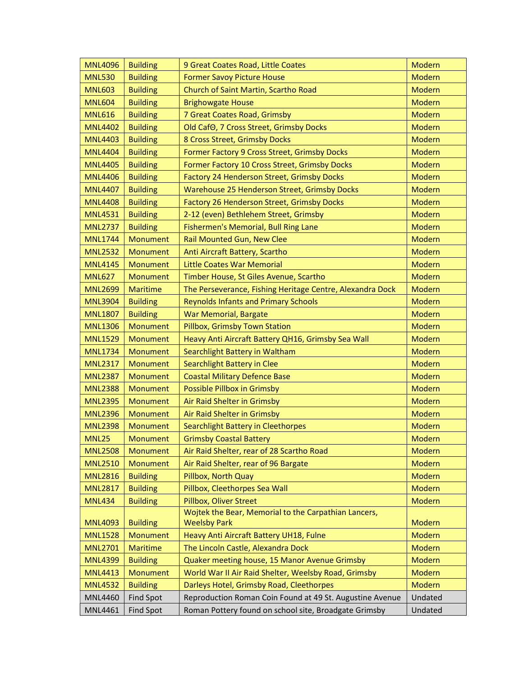| <b>MNL4096</b> | <b>Building</b>  | 9 Great Coates Road, Little Coates                                          | Modern        |
|----------------|------------------|-----------------------------------------------------------------------------|---------------|
| <b>MNL530</b>  | <b>Building</b>  | <b>Former Savoy Picture House</b>                                           | <b>Modern</b> |
| <b>MNL603</b>  | <b>Building</b>  | Church of Saint Martin, Scartho Road                                        | <b>Modern</b> |
| <b>MNL604</b>  | <b>Building</b>  | <b>Brighowgate House</b>                                                    | <b>Modern</b> |
| <b>MNL616</b>  | <b>Building</b>  | 7 Great Coates Road, Grimsby                                                | <b>Modern</b> |
| <b>MNL4402</b> | <b>Building</b>  | Old CafO, 7 Cross Street, Grimsby Docks                                     | Modern        |
| <b>MNL4403</b> | <b>Building</b>  | 8 Cross Street, Grimsby Docks                                               | <b>Modern</b> |
| <b>MNL4404</b> | <b>Building</b>  | Former Factory 9 Cross Street, Grimsby Docks                                | Modern        |
| <b>MNL4405</b> | <b>Building</b>  | Former Factory 10 Cross Street, Grimsby Docks                               | Modern        |
| <b>MNL4406</b> | <b>Building</b>  | Factory 24 Henderson Street, Grimsby Docks                                  | Modern        |
| <b>MNL4407</b> | <b>Building</b>  | Warehouse 25 Henderson Street, Grimsby Docks                                | Modern        |
| <b>MNL4408</b> | <b>Building</b>  | Factory 26 Henderson Street, Grimsby Docks                                  | <b>Modern</b> |
| <b>MNL4531</b> | <b>Building</b>  | 2-12 (even) Bethlehem Street, Grimsby                                       | Modern        |
| <b>MNL2737</b> | <b>Building</b>  | Fishermen's Memorial, Bull Ring Lane                                        | <b>Modern</b> |
| <b>MNL1744</b> | Monument         | Rail Mounted Gun, New Clee                                                  | Modern        |
| <b>MNL2532</b> | Monument         | Anti Aircraft Battery, Scartho                                              | <b>Modern</b> |
| <b>MNL4145</b> | <b>Monument</b>  | <b>Little Coates War Memorial</b>                                           | Modern        |
| <b>MNL627</b>  | Monument         | Timber House, St Giles Avenue, Scartho                                      | Modern        |
| <b>MNL2699</b> | <b>Maritime</b>  | The Perseverance, Fishing Heritage Centre, Alexandra Dock                   | Modern        |
| <b>MNL3904</b> | <b>Building</b>  | <b>Reynolds Infants and Primary Schools</b>                                 | Modern        |
| <b>MNL1807</b> | <b>Building</b>  | <b>War Memorial, Bargate</b>                                                | <b>Modern</b> |
| <b>MNL1306</b> | Monument         | Pillbox, Grimsby Town Station                                               | Modern        |
| <b>MNL1529</b> | Monument         | Heavy Anti Aircraft Battery QH16, Grimsby Sea Wall                          | <b>Modern</b> |
| <b>MNL1734</b> | Monument         | Searchlight Battery in Waltham                                              | Modern        |
| <b>MNL2317</b> | <b>Monument</b>  | Searchlight Battery in Clee                                                 | Modern        |
| <b>MNL2387</b> | Monument         | <b>Coastal Military Defence Base</b>                                        | <b>Modern</b> |
| <b>MNL2388</b> | Monument         | Possible Pillbox in Grimsby                                                 | Modern        |
| <b>MNL2395</b> | Monument         | Air Raid Shelter in Grimsby                                                 | <b>Modern</b> |
| <b>MNL2396</b> | Monument         | Air Raid Shelter in Grimsby                                                 | Modern        |
| <b>MNL2398</b> | Monument         | Searchlight Battery in Cleethorpes                                          | Modern        |
| <b>MNL25</b>   | Monument         | <b>Grimsby Coastal Battery</b>                                              | Modern        |
| <b>MNL2508</b> | Monument         | Air Raid Shelter, rear of 28 Scartho Road                                   | Modern        |
| <b>MNL2510</b> | <b>Monument</b>  | Air Raid Shelter, rear of 96 Bargate                                        | Modern        |
| <b>MNL2816</b> | <b>Building</b>  | Pillbox, North Quay                                                         | Modern        |
| <b>MNL2817</b> | <b>Building</b>  | Pillbox, Cleethorpes Sea Wall                                               | Modern        |
| <b>MNL434</b>  | <b>Building</b>  | Pillbox, Oliver Street                                                      | Modern        |
| <b>MNL4093</b> | <b>Building</b>  | Wojtek the Bear, Memorial to the Carpathian Lancers,<br><b>Weelsby Park</b> | Modern        |
| <b>MNL1528</b> | <b>Monument</b>  | Heavy Anti Aircraft Battery UH18, Fulne                                     | Modern        |
| <b>MNL2701</b> | <b>Maritime</b>  | The Lincoln Castle, Alexandra Dock                                          | Modern        |
| <b>MNL4399</b> | <b>Building</b>  | Quaker meeting house, 15 Manor Avenue Grimsby                               | <b>Modern</b> |
| <b>MNL4413</b> | Monument         | World War II Air Raid Shelter, Weelsby Road, Grimsby                        | <b>Modern</b> |
| <b>MNL4532</b> | <b>Building</b>  | Darleys Hotel, Grimsby Road, Cleethorpes                                    | <b>Modern</b> |
| <b>MNL4460</b> | <b>Find Spot</b> | Reproduction Roman Coin Found at 49 St. Augustine Avenue                    | Undated       |
| MNL4461        | <b>Find Spot</b> | Roman Pottery found on school site, Broadgate Grimsby                       | Undated       |